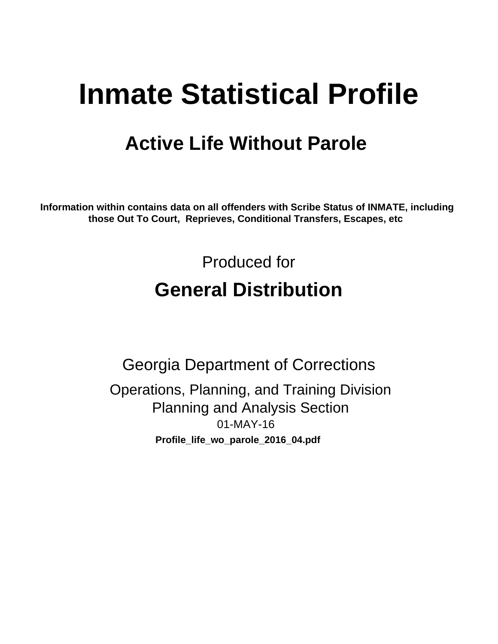# **Inmate Statistical Profile**

## **Active Life Without Parole**

Information within contains data on all offenders with Scribe Status of INMATE, including those Out To Court, Reprieves, Conditional Transfers, Escapes, etc

> Produced for **General Distribution**

**Georgia Department of Corrections** Operations, Planning, and Training Division **Planning and Analysis Section** 01-MAY-16 Profile\_life\_wo\_parole\_2016\_04.pdf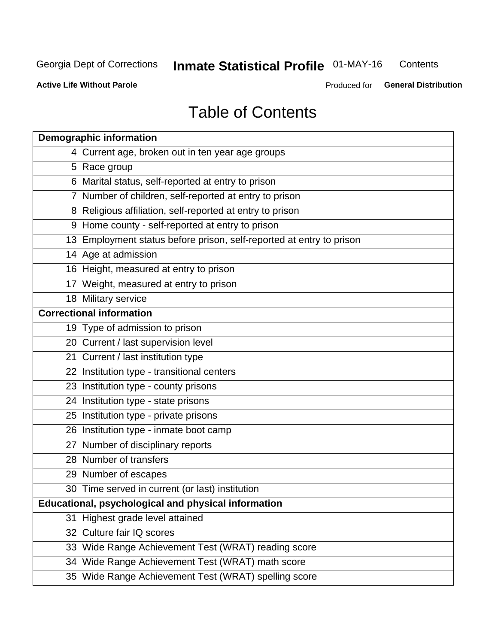#### **Inmate Statistical Profile 01-MAY-16** Contents

**Active Life Without Parole** 

Produced for General Distribution

## **Table of Contents**

| <b>Demographic information</b>                                       |
|----------------------------------------------------------------------|
| 4 Current age, broken out in ten year age groups                     |
| 5 Race group                                                         |
| 6 Marital status, self-reported at entry to prison                   |
| 7 Number of children, self-reported at entry to prison               |
| 8 Religious affiliation, self-reported at entry to prison            |
| 9 Home county - self-reported at entry to prison                     |
| 13 Employment status before prison, self-reported at entry to prison |
| 14 Age at admission                                                  |
| 16 Height, measured at entry to prison                               |
| 17 Weight, measured at entry to prison                               |
| 18 Military service                                                  |
| <b>Correctional information</b>                                      |
| 19 Type of admission to prison                                       |
| 20 Current / last supervision level                                  |
| 21 Current / last institution type                                   |
| 22 Institution type - transitional centers                           |
| 23 Institution type - county prisons                                 |
| 24 Institution type - state prisons                                  |
| 25 Institution type - private prisons                                |
| 26 Institution type - inmate boot camp                               |
| 27 Number of disciplinary reports                                    |
| 28 Number of transfers                                               |
| 29 Number of escapes                                                 |
| 30 Time served in current (or last) institution                      |
| <b>Educational, psychological and physical information</b>           |
| 31 Highest grade level attained                                      |
| 32 Culture fair IQ scores                                            |
| 33 Wide Range Achievement Test (WRAT) reading score                  |
| 34 Wide Range Achievement Test (WRAT) math score                     |
| 35 Wide Range Achievement Test (WRAT) spelling score                 |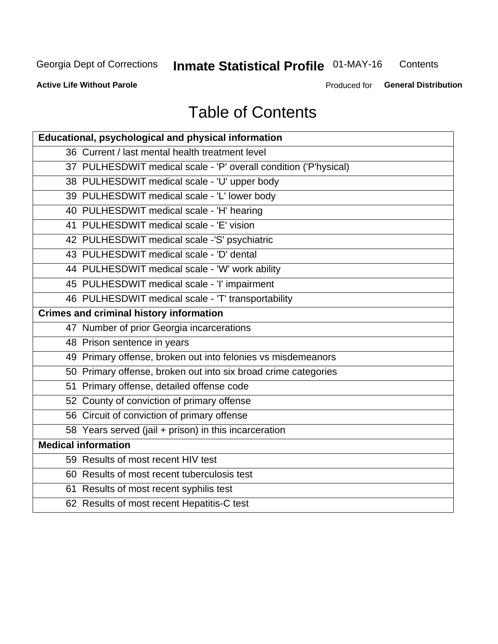## **Inmate Statistical Profile 01-MAY-16**

Contents

**Active Life Without Parole** 

Produced for General Distribution

## **Table of Contents**

| <b>Educational, psychological and physical information</b>       |
|------------------------------------------------------------------|
| 36 Current / last mental health treatment level                  |
| 37 PULHESDWIT medical scale - 'P' overall condition ('P'hysical) |
| 38 PULHESDWIT medical scale - 'U' upper body                     |
| 39 PULHESDWIT medical scale - 'L' lower body                     |
| 40 PULHESDWIT medical scale - 'H' hearing                        |
| 41 PULHESDWIT medical scale - 'E' vision                         |
| 42 PULHESDWIT medical scale -'S' psychiatric                     |
| 43 PULHESDWIT medical scale - 'D' dental                         |
| 44 PULHESDWIT medical scale - 'W' work ability                   |
| 45 PULHESDWIT medical scale - 'I' impairment                     |
| 46 PULHESDWIT medical scale - 'T' transportability               |
| <b>Crimes and criminal history information</b>                   |
| 47 Number of prior Georgia incarcerations                        |
| 48 Prison sentence in years                                      |
| 49 Primary offense, broken out into felonies vs misdemeanors     |
| 50 Primary offense, broken out into six broad crime categories   |
| 51 Primary offense, detailed offense code                        |
| 52 County of conviction of primary offense                       |
| 56 Circuit of conviction of primary offense                      |
| 58 Years served (jail + prison) in this incarceration            |
| <b>Medical information</b>                                       |
| 59 Results of most recent HIV test                               |
| 60 Results of most recent tuberculosis test                      |
| 61 Results of most recent syphilis test                          |
| 62 Results of most recent Hepatitis-C test                       |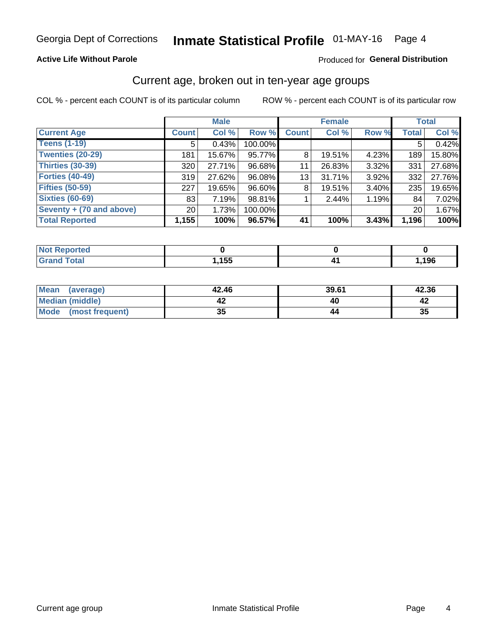#### **Active Life Without Parole**

#### Produced for General Distribution

### Current age, broken out in ten-year age groups

COL % - percent each COUNT is of its particular column

|                          |                 | <b>Male</b> |         |              | <b>Female</b> | <b>Total</b> |                 |        |
|--------------------------|-----------------|-------------|---------|--------------|---------------|--------------|-----------------|--------|
| <b>Current Age</b>       | <b>Count</b>    | Col %       | Row %   | <b>Count</b> | Col %         | Row %        | <b>Total</b>    | Col %  |
| <b>Teens (1-19)</b>      | 5               | 0.43%       | 100.00% |              |               |              | 5               | 0.42%  |
| <b>Twenties (20-29)</b>  | 181             | 15.67%      | 95.77%  | 8            | 19.51%        | 4.23%        | 189             | 15.80% |
| Thirties (30-39)         | 320             | 27.71%      | 96.68%  | 11           | 26.83%        | 3.32%        | 331             | 27.68% |
| <b>Forties (40-49)</b>   | 319             | 27.62%      | 96.08%  | 13           | 31.71%        | 3.92%        | 332             | 27.76% |
| <b>Fifties (50-59)</b>   | 227             | 19.65%      | 96.60%  | 8            | 19.51%        | 3.40%        | 235             | 19.65% |
| <b>Sixties (60-69)</b>   | 83              | 7.19%       | 98.81%  |              | 2.44%         | 1.19%        | 84              | 7.02%  |
| Seventy + (70 and above) | 20 <sub>1</sub> | 1.73%       | 100.00% |              |               |              | 20 <sub>1</sub> | 1.67%  |
| <b>Total Reported</b>    | 1,155           | 100%        | 96.57%  | 41           | 100%          | 3.43%        | 1,196           | 100%   |

| <b>Not Reported</b> |       |      |
|---------------------|-------|------|
| $T0$ tol            | , 155 | ,196 |

| <b>Mean</b><br>(average) | 42.46    | 39.61 | 42.36 |
|--------------------------|----------|-------|-------|
| Median (middle)          |          |       |       |
| Mode<br>(most frequent)  | 25<br>vu |       | 35    |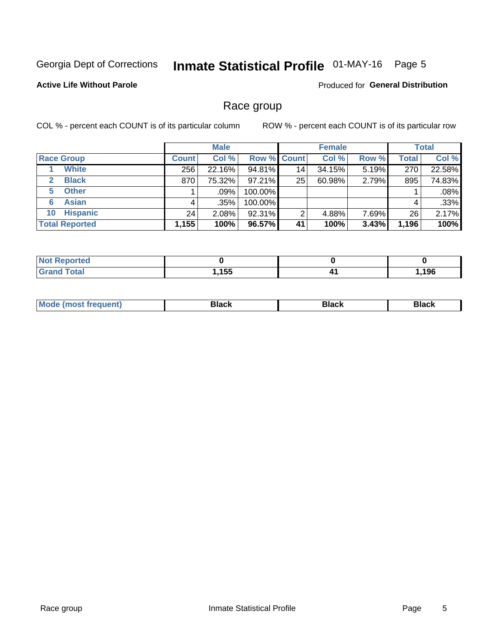## Inmate Statistical Profile 01-MAY-16 Page 5

#### **Active Life Without Parole**

Produced for General Distribution

### Race group

COL % - percent each COUNT is of its particular column

|                              |              | <b>Male</b> |                    | <b>Female</b>   |        |       | <b>Total</b> |        |
|------------------------------|--------------|-------------|--------------------|-----------------|--------|-------|--------------|--------|
| <b>Race Group</b>            | <b>Count</b> | Col %       | <b>Row % Count</b> |                 | Col %  | Row % | <b>Total</b> | Col %  |
| <b>White</b>                 | 256          | 22.16%      | 94.81%             | 14 <sub>1</sub> | 34.15% | 5.19% | 270          | 22.58% |
| <b>Black</b><br>$\mathbf{2}$ | 870          | 75.32%      | $97.21\%$          | 25              | 60.98% | 2.79% | 895          | 74.83% |
| <b>Other</b><br>5.           |              | $.09\%$     | 100.00%            |                 |        |       |              | .08%   |
| <b>Asian</b><br>6            | 4            | .35%        | 100.00%            |                 |        |       | 4            | .33%   |
| <b>Hispanic</b><br>10        | 24           | 2.08%       | 92.31%             | 2               | 4.88%  | 7.69% | 26           | 2.17%  |
| <b>Total Reported</b>        | 1,155        | 100%        | 96.57%             | 41              | 100%   | 3.43% | 1,196        | 100%   |

| .<br>rted |                   |      |
|-----------|-------------------|------|
|           | <b>155</b><br>יטי | ,196 |

| M | - - - |  |
|---|-------|--|
|   |       |  |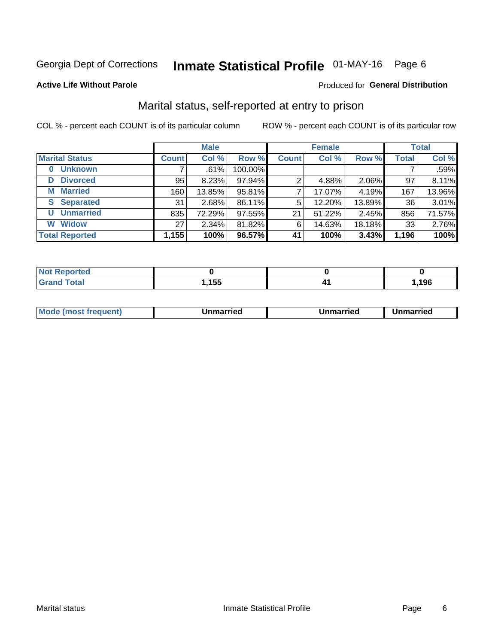## Inmate Statistical Profile 01-MAY-16 Page 6

#### **Active Life Without Parole**

#### Produced for General Distribution

### Marital status, self-reported at entry to prison

COL % - percent each COUNT is of its particular column

|                            | <b>Male</b>  |         |         |              | <b>Female</b> | <b>Total</b> |                 |        |
|----------------------------|--------------|---------|---------|--------------|---------------|--------------|-----------------|--------|
| <b>Marital Status</b>      | <b>Count</b> | Col %   | Row %   | <b>Count</b> | Col %         | Row %        | <b>Total</b>    | Col %  |
| <b>Unknown</b><br>$\bf{0}$ |              | $.61\%$ | 100.00% |              |               |              |                 | .59%   |
| <b>Divorced</b><br>D       | 95           | 8.23%   | 97.94%  | 2            | 4.88%         | 2.06%        | 97              | 8.11%  |
| <b>Married</b><br>М        | 160          | 13.85%  | 95.81%  |              | 17.07%        | 4.19%        | 167             | 13.96% |
| <b>Separated</b><br>S.     | 31           | 2.68%   | 86.11%  | 5            | 12.20%        | 13.89%       | 36 <sub>1</sub> | 3.01%  |
| <b>Unmarried</b><br>U      | 835          | 72.29%  | 97.55%  | 21           | 51.22%        | 2.45%        | 856             | 71.57% |
| <b>Widow</b><br>W          | 27           | 2.34%   | 81.82%  | 6            | 14.63%        | 18.18%       | 33              | 2.76%  |
| <b>Total Reported</b>      | 1,155        | 100%    | 96.57%  | 41           | 100%          | 3.43%        | 1,196           | 100%   |

| <b>orted</b><br>NOT. |      |     |
|----------------------|------|-----|
|                      | ,155 | 196 |

|--|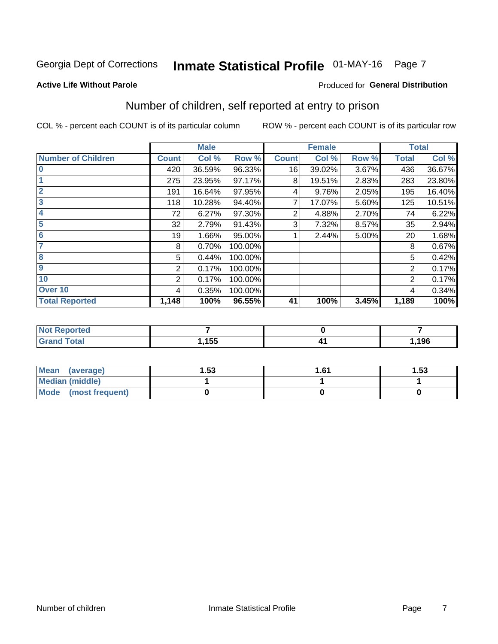## Inmate Statistical Profile 01-MAY-16 Page 7

#### **Active Life Without Parole**

#### **Produced for General Distribution**

## Number of children, self reported at entry to prison

COL % - percent each COUNT is of its particular column

|                           |              | <b>Male</b> |         |              | <b>Female</b> |       |                | <b>Total</b> |
|---------------------------|--------------|-------------|---------|--------------|---------------|-------|----------------|--------------|
| <b>Number of Children</b> | <b>Count</b> | Col %       | Row %   | <b>Count</b> | Col %         | Row % | <b>Total</b>   | Col %        |
| $\bf{0}$                  | 420          | 36.59%      | 96.33%  | 16           | 39.02%        | 3.67% | 436            | 36.67%       |
|                           | 275          | 23.95%      | 97.17%  | 8            | 19.51%        | 2.83% | 283            | 23.80%       |
| $\overline{2}$            | 191          | 16.64%      | 97.95%  | 4            | 9.76%         | 2.05% | 195            | 16.40%       |
| 3                         | 118          | 10.28%      | 94.40%  | 7            | 17.07%        | 5.60% | 125            | 10.51%       |
| 4                         | 72           | 6.27%       | 97.30%  | 2            | 4.88%         | 2.70% | 74             | 6.22%        |
| 5                         | 32           | 2.79%       | 91.43%  | 3            | 7.32%         | 8.57% | 35             | 2.94%        |
| 6                         | 19           | 1.66%       | 95.00%  |              | 2.44%         | 5.00% | 20             | 1.68%        |
| 7                         | 8            | 0.70%       | 100.00% |              |               |       | 8              | 0.67%        |
| 8                         | 5            | 0.44%       | 100.00% |              |               |       | 5              | 0.42%        |
| $\boldsymbol{9}$          | 2            | 0.17%       | 100.00% |              |               |       | 2              | 0.17%        |
| 10                        | 2            | 0.17%       | 100.00% |              |               |       | $\overline{2}$ | 0.17%        |
| Over 10                   | 4            | 0.35%       | 100.00% |              |               |       | 4              | 0.34%        |
| <b>Total Reported</b>     | 1,148        | 100%        | 96.55%  | 41           | 100%          | 3.45% | 1,189          | 100%         |

| المستعدد<br>τeα     |       |     |
|---------------------|-------|-----|
| $F \circ f \circ f$ | , 155 | 10C |

| Mean<br>(average)       | 1.53 | 1.61 | l.53 |
|-------------------------|------|------|------|
| Median (middle)         |      |      |      |
| Mode<br>(most frequent) |      |      |      |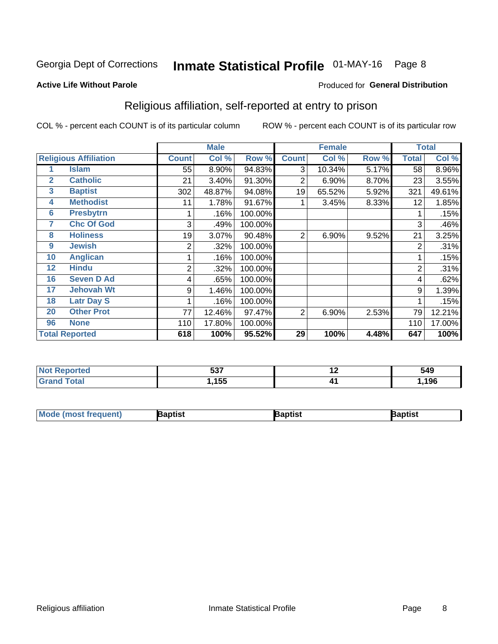## Inmate Statistical Profile 01-MAY-16 Page 8

#### **Active Life Without Parole**

#### Produced for General Distribution

### Religious affiliation, self-reported at entry to prison

COL % - percent each COUNT is of its particular column

|              |                              |              | <b>Male</b> |         |                | <b>Female</b> |       |                | <b>Total</b> |
|--------------|------------------------------|--------------|-------------|---------|----------------|---------------|-------|----------------|--------------|
|              | <b>Religious Affiliation</b> | <b>Count</b> | Col %       | Row %   | <b>Count</b>   | Col %         | Row % | <b>Total</b>   | Col %        |
|              | <b>Islam</b>                 | 55           | 8.90%       | 94.83%  | 3              | 10.34%        | 5.17% | 58             | 8.96%        |
| $\mathbf{2}$ | <b>Catholic</b>              | 21           | 3.40%       | 91.30%  | 2              | 6.90%         | 8.70% | 23             | 3.55%        |
| 3            | <b>Baptist</b>               | 302          | 48.87%      | 94.08%  | 19             | 65.52%        | 5.92% | 321            | 49.61%       |
| 4            | <b>Methodist</b>             | 11           | 1.78%       | 91.67%  |                | 3.45%         | 8.33% | 12             | 1.85%        |
| 6            | <b>Presbytrn</b>             |              | .16%        | 100.00% |                |               |       |                | .15%         |
| 7            | <b>Chc Of God</b>            | 3            | .49%        | 100.00% |                |               |       | 3              | .46%         |
| 8            | <b>Holiness</b>              | 19           | 3.07%       | 90.48%  | $\overline{2}$ | 6.90%         | 9.52% | 21             | 3.25%        |
| 9            | <b>Jewish</b>                | 2            | .32%        | 100.00% |                |               |       | $\overline{2}$ | .31%         |
| 10           | <b>Anglican</b>              |              | .16%        | 100.00% |                |               |       |                | .15%         |
| 12           | <b>Hindu</b>                 | 2            | .32%        | 100.00% |                |               |       | 2              | .31%         |
| 16           | <b>Seven D Ad</b>            | 4            | .65%        | 100.00% |                |               |       | 4              | .62%         |
| 17           | <b>Jehovah Wt</b>            | 9            | 1.46%       | 100.00% |                |               |       | 9              | 1.39%        |
| 18           | <b>Latr Day S</b>            |              | .16%        | 100.00% |                |               |       |                | .15%         |
| 20           | <b>Other Prot</b>            | 77           | 12.46%      | 97.47%  | 2              | 6.90%         | 2.53% | 79             | 12.21%       |
| 96           | <b>None</b>                  | 110          | 17.80%      | 100.00% |                |               |       | 110            | 17.00%       |
|              | <b>Total Reported</b>        | 618          | 100%        | 95.52%  | 29             | 100%          | 4.48% | 647            | 100%         |

|       | $F^{\sim}$      | $\sim$ | 549  |
|-------|-----------------|--------|------|
| _____ | <b>455</b><br>. |        | 1 ሰድ |

| l Mo<br>trequent)<br>æmmers | aptist | <b>Raptist</b> | Baptist |
|-----------------------------|--------|----------------|---------|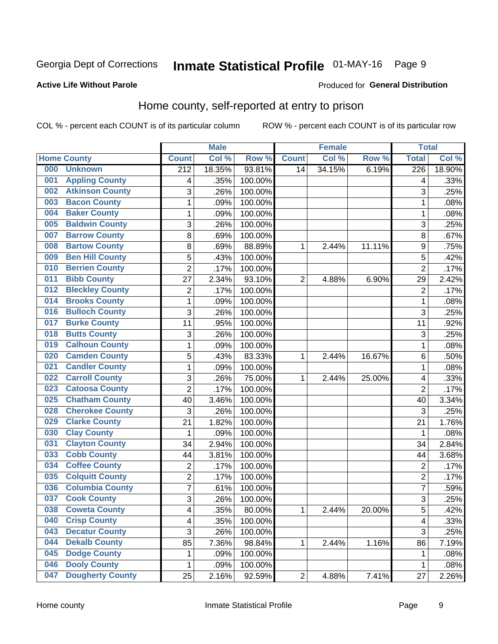#### Inmate Statistical Profile 01-MAY-16 Page 9

#### **Active Life Without Parole**

#### Produced for General Distribution

### Home county, self-reported at entry to prison

COL % - percent each COUNT is of its particular column

|     |                         |                  | <b>Male</b> |         |                | <b>Female</b> |        | <b>Total</b>     |        |
|-----|-------------------------|------------------|-------------|---------|----------------|---------------|--------|------------------|--------|
|     | <b>Home County</b>      | <b>Count</b>     | Col %       | Row %   | <b>Count</b>   | Col %         | Row %  | <b>Total</b>     | Col %  |
| 000 | <b>Unknown</b>          | $\overline{212}$ | 18.35%      | 93.81%  | 14             | 34.15%        | 6.19%  | $\overline{226}$ | 18.90% |
| 001 | <b>Appling County</b>   | 4                | .35%        | 100.00% |                |               |        | 4                | .33%   |
| 002 | <b>Atkinson County</b>  | 3                | .26%        | 100.00% |                |               |        | 3                | .25%   |
| 003 | <b>Bacon County</b>     | 1                | .09%        | 100.00% |                |               |        | 1                | .08%   |
| 004 | <b>Baker County</b>     | $\mathbf{1}$     | .09%        | 100.00% |                |               |        | 1                | .08%   |
| 005 | <b>Baldwin County</b>   | 3                | .26%        | 100.00% |                |               |        | 3                | .25%   |
| 007 | <b>Barrow County</b>    | 8                | .69%        | 100.00% |                |               |        | 8                | .67%   |
| 008 | <b>Bartow County</b>    | 8                | .69%        | 88.89%  | 1              | 2.44%         | 11.11% | 9                | .75%   |
| 009 | <b>Ben Hill County</b>  | 5                | .43%        | 100.00% |                |               |        | 5                | .42%   |
| 010 | <b>Berrien County</b>   | 2                | .17%        | 100.00% |                |               |        | $\overline{2}$   | .17%   |
| 011 | <b>Bibb County</b>      | 27               | 2.34%       | 93.10%  | $\overline{2}$ | 4.88%         | 6.90%  | 29               | 2.42%  |
| 012 | <b>Bleckley County</b>  | 2                | .17%        | 100.00% |                |               |        | $\overline{2}$   | .17%   |
| 014 | <b>Brooks County</b>    | $\mathbf{1}$     | .09%        | 100.00% |                |               |        | 1                | .08%   |
| 016 | <b>Bulloch County</b>   | 3                | .26%        | 100.00% |                |               |        | 3                | .25%   |
| 017 | <b>Burke County</b>     | 11               | .95%        | 100.00% |                |               |        | 11               | .92%   |
| 018 | <b>Butts County</b>     | 3                | .26%        | 100.00% |                |               |        | 3                | .25%   |
| 019 | <b>Calhoun County</b>   | 1                | .09%        | 100.00% |                |               |        | 1                | .08%   |
| 020 | <b>Camden County</b>    | 5                | .43%        | 83.33%  | 1              | 2.44%         | 16.67% | 6                | .50%   |
| 021 | <b>Candler County</b>   | $\mathbf{1}$     | .09%        | 100.00% |                |               |        | 1                | .08%   |
| 022 | <b>Carroll County</b>   | 3                | .26%        | 75.00%  | 1              | 2.44%         | 25.00% | 4                | .33%   |
| 023 | <b>Catoosa County</b>   | $\overline{2}$   | .17%        | 100.00% |                |               |        | $\overline{2}$   | .17%   |
| 025 | <b>Chatham County</b>   | 40               | 3.46%       | 100.00% |                |               |        | 40               | 3.34%  |
| 028 | <b>Cherokee County</b>  | 3                | .26%        | 100.00% |                |               |        | 3                | .25%   |
| 029 | <b>Clarke County</b>    | 21               | 1.82%       | 100.00% |                |               |        | 21               | 1.76%  |
| 030 | <b>Clay County</b>      | 1                | .09%        | 100.00% |                |               |        | 1                | .08%   |
| 031 | <b>Clayton County</b>   | 34               | 2.94%       | 100.00% |                |               |        | 34               | 2.84%  |
| 033 | <b>Cobb County</b>      | 44               | 3.81%       | 100.00% |                |               |        | 44               | 3.68%  |
| 034 | <b>Coffee County</b>    | $\overline{2}$   | .17%        | 100.00% |                |               |        | $\overline{2}$   | .17%   |
| 035 | <b>Colquitt County</b>  | $\overline{2}$   | .17%        | 100.00% |                |               |        | $\overline{2}$   | .17%   |
| 036 | <b>Columbia County</b>  | 7                | .61%        | 100.00% |                |               |        | $\overline{7}$   | .59%   |
| 037 | <b>Cook County</b>      | 3                | .26%        | 100.00% |                |               |        | 3                | .25%   |
| 038 | <b>Coweta County</b>    | 4                | .35%        | 80.00%  | 1              | 2.44%         | 20.00% | 5                | .42%   |
| 040 | <b>Crisp County</b>     | 4                | .35%        | 100.00% |                |               |        | 4                | .33%   |
| 043 | <b>Decatur County</b>   | 3                | .26%        | 100.00% |                |               |        | $\overline{3}$   | .25%   |
| 044 | <b>Dekalb County</b>    | 85               | 7.36%       | 98.84%  | 1              | 2.44%         | 1.16%  | 86               | 7.19%  |
| 045 | <b>Dodge County</b>     | 1                | .09%        | 100.00% |                |               |        | 1                | .08%   |
| 046 | <b>Dooly County</b>     | 1                | .09%        | 100.00% |                |               |        | 1                | .08%   |
| 047 | <b>Dougherty County</b> | 25               | 2.16%       | 92.59%  | $\sqrt{2}$     | 4.88%         | 7.41%  | 27               | 2.26%  |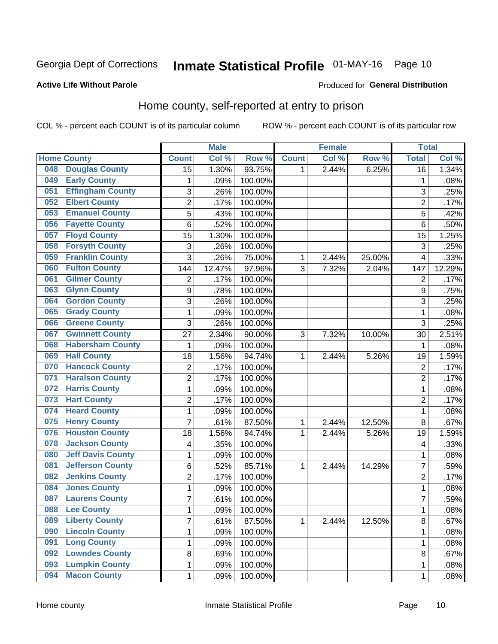## Inmate Statistical Profile 01-MAY-16 Page 10

#### **Active Life Without Parole**

#### Produced for General Distribution

### Home county, self-reported at entry to prison

COL % - percent each COUNT is of its particular column

|     |                          |                | <b>Male</b> |         |              | <b>Female</b> |        | <b>Total</b>    |        |
|-----|--------------------------|----------------|-------------|---------|--------------|---------------|--------|-----------------|--------|
|     | <b>Home County</b>       | <b>Count</b>   | Col %       | Row %   | <b>Count</b> | Col %         | Row %  | <b>Total</b>    | Col %  |
| 048 | <b>Douglas County</b>    | 15             | 1.30%       | 93.75%  | 1            | 2.44%         | 6.25%  | 16              | 1.34%  |
| 049 | <b>Early County</b>      | 1              | .09%        | 100.00% |              |               |        | 1               | .08%   |
| 051 | <b>Effingham County</b>  | 3              | .26%        | 100.00% |              |               |        | 3               | .25%   |
| 052 | <b>Elbert County</b>     | 2              | .17%        | 100.00% |              |               |        | $\overline{2}$  | .17%   |
| 053 | <b>Emanuel County</b>    | 5              | .43%        | 100.00% |              |               |        | 5               | .42%   |
| 056 | <b>Fayette County</b>    | 6              | .52%        | 100.00% |              |               |        | $6\phantom{1}6$ | .50%   |
| 057 | <b>Floyd County</b>      | 15             | 1.30%       | 100.00% |              |               |        | 15              | 1.25%  |
| 058 | <b>Forsyth County</b>    | 3              | .26%        | 100.00% |              |               |        | 3               | .25%   |
| 059 | <b>Franklin County</b>   | 3              | .26%        | 75.00%  | 1            | 2.44%         | 25.00% | 4               | .33%   |
| 060 | <b>Fulton County</b>     | 144            | 12.47%      | 97.96%  | 3            | 7.32%         | 2.04%  | 147             | 12.29% |
| 061 | <b>Gilmer County</b>     | 2              | .17%        | 100.00% |              |               |        | $\overline{2}$  | .17%   |
| 063 | <b>Glynn County</b>      | 9              | .78%        | 100.00% |              |               |        | 9               | .75%   |
| 064 | <b>Gordon County</b>     | 3              | .26%        | 100.00% |              |               |        | 3               | .25%   |
| 065 | <b>Grady County</b>      | 1              | .09%        | 100.00% |              |               |        | 1               | .08%   |
| 066 | <b>Greene County</b>     | 3              | .26%        | 100.00% |              |               |        | 3               | .25%   |
| 067 | <b>Gwinnett County</b>   | 27             | 2.34%       | 90.00%  | 3            | 7.32%         | 10.00% | 30              | 2.51%  |
| 068 | <b>Habersham County</b>  | 1              | .09%        | 100.00% |              |               |        | 1               | .08%   |
| 069 | <b>Hall County</b>       | 18             | 1.56%       | 94.74%  | 1            | 2.44%         | 5.26%  | 19              | 1.59%  |
| 070 | <b>Hancock County</b>    | 2              | .17%        | 100.00% |              |               |        | $\overline{2}$  | .17%   |
| 071 | <b>Haralson County</b>   | 2              | .17%        | 100.00% |              |               |        | $\overline{2}$  | .17%   |
| 072 | <b>Harris County</b>     | $\mathbf{1}$   | .09%        | 100.00% |              |               |        | 1               | .08%   |
| 073 | <b>Hart County</b>       | 2              | .17%        | 100.00% |              |               |        | $\overline{2}$  | .17%   |
| 074 | <b>Heard County</b>      | $\mathbf{1}$   | .09%        | 100.00% |              |               |        | 1               | .08%   |
| 075 | <b>Henry County</b>      | 7              | .61%        | 87.50%  | 1            | 2.44%         | 12.50% | 8               | .67%   |
| 076 | <b>Houston County</b>    | 18             | 1.56%       | 94.74%  | 1            | 2.44%         | 5.26%  | 19              | 1.59%  |
| 078 | <b>Jackson County</b>    | 4              | .35%        | 100.00% |              |               |        | 4               | .33%   |
| 080 | <b>Jeff Davis County</b> | 1              | .09%        | 100.00% |              |               |        | 1               | .08%   |
| 081 | <b>Jefferson County</b>  | 6              | .52%        | 85.71%  | 1            | 2.44%         | 14.29% | 7               | .59%   |
| 082 | <b>Jenkins County</b>    | 2              | .17%        | 100.00% |              |               |        | $\overline{2}$  | .17%   |
| 084 | <b>Jones County</b>      | 1              | .09%        | 100.00% |              |               |        | 1               | .08%   |
| 087 | <b>Laurens County</b>    | $\overline{7}$ | .61%        | 100.00% |              |               |        | 7               | .59%   |
| 088 | <b>Lee County</b>        | 1              | .09%        | 100.00% |              |               |        | 1               | .08%   |
| 089 | <b>Liberty County</b>    | $\overline{7}$ | .61%        | 87.50%  | $\mathbf{1}$ | 2.44%         | 12.50% | 8               | .67%   |
| 090 | <b>Lincoln County</b>    | 1              | .09%        | 100.00% |              |               |        | 1               | .08%   |
| 091 | <b>Long County</b>       | 1              | .09%        | 100.00% |              |               |        | 1               | .08%   |
| 092 | <b>Lowndes County</b>    | 8              | .69%        | 100.00% |              |               |        | 8               | .67%   |
| 093 | <b>Lumpkin County</b>    | 1              | .09%        | 100.00% |              |               |        | 1               | .08%   |
| 094 | <b>Macon County</b>      | 1              | .09%        | 100.00% |              |               |        | 1               | .08%   |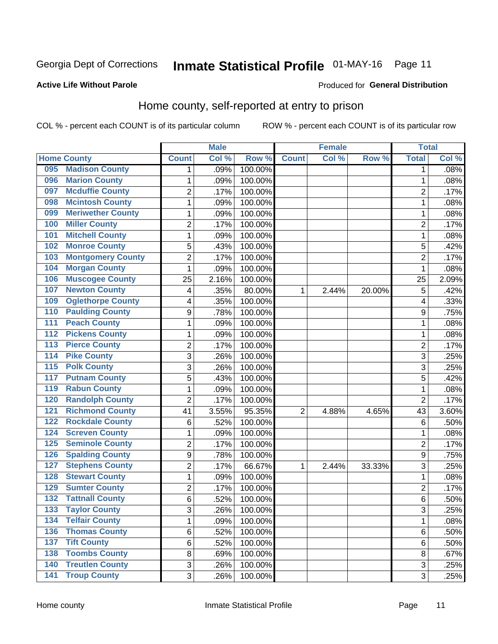## Inmate Statistical Profile 01-MAY-16 Page 11

#### **Active Life Without Parole**

#### Produced for General Distribution

### Home county, self-reported at entry to prison

COL % - percent each COUNT is of its particular column

|                  |                          |                         | <b>Male</b> |         |              | <b>Female</b> |        | <b>Total</b>   |       |
|------------------|--------------------------|-------------------------|-------------|---------|--------------|---------------|--------|----------------|-------|
|                  | <b>Home County</b>       | <b>Count</b>            | Col %       | Row %   | <b>Count</b> | Col %         | Row %  | <b>Total</b>   | Col % |
| 095              | <b>Madison County</b>    | 1                       | .09%        | 100.00% |              |               |        | 1              | .08%  |
| 096              | <b>Marion County</b>     | $\mathbf{1}$            | .09%        | 100.00% |              |               |        | 1              | .08%  |
| 097              | <b>Mcduffie County</b>   | $\overline{c}$          | .17%        | 100.00% |              |               |        | $\overline{c}$ | .17%  |
| 098              | <b>Mcintosh County</b>   | $\mathbf{1}$            | .09%        | 100.00% |              |               |        | 1              | .08%  |
| 099              | <b>Meriwether County</b> | $\mathbf{1}$            | .09%        | 100.00% |              |               |        | 1              | .08%  |
| 100              | <b>Miller County</b>     | $\overline{2}$          | .17%        | 100.00% |              |               |        | $\overline{2}$ | .17%  |
| 101              | <b>Mitchell County</b>   | 1                       | .09%        | 100.00% |              |               |        | 1              | .08%  |
| 102              | <b>Monroe County</b>     | $\sqrt{5}$              | .43%        | 100.00% |              |               |        | 5              | .42%  |
| 103              | <b>Montgomery County</b> | $\overline{2}$          | .17%        | 100.00% |              |               |        | $\overline{2}$ | .17%  |
| 104              | <b>Morgan County</b>     | $\mathbf{1}$            | .09%        | 100.00% |              |               |        | 1              | .08%  |
| 106              | <b>Muscogee County</b>   | 25                      | 2.16%       | 100.00% |              |               |        | 25             | 2.09% |
| 107              | <b>Newton County</b>     | 4                       | .35%        | 80.00%  | 1            | 2.44%         | 20.00% | 5              | .42%  |
| 109              | <b>Oglethorpe County</b> | $\overline{\mathbf{4}}$ | .35%        | 100.00% |              |               |        | 4              | .33%  |
| 110              | <b>Paulding County</b>   | $\boldsymbol{9}$        | .78%        | 100.00% |              |               |        | 9              | .75%  |
| 111              | <b>Peach County</b>      | $\mathbf{1}$            | .09%        | 100.00% |              |               |        | 1              | .08%  |
| 112              | <b>Pickens County</b>    | $\mathbf{1}$            | .09%        | 100.00% |              |               |        | 1              | .08%  |
| 113              | <b>Pierce County</b>     | $\overline{2}$          | .17%        | 100.00% |              |               |        | 2              | .17%  |
| 114              | <b>Pike County</b>       | 3                       | .26%        | 100.00% |              |               |        | 3              | .25%  |
| $\overline{115}$ | <b>Polk County</b>       | 3                       | .26%        | 100.00% |              |               |        | 3              | .25%  |
| 117              | <b>Putnam County</b>     | $\sqrt{5}$              | .43%        | 100.00% |              |               |        | 5              | .42%  |
| 119              | <b>Rabun County</b>      | $\mathbf{1}$            | .09%        | 100.00% |              |               |        | 1              | .08%  |
| 120              | <b>Randolph County</b>   | $\overline{2}$          | .17%        | 100.00% |              |               |        | $\overline{2}$ | .17%  |
| 121              | <b>Richmond County</b>   | 41                      | 3.55%       | 95.35%  | 2            | 4.88%         | 4.65%  | 43             | 3.60% |
| 122              | <b>Rockdale County</b>   | 6                       | .52%        | 100.00% |              |               |        | 6              | .50%  |
| 124              | <b>Screven County</b>    | $\mathbf{1}$            | .09%        | 100.00% |              |               |        | 1              | .08%  |
| 125              | <b>Seminole County</b>   | $\overline{2}$          | .17%        | 100.00% |              |               |        | $\overline{2}$ | .17%  |
| 126              | <b>Spalding County</b>   | $\mathsf g$             | .78%        | 100.00% |              |               |        | 9              | .75%  |
| 127              | <b>Stephens County</b>   | $\overline{2}$          | .17%        | 66.67%  | 1            | 2.44%         | 33.33% | 3              | .25%  |
| 128              | <b>Stewart County</b>    | $\mathbf{1}$            | .09%        | 100.00% |              |               |        | 1              | .08%  |
| 129              | <b>Sumter County</b>     | $\overline{2}$          | .17%        | 100.00% |              |               |        | $\overline{c}$ | .17%  |
| 132              | <b>Tattnall County</b>   | 6                       | .52%        | 100.00% |              |               |        | 6              | .50%  |
| 133              | <b>Taylor County</b>     | 3                       | .26%        | 100.00% |              |               |        | 3              | .25%  |
| 134              | <b>Telfair County</b>    | $\mathbf{1}$            | .09%        | 100.00% |              |               |        | 1              | .08%  |
| 136              | <b>Thomas County</b>     | 6                       | .52%        | 100.00% |              |               |        | 6              | .50%  |
| 137              | <b>Tift County</b>       | 6                       | .52%        | 100.00% |              |               |        | 6              | .50%  |
| 138              | <b>Toombs County</b>     | 8                       | .69%        | 100.00% |              |               |        | 8              | .67%  |
| 140              | <b>Treutlen County</b>   | 3                       | .26%        | 100.00% |              |               |        | 3              | .25%  |
| 141              | <b>Troup County</b>      | 3                       | .26%        | 100.00% |              |               |        | 3              | .25%  |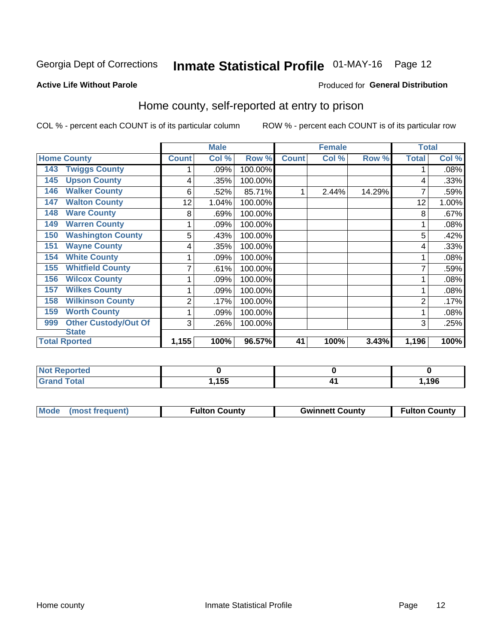## Inmate Statistical Profile 01-MAY-16 Page 12

#### **Active Life Without Parole**

#### Produced for General Distribution

### Home county, self-reported at entry to prison

COL % - percent each COUNT is of its particular column

|                                    |              | <b>Male</b> |         |              | <b>Female</b> |        | <b>Total</b> |       |
|------------------------------------|--------------|-------------|---------|--------------|---------------|--------|--------------|-------|
| <b>Home County</b>                 | <b>Count</b> | Col %       | Row %   | <b>Count</b> | Col %         | Row %  | <b>Total</b> | Col % |
| <b>Twiggs County</b><br>143        |              | .09%        | 100.00% |              |               |        |              | .08%  |
| 145<br><b>Upson County</b>         | 4            | .35%        | 100.00% |              |               |        | 4            | .33%  |
| <b>Walker County</b><br>146        | 6            | .52%        | 85.71%  |              | 2.44%         | 14.29% |              | .59%  |
| <b>Walton County</b><br>147        | 12           | 1.04%       | 100.00% |              |               |        | 12           | 1.00% |
| <b>Ware County</b><br>148          | 8            | .69%        | 100.00% |              |               |        | 8            | .67%  |
| <b>Warren County</b><br>149        |              | .09%        | 100.00% |              |               |        |              | .08%  |
| <b>Washington County</b><br>150    | 5            | .43%        | 100.00% |              |               |        | 5            | .42%  |
| <b>Wayne County</b><br>151         | 4            | .35%        | 100.00% |              |               |        | 4            | .33%  |
| <b>White County</b><br>154         | 1            | .09%        | 100.00% |              |               |        |              | .08%  |
| <b>Whitfield County</b><br>155     | 7            | .61%        | 100.00% |              |               |        |              | .59%  |
| <b>Wilcox County</b><br>156        | 1            | .09%        | 100.00% |              |               |        |              | .08%  |
| <b>Wilkes County</b><br>157        | 1            | .09%        | 100.00% |              |               |        |              | .08%  |
| <b>Wilkinson County</b><br>158     | 2            | .17%        | 100.00% |              |               |        | 2            | .17%  |
| <b>Worth County</b><br>159         |              | .09%        | 100.00% |              |               |        |              | .08%  |
| <b>Other Custody/Out Of</b><br>999 | 3            | .26%        | 100.00% |              |               |        | 3            | .25%  |
| <b>State</b>                       |              |             |         |              |               |        |              |       |
| <b>Total Rported</b>               | 1,155        | 100%        | 96.57%  | 41           | 100%          | 3.43%  | 1,196        | 100%  |

| ported<br>'N ( |      |     |      |
|----------------|------|-----|------|
| $\sim$         | ,155 | . . | ,196 |

| Mode (most frequent) | <b>Fulton County</b> | <b>Gwinnett County</b> | <b>Fulton County</b> |
|----------------------|----------------------|------------------------|----------------------|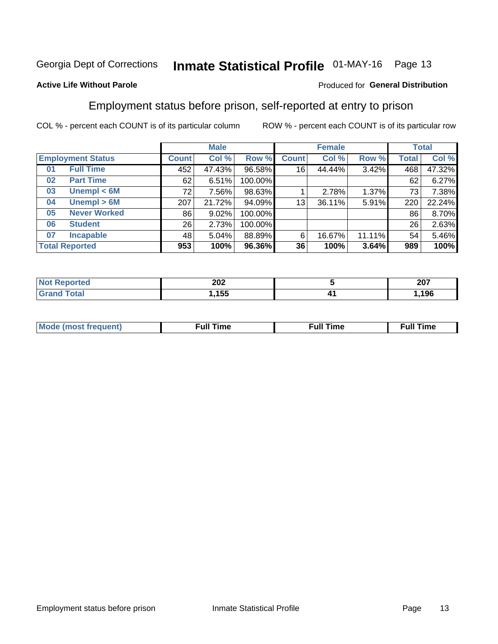## Inmate Statistical Profile 01-MAY-16 Page 13

#### **Active Life Without Parole**

#### Produced for General Distribution

### Employment status before prison, self-reported at entry to prison

COL % - percent each COUNT is of its particular column

|                           |              | <b>Male</b> |         |                 | <b>Female</b> |        |       | <b>Total</b> |
|---------------------------|--------------|-------------|---------|-----------------|---------------|--------|-------|--------------|
| <b>Employment Status</b>  | <b>Count</b> | Col %       | Row %   | <b>Count</b>    | Col %         | Row %  | Total | Col %        |
| <b>Full Time</b><br>01    | 452          | 47.43%      | 96.58%  | 16              | 44.44%        | 3.42%  | 468   | 47.32%       |
| <b>Part Time</b><br>02    | 62           | 6.51%       | 100.00% |                 |               |        | 62    | 6.27%        |
| Unempl $<$ 6M<br>03       | 72           | 7.56%       | 98.63%  |                 | 2.78%         | 1.37%  | 73    | 7.38%        |
| Unempl > 6M<br>04         | 207          | 21.72%      | 94.09%  | 13 <sub>1</sub> | 36.11%        | 5.91%  | 220   | 22.24%       |
| <b>Never Worked</b><br>05 | 86           | 9.02%       | 100.00% |                 |               |        | 86    | 8.70%        |
| <b>Student</b><br>06      | 26           | 2.73%       | 100.00% |                 |               |        | 26    | 2.63%        |
| <b>Incapable</b><br>07    | 48           | 5.04%       | 88.89%  | 6               | 16.67%        | 11.11% | 54    | 5.46%        |
| <b>Total Reported</b>     | 953          | 100%        | 96.36%  | 36              | 100%          | 3.64%  | 989   | 100%         |

| 202        |    | 207<br>ZV I |
|------------|----|-------------|
| <b>15F</b> | ,, | 106         |
| טט ו       |    | IJU         |

| Mc | ∙u∥<br>----<br>ıme | ίuΙ<br>Πmε |
|----|--------------------|------------|
|    |                    |            |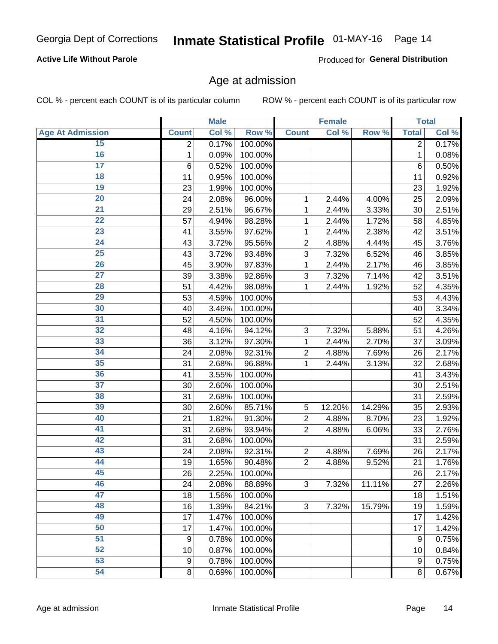#### **Active Life Without Parole**

Produced for General Distribution

### Age at admission

COL % - percent each COUNT is of its particular column

|                         |              | <b>Male</b> |         |                | <b>Female</b> |        |                  | <b>Total</b>        |
|-------------------------|--------------|-------------|---------|----------------|---------------|--------|------------------|---------------------|
| <b>Age At Admission</b> | <b>Count</b> | Col %       | Row %   | <b>Count</b>   | Col %         | Row %  | <b>Total</b>     | Col %               |
| 15                      | 2            | 0.17%       | 100.00% |                |               |        | 2                | 0.17%               |
| 16                      | 1            | 0.09%       | 100.00% |                |               |        | 1                | 0.08%               |
| $\overline{17}$         | 6            | 0.52%       | 100.00% |                |               |        | 6                | 0.50%               |
| 18                      | 11           | 0.95%       | 100.00% |                |               |        | 11               | 0.92%               |
| 19                      | 23           | 1.99%       | 100.00% |                |               |        | 23               | 1.92%               |
| $\overline{20}$         | 24           | 2.08%       | 96.00%  | 1              | 2.44%         | 4.00%  | 25               | 2.09%               |
| $\overline{21}$         | 29           | 2.51%       | 96.67%  | 1              | 2.44%         | 3.33%  | 30               | 2.51%               |
| $\overline{22}$         | 57           | 4.94%       | 98.28%  | 1              | 2.44%         | 1.72%  | 58               | 4.85%               |
| 23                      | 41           | 3.55%       | 97.62%  | 1              | 2.44%         | 2.38%  | 42               | 3.51%               |
| $\overline{24}$         | 43           | 3.72%       | 95.56%  | $\overline{2}$ | 4.88%         | 4.44%  | 45               | 3.76%               |
| $\overline{25}$         | 43           | 3.72%       | 93.48%  | 3              | 7.32%         | 6.52%  | 46               | 3.85%               |
| 26                      | 45           | 3.90%       | 97.83%  | 1              | 2.44%         | 2.17%  | 46               | 3.85%               |
| $\overline{27}$         | 39           | 3.38%       | 92.86%  | 3              | 7.32%         | 7.14%  | 42               | 3.51%               |
| 28                      | 51           | 4.42%       | 98.08%  | 1              | 2.44%         | 1.92%  | 52               | 4.35%               |
| 29                      | 53           | 4.59%       | 100.00% |                |               |        | 53               | 4.43%               |
| 30                      | 40           | 3.46%       | 100.00% |                |               |        | 40               | 3.34%               |
| 31                      | 52           | 4.50%       | 100.00% |                |               |        | 52               | 4.35%               |
| 32                      | 48           | 4.16%       | 94.12%  | 3              | 7.32%         | 5.88%  | 51               | 4.26%               |
| 33                      | 36           | 3.12%       | 97.30%  | 1              | 2.44%         | 2.70%  | 37               | 3.09%               |
| 34                      | 24           | 2.08%       | 92.31%  | $\overline{2}$ | 4.88%         | 7.69%  | 26               | 2.17%               |
| 35                      | 31           | 2.68%       | 96.88%  | 1              | 2.44%         | 3.13%  | 32               | 2.68%               |
| 36                      | 41           | 3.55%       | 100.00% |                |               |        | 41               | 3.43%               |
| $\overline{37}$         | 30           | 2.60%       | 100.00% |                |               |        | 30               | 2.51%               |
| 38                      | 31           | 2.68%       | 100.00% |                |               |        | 31               | 2.59%               |
| 39                      | 30           | 2.60%       | 85.71%  | 5              | 12.20%        | 14.29% | 35               | 2.93%               |
| 40                      | 21           | 1.82%       | 91.30%  | $\overline{2}$ | 4.88%         | 8.70%  | 23               | 1.92%               |
| 41                      | 31           | 2.68%       | 93.94%  | $\overline{2}$ | 4.88%         | 6.06%  | 33               | 2.76%               |
| 42                      | 31           | 2.68%       | 100.00% |                |               |        | 31               | 2.59%               |
| 43                      | 24           | 2.08%       | 92.31%  | $\overline{2}$ | 4.88%         | 7.69%  | 26               | 2.17%               |
| 44                      | 19           | 1.65%       | 90.48%  | $\overline{2}$ | 4.88%         | 9.52%  | 21               | 1.76%               |
| 45                      | 26           | 2.25%       | 100.00% |                |               |        | 26               | 2.17%               |
| 46                      | 24           | 2.08%       | 88.89%  | 3              | 7.32%         | 11.11% | 27               | 2.26%               |
| 47                      | 18           | 1.56%       | 100.00% |                |               |        | 18               | $\overline{1.51\%}$ |
| 48                      | 16           | 1.39%       | 84.21%  | 3              | 7.32%         | 15.79% | 19               | 1.59%               |
| 49                      | 17           | 1.47%       | 100.00% |                |               |        | 17               | 1.42%               |
| 50                      | 17           | 1.47%       | 100.00% |                |               |        | 17               | 1.42%               |
| $\overline{51}$         | 9            | 0.78%       | 100.00% |                |               |        | $\boldsymbol{9}$ | $\overline{0.75\%}$ |
| 52                      | 10           | 0.87%       | 100.00% |                |               |        | 10               | 0.84%               |
| 53                      | 9            | 0.78%       | 100.00% |                |               |        | $\boldsymbol{9}$ | 0.75%               |
| 54                      | 8            | 0.69%       | 100.00% |                |               |        | 8                | 0.67%               |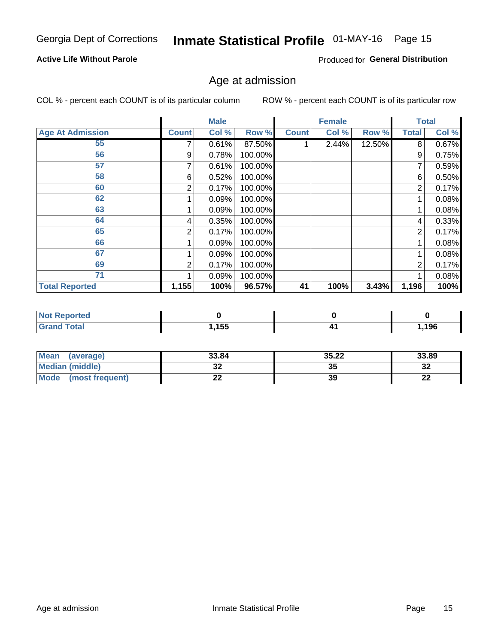## Inmate Statistical Profile 01-MAY-16 Page 15

#### **Active Life Without Parole**

Produced for General Distribution

### Age at admission

COL % - percent each COUNT is of its particular column

|                         |              | <b>Male</b> |         |              | <b>Female</b> |        |                | <b>Total</b> |
|-------------------------|--------------|-------------|---------|--------------|---------------|--------|----------------|--------------|
| <b>Age At Admission</b> | <b>Count</b> | Col %       | Row %   | <b>Count</b> | Col %         | Row %  | <b>Total</b>   | Col %        |
| 55                      |              | 0.61%       | 87.50%  |              | 2.44%         | 12.50% | 8              | 0.67%        |
| 56                      | 9            | 0.78%       | 100.00% |              |               |        | 9              | 0.75%        |
| 57                      |              | 0.61%       | 100.00% |              |               |        | 7              | 0.59%        |
| 58                      | 6            | 0.52%       | 100.00% |              |               |        | 6              | 0.50%        |
| 60                      | 2            | 0.17%       | 100.00% |              |               |        | 2              | 0.17%        |
| 62                      |              | 0.09%       | 100.00% |              |               |        |                | 0.08%        |
| 63                      |              | 0.09%       | 100.00% |              |               |        |                | 0.08%        |
| 64                      | 4            | 0.35%       | 100.00% |              |               |        | 4              | 0.33%        |
| 65                      | 2            | 0.17%       | 100.00% |              |               |        | $\overline{2}$ | 0.17%        |
| 66                      |              | 0.09%       | 100.00% |              |               |        |                | 0.08%        |
| 67                      |              | 0.09%       | 100.00% |              |               |        |                | 0.08%        |
| 69                      | 2            | 0.17%       | 100.00% |              |               |        | 2              | 0.17%        |
| 71                      |              | 0.09%       | 100.00% |              |               |        |                | 0.08%        |
| <b>Total Reported</b>   | 1,155        | 100%        | 96.57%  | 41           | 100%          | 3.43%  | 1,196          | 100%         |

| <b>Not Reported</b>          |      |      |
|------------------------------|------|------|
| <b>Total</b><br><b>Grand</b> | ,155 | ,196 |

| <b>Mean</b><br>(average) | 33.84 | 35.22 | 33.89    |
|--------------------------|-------|-------|----------|
| Median (middle)          | JZ    | 35    | າາ<br>∠د |
| Mode<br>(most frequent)  | --    | 39    | n.<br>LL |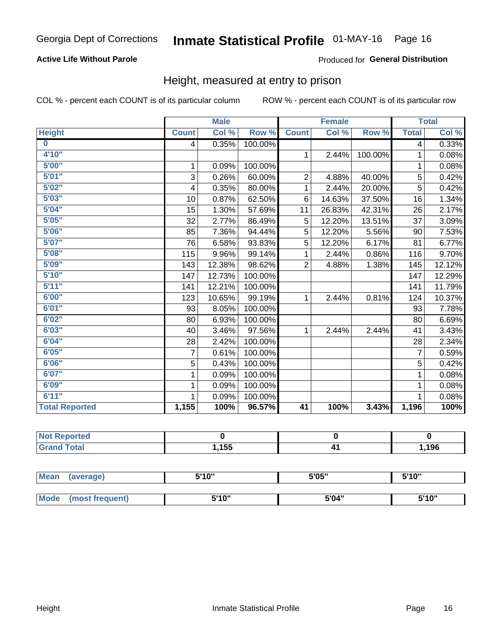#### **Active Life Without Parole**

#### Produced for General Distribution

### Height, measured at entry to prison

COL % - percent each COUNT is of its particular column

|                       |              | <b>Male</b> |         |                | <b>Female</b> |         |                | <b>Total</b> |
|-----------------------|--------------|-------------|---------|----------------|---------------|---------|----------------|--------------|
| <b>Height</b>         | <b>Count</b> | Col %       | Row %   | <b>Count</b>   | Col %         | Row %   | <b>Total</b>   | Col %        |
| $\bf{0}$              | 4            | 0.35%       | 100.00% |                |               |         | 4              | 0.33%        |
| 4'10"                 |              |             |         | $\mathbf{1}$   | 2.44%         | 100.00% | 1              | 0.08%        |
| 5'00''                | 1            | 0.09%       | 100.00% |                |               |         | 1              | 0.08%        |
| 5'01"                 | 3            | 0.26%       | 60.00%  | $\overline{c}$ | 4.88%         | 40.00%  | 5              | 0.42%        |
| 5'02"                 | 4            | 0.35%       | 80.00%  | 1              | 2.44%         | 20.00%  | 5              | 0.42%        |
| 5'03''                | 10           | 0.87%       | 62.50%  | 6              | 14.63%        | 37.50%  | 16             | 1.34%        |
| 5'04"                 | 15           | 1.30%       | 57.69%  | 11             | 26.83%        | 42.31%  | 26             | 2.17%        |
| 5'05"                 | 32           | 2.77%       | 86.49%  | 5              | 12.20%        | 13.51%  | 37             | 3.09%        |
| 5'06''                | 85           | 7.36%       | 94.44%  | 5              | 12.20%        | 5.56%   | 90             | 7.53%        |
| 5'07"                 | 76           | 6.58%       | 93.83%  | 5              | 12.20%        | 6.17%   | 81             | 6.77%        |
| 5'08''                | 115          | 9.96%       | 99.14%  | 1              | 2.44%         | 0.86%   | 116            | 9.70%        |
| 5'09''                | 143          | 12.38%      | 98.62%  | $\overline{2}$ | 4.88%         | 1.38%   | 145            | 12.12%       |
| 5'10''                | 147          | 12.73%      | 100.00% |                |               |         | 147            | 12.29%       |
| 5'11''                | 141          | 12.21%      | 100.00% |                |               |         | 141            | 11.79%       |
| 6'00''                | 123          | 10.65%      | 99.19%  | 1              | 2.44%         | 0.81%   | 124            | 10.37%       |
| 6'01''                | 93           | 8.05%       | 100.00% |                |               |         | 93             | 7.78%        |
| 6'02"                 | 80           | 6.93%       | 100.00% |                |               |         | 80             | 6.69%        |
| 6'03''                | 40           | 3.46%       | 97.56%  | $\mathbf{1}$   | 2.44%         | 2.44%   | 41             | 3.43%        |
| 6'04"                 | 28           | 2.42%       | 100.00% |                |               |         | 28             | 2.34%        |
| 6'05"                 | 7            | 0.61%       | 100.00% |                |               |         | $\overline{7}$ | 0.59%        |
| 6'06''                | 5            | 0.43%       | 100.00% |                |               |         | 5              | 0.42%        |
| 6'07''                | 1            | 0.09%       | 100.00% |                |               |         | 1              | 0.08%        |
| 6'09''                | 1            | 0.09%       | 100.00% |                |               |         | 1              | 0.08%        |
| 6'11''                | 1            | 0.09%       | 100.00% |                |               |         |                | 0.08%        |
| <b>Total Reported</b> | 1,155        | 100%        | 96.57%  | 41             | 100%          | 3.43%   | 1,196          | 100%         |

| <b>NOT</b><br>rted<br>менон<br>$\sim$ |     |      |
|---------------------------------------|-----|------|
| $f$ oto $f$                           | 155 | ,196 |

| Mean        | (average)       | 5'10"                | 5'05" | 5'10"<br>J |
|-------------|-----------------|----------------------|-------|------------|
|             |                 |                      |       |            |
| <b>Mode</b> | (most frequent) | <b>E'40"</b><br>טו כ | 5'04" | 5'10"      |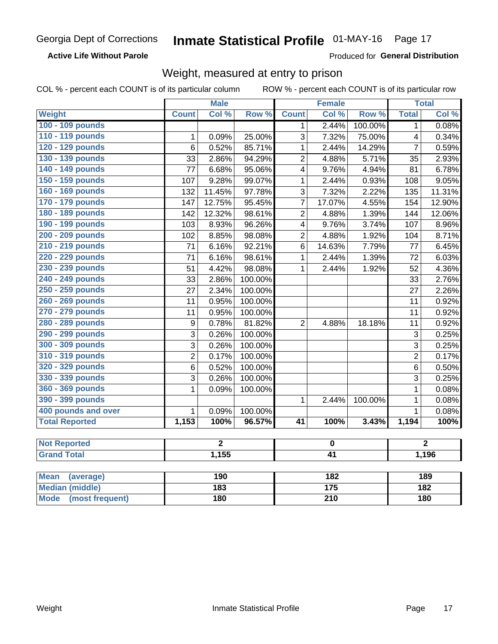#### **Active Life Without Parole**

Produced for General Distribution

### Weight, measured at entry to prison

COL % - percent each COUNT is of its particular column

|                                                          |                  | <b>Male</b>      |         |                         | <b>Female</b>           |         |                | <b>Total</b>     |
|----------------------------------------------------------|------------------|------------------|---------|-------------------------|-------------------------|---------|----------------|------------------|
| <b>Weight</b>                                            | <b>Count</b>     | Col %            | Row %   | <b>Count</b>            | Col %                   | Row %   | <b>Total</b>   | Col%             |
| 100 - 109 pounds                                         |                  |                  |         | 1                       | 2.44%                   | 100.00% | 1              | 0.08%            |
| 110 - 119 pounds                                         | 1                | 0.09%            | 25.00%  | $\mathbf{3}$            | 7.32%                   | 75.00%  | 4              | 0.34%            |
| 120 - 129 pounds                                         | 6                | 0.52%            | 85.71%  | $\mathbf{1}$            | 2.44%                   | 14.29%  | $\overline{7}$ | 0.59%            |
| 130 - 139 pounds                                         | 33               | 2.86%            | 94.29%  | $\overline{2}$          | 4.88%                   | 5.71%   | 35             | 2.93%            |
| 140 - 149 pounds                                         | 77               | 6.68%            | 95.06%  | 4                       | 9.76%                   | 4.94%   | 81             | 6.78%            |
| 150 - 159 pounds                                         | 107              | 9.28%            | 99.07%  | 1                       | 2.44%                   | 0.93%   | 108            | 9.05%            |
| 160 - 169 pounds                                         | 132              | 11.45%           | 97.78%  | 3                       | 7.32%                   | 2.22%   | 135            | 11.31%           |
| 170 - 179 pounds                                         | 147              | 12.75%           | 95.45%  | $\overline{7}$          | 17.07%                  | 4.55%   | 154            | 12.90%           |
| 180 - 189 pounds                                         | 142              | 12.32%           | 98.61%  | $\overline{2}$          | 4.88%                   | 1.39%   | 144            | 12.06%           |
| 190 - 199 pounds                                         | 103              | 8.93%            | 96.26%  | $\overline{\mathbf{4}}$ | 9.76%                   | 3.74%   | 107            | 8.96%            |
| 200 - 209 pounds                                         | 102              | 8.85%            | 98.08%  | $\overline{2}$          | 4.88%                   | 1.92%   | 104            | 8.71%            |
| 210 - 219 pounds                                         | 71               | 6.16%            | 92.21%  | 6                       | 14.63%                  | 7.79%   | 77             | 6.45%            |
| 220 - 229 pounds                                         | 71               | 6.16%            | 98.61%  | 1                       | 2.44%                   | 1.39%   | 72             | 6.03%            |
| 230 - 239 pounds                                         | 51               | 4.42%            | 98.08%  | 1                       | 2.44%                   | 1.92%   | 52             | 4.36%            |
| 240 - 249 pounds                                         | 33               | 2.86%            | 100.00% |                         |                         |         | 33             | 2.76%            |
| 250 - 259 pounds                                         | 27               | 2.34%            | 100.00% |                         |                         |         | 27             | 2.26%            |
| 260 - 269 pounds                                         | 11               | 0.95%            | 100.00% |                         |                         |         | 11             | 0.92%            |
| 270 - 279 pounds                                         | 11               | 0.95%            | 100.00% |                         |                         |         | 11             | 0.92%            |
| 280 - 289 pounds                                         | $\boldsymbol{9}$ | 0.78%            | 81.82%  | $\overline{2}$          | 4.88%                   | 18.18%  | 11             | 0.92%            |
| 290 - 299 pounds                                         | 3                | 0.26%            | 100.00% |                         |                         |         | 3              | 0.25%            |
| 300 - 309 pounds                                         | $\overline{3}$   | 0.26%            | 100.00% |                         |                         |         | $\overline{3}$ | 0.25%            |
| 310 - 319 pounds                                         | $\overline{2}$   | 0.17%            | 100.00% |                         |                         |         | $\overline{2}$ | 0.17%            |
| 320 - 329 pounds                                         | 6                | 0.52%            | 100.00% |                         |                         |         | 6              | 0.50%            |
| 330 - 339 pounds                                         | 3                | 0.26%            | 100.00% |                         |                         |         | 3              | 0.25%            |
| 360 - 369 pounds                                         | $\mathbf 1$      | 0.09%            | 100.00% |                         |                         |         | $\mathbf{1}$   | 0.08%            |
| 390 - 399 pounds                                         |                  |                  |         | $\mathbf{1}$            | 2.44%                   | 100.00% | $\mathbf{1}$   | 0.08%            |
| 400 pounds and over                                      | $\mathbf{1}$     | 0.09%            | 100.00% |                         |                         |         | $\mathbf{1}$   | 0.08%            |
| <b>Total Reported</b>                                    | 1,153            | 100%             | 96.57%  | 41                      | 100%                    | 3.43%   | 1,194          | 100%             |
| <b>Not Reported</b>                                      |                  | $\overline{2}$   |         |                         | $\overline{\mathbf{0}}$ |         |                | $\overline{2}$   |
| <b>Grand Total</b>                                       |                  | 1,155            |         |                         | $\overline{41}$         |         |                | 1,196            |
| <b>BALLAS</b><br>$\ell$ and $\ell$ and $\ell$ and $\ell$ |                  | $\overline{100}$ |         |                         | $\overline{100}$        |         |                | $\overline{100}$ |

| <b>Mean</b><br>(average) | 190 | 182 | 189 |
|--------------------------|-----|-----|-----|
| Median (middle)          | 183 | 175 | 182 |
| Mode (most frequent)     | 180 | 210 | 180 |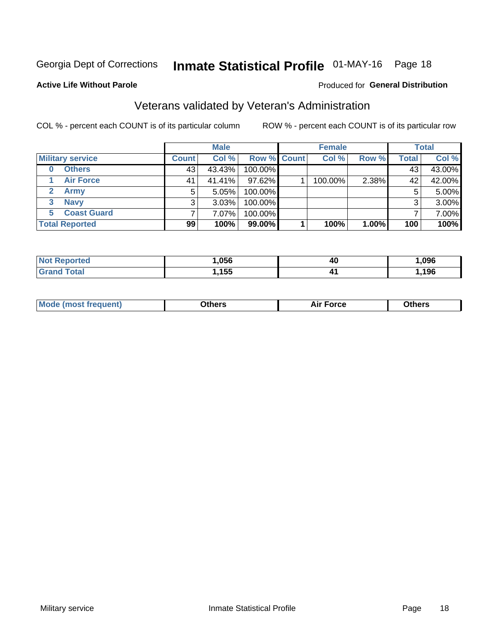## Inmate Statistical Profile 01-MAY-16 Page 18

#### **Active Life Without Parole**

#### Produced for General Distribution

### Veterans validated by Veteran's Administration

COL % - percent each COUNT is of its particular column

|                          | <b>Male</b>  |          |                    | <b>Female</b> |         |       | <b>Total</b> |        |
|--------------------------|--------------|----------|--------------------|---------------|---------|-------|--------------|--------|
| <b>Military service</b>  | <b>Count</b> | Col %    | <b>Row % Count</b> |               | Col %   | Row % | <b>Total</b> | Col %  |
| <b>Others</b><br>0       | 43           | 43.43%   | 100.00%            |               |         |       | 43           | 43.00% |
| <b>Air Force</b>         | 41           | 41.41%   | 97.62%             |               | 100.00% | 2.38% | 42           | 42.00% |
| <b>Army</b>              | 5            | 5.05%    | 100.00%            |               |         |       | 5            | 5.00%  |
| <b>Navy</b><br>3         | 3            | $3.03\%$ | 100.00%            |               |         |       | 3            | 3.00%  |
| <b>Coast Guard</b><br>5. |              | $7.07\%$ | 100.00%            |               |         |       |              | 7.00%  |
| <b>Total Reported</b>    | 99           | 100%     | $99.00\%$          |               | 100%    | 1.00% | 100          | 100%   |

| rtea :       | .056       | 40 | .096 |
|--------------|------------|----|------|
| <b>Total</b> | 155<br>ט ש | л. | 196, |

| <b>Moo.</b> |
|-------------|
|-------------|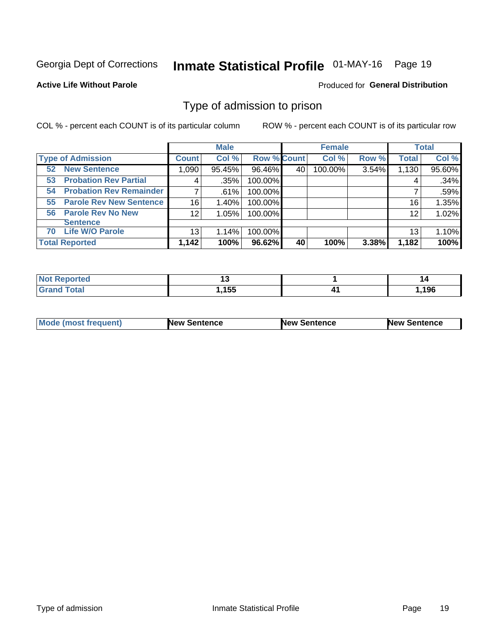## Inmate Statistical Profile 01-MAY-16 Page 19

#### **Active Life Without Parole**

#### Produced for General Distribution

### Type of admission to prison

COL % - percent each COUNT is of its particular column

|                                      |                 | <b>Male</b> |                    |    | <b>Female</b> |       |              | <b>Total</b> |
|--------------------------------------|-----------------|-------------|--------------------|----|---------------|-------|--------------|--------------|
| <b>Type of Admission</b>             | <b>Count</b>    | Col %       | <b>Row % Count</b> |    | Col %         | Row % | <b>Total</b> | Col %        |
| <b>New Sentence</b><br>52            | 1,090           | 95.45%      | 96.46%             | 40 | 100.00%       | 3.54% | 1,130        | 95.60%       |
| <b>Probation Rev Partial</b><br>53   | 4               | .35%        | 100.00%            |    |               |       |              | .34%         |
| <b>Probation Rev Remainder</b><br>54 |                 | .61%        | 100.00%            |    |               |       |              | .59%         |
| <b>Parole Rev New Sentence</b><br>55 | 16              | 1.40%       | 100.00%            |    |               |       | 16           | 1.35%        |
| <b>Parole Rev No New</b><br>56       | 12 <sub>2</sub> | 1.05%       | 100.00%            |    |               |       | 12           | 1.02%        |
| <b>Sentence</b>                      |                 |             |                    |    |               |       |              |              |
| <b>Life W/O Parole</b><br>70         | 13              | 1.14%       | 100.00%            |    |               |       | 13           | 1.10%        |
| <b>Total Reported</b>                | 1,142           | 100%        | 96.62%             | 40 | 100%          | 3.38% | 1,182        | 100%         |

| Reported<br>'NOT |            |       |
|------------------|------------|-------|
| <b>Total</b>     | <b>ACC</b> | 1,196 |

|--|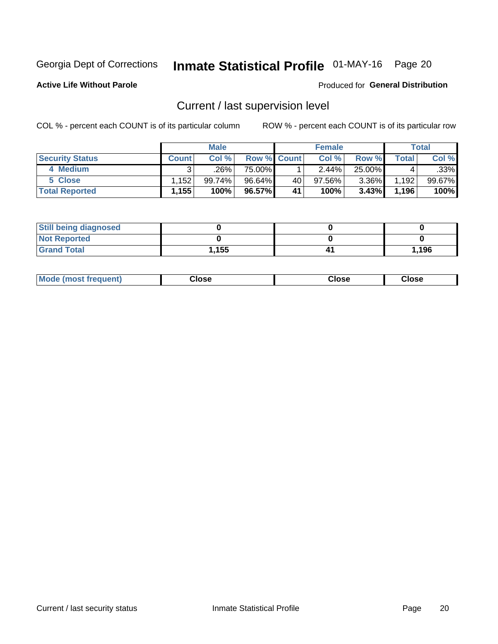## Inmate Statistical Profile 01-MAY-16 Page 20

**Active Life Without Parole** 

#### Produced for General Distribution

## Current / last supervision level

COL % - percent each COUNT is of its particular column

|                        |              | <b>Male</b> |             |    | <b>Female</b> |          |       | <b>Total</b> |
|------------------------|--------------|-------------|-------------|----|---------------|----------|-------|--------------|
| <b>Security Status</b> | <b>Count</b> | Col %       | Row % Count |    | Col %         | Row %    | Total | Col %        |
| 4 Medium               |              | ا %26.      | 75.00%      |    | 2.44%         | 25.00%   |       | $.33\%$      |
| 5 Close                | .152         | 99.74%      | 96.64%      | 40 | $97.56\%$     | $3.36\%$ | 1,192 | $99.67\%$    |
| <b>Total Reported</b>  | 1,155        | 100%        | 96.57%      | 41 | 100%          | $3.43\%$ | 1,196 | 100%         |

| <b>Still being diagnosed</b> |       |      |
|------------------------------|-------|------|
| <b>Not Reported</b>          |       |      |
| <b>Grand Total</b>           | l.155 | .196 |

| <b>Mode (most frequent)</b> | Close | ∵lose | Close |
|-----------------------------|-------|-------|-------|
|                             |       |       |       |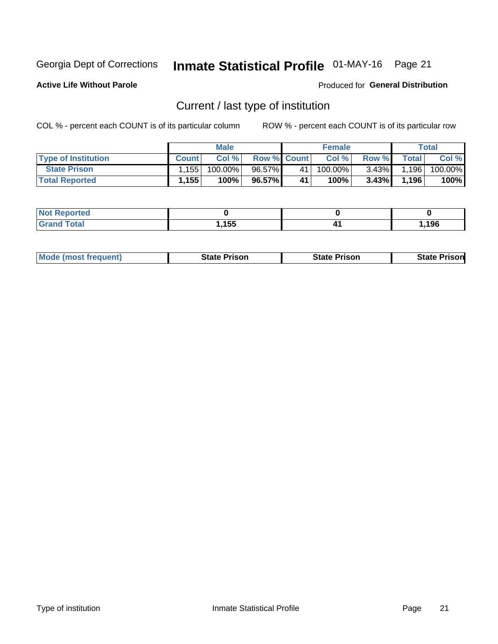## Inmate Statistical Profile 01-MAY-16 Page 21

**Active Life Without Parole** 

Produced for General Distribution

## Current / last type of institution

COL % - percent each COUNT is of its particular column

|                            |              | <b>Male</b> |                    |      | <b>Female</b> |          |              | <b>Total</b> |
|----------------------------|--------------|-------------|--------------------|------|---------------|----------|--------------|--------------|
| <b>Type of Institution</b> | <b>Count</b> | Col%        | <b>Row % Count</b> |      | Col %         | Row %    | <b>Total</b> | Col %        |
| <b>State Prison</b>        | l.155 l      | 100.00%     | 96.57%             | 41 l | 100.00%       | $3.43\%$ | 1,196        | 100.00%      |
| <b>Total Reported</b>      | 1,155        | 100%        | 96.57%             | 41   | $100\%$ .     | $3.43\%$ | 1.196        | 100%         |

| <b>rted</b><br>. |      |      |
|------------------|------|------|
|                  | ,155 | ,196 |

|  | <b>Mode (most frequent)</b> | State Prison | <b>State Prison</b> | <b>State Prison</b> |
|--|-----------------------------|--------------|---------------------|---------------------|
|--|-----------------------------|--------------|---------------------|---------------------|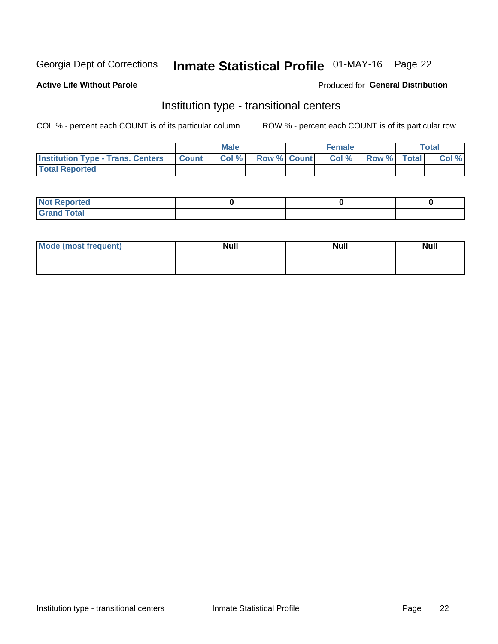## Inmate Statistical Profile 01-MAY-16 Page 22

#### **Active Life Without Parole**

#### Produced for General Distribution

### Institution type - transitional centers

COL % - percent each COUNT is of its particular column

|                                                  | <b>Male</b> |                    | <b>Female</b> |             | Total |
|--------------------------------------------------|-------------|--------------------|---------------|-------------|-------|
| <b>Institution Type - Trans. Centers Count  </b> | Col%        | <b>Row % Count</b> | Col %         | Row % Total | Col % |
| <b>Total Reported</b>                            |             |                    |               |             |       |

| <b>Reported</b><br><b>NOT</b><br>$\sim$            |  |  |
|----------------------------------------------------|--|--|
| $f$ $f \circ f \circ f$<br>$C = 1$<br><b>TULAI</b> |  |  |

| Mode (most frequent) | <b>Null</b> | <b>Null</b> | <b>Null</b> |
|----------------------|-------------|-------------|-------------|
|                      |             |             |             |
|                      |             |             |             |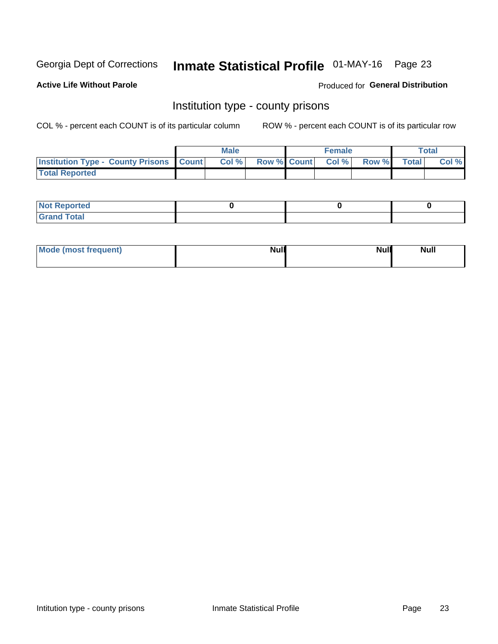## Inmate Statistical Profile 01-MAY-16 Page 23

**Active Life Without Parole** 

Produced for General Distribution

### Institution type - county prisons

COL % - percent each COUNT is of its particular column

|                                                    | <b>Male</b> |  | <b>Female</b>            |             | <b>Total</b> |
|----------------------------------------------------|-------------|--|--------------------------|-------------|--------------|
| <b>Institution Type - County Prisons   Count  </b> | Col %       |  | <b>Row % Count Col %</b> | Row % Total | Col %        |
| <b>Total Reported</b>                              |             |  |                          |             |              |

| <b>Not</b><br>: Reported<br> |  |  |
|------------------------------|--|--|
| <b>Total</b><br>---          |  |  |

| Mode (most frequent) | <b>Null</b> | <b>Null</b><br><b>Null</b> |
|----------------------|-------------|----------------------------|
|                      |             |                            |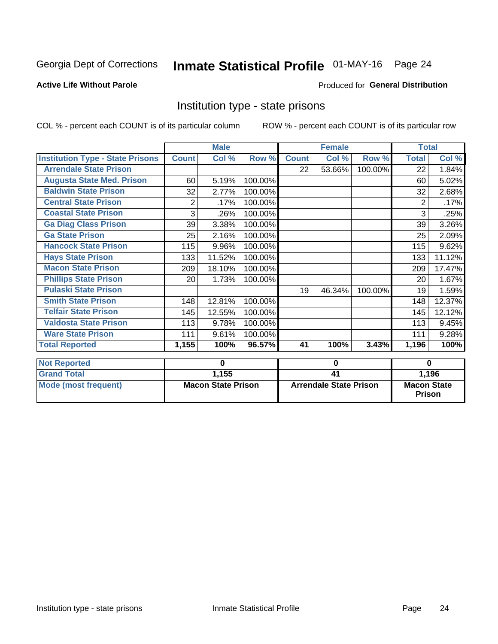## Inmate Statistical Profile 01-MAY-16 Page 24

#### **Active Life Without Parole**

#### Produced for General Distribution

### Institution type - state prisons

|                                         |              | <b>Male</b>               |         |              | <b>Female</b>                 |         | <b>Total</b>                        |        |
|-----------------------------------------|--------------|---------------------------|---------|--------------|-------------------------------|---------|-------------------------------------|--------|
| <b>Institution Type - State Prisons</b> | <b>Count</b> | Col %                     | Row %   | <b>Count</b> | Col %                         | Row %   | <b>Total</b>                        | Col %  |
| <b>Arrendale State Prison</b>           |              |                           |         | 22           | 53.66%                        | 100.00% | 22                                  | 1.84%  |
| <b>Augusta State Med. Prison</b>        | 60           | 5.19%                     | 100.00% |              |                               |         | 60                                  | 5.02%  |
| <b>Baldwin State Prison</b>             | 32           | 2.77%                     | 100.00% |              |                               |         | 32                                  | 2.68%  |
| <b>Central State Prison</b>             | 2            | .17%                      | 100.00% |              |                               |         | $\overline{2}$                      | .17%   |
| <b>Coastal State Prison</b>             | 3            | .26%                      | 100.00% |              |                               |         | 3                                   | .25%   |
| <b>Ga Diag Class Prison</b>             | 39           | 3.38%                     | 100.00% |              |                               |         | 39                                  | 3.26%  |
| <b>Ga State Prison</b>                  | 25           | 2.16%                     | 100.00% |              |                               |         | 25                                  | 2.09%  |
| <b>Hancock State Prison</b>             | 115          | 9.96%                     | 100.00% |              |                               |         | 115                                 | 9.62%  |
| <b>Hays State Prison</b>                | 133          | 11.52%                    | 100.00% |              |                               |         | 133                                 | 11.12% |
| <b>Macon State Prison</b>               | 209          | 18.10%                    | 100.00% |              |                               |         | 209                                 | 17.47% |
| <b>Phillips State Prison</b>            | 20           | 1.73%                     | 100.00% |              |                               |         | 20                                  | 1.67%  |
| <b>Pulaski State Prison</b>             |              |                           |         | 19           | 46.34%                        | 100.00% | 19                                  | 1.59%  |
| <b>Smith State Prison</b>               | 148          | 12.81%                    | 100.00% |              |                               |         | 148                                 | 12.37% |
| <b>Telfair State Prison</b>             | 145          | 12.55%                    | 100.00% |              |                               |         | 145                                 | 12.12% |
| <b>Valdosta State Prison</b>            | 113          | 9.78%                     | 100.00% |              |                               |         | 113                                 | 9.45%  |
| <b>Ware State Prison</b>                | 111          | 9.61%                     | 100.00% |              |                               |         | 111                                 | 9.28%  |
| <b>Total Reported</b>                   | 1,155        | 100%                      | 96.57%  | 41           | 100%                          | 3.43%   | 1,196                               | 100%   |
| <b>Not Reported</b>                     |              | 0                         |         |              | 0                             |         | $\bf{0}$                            |        |
| <b>Grand Total</b>                      |              | 1,155                     |         |              |                               |         |                                     |        |
|                                         |              |                           |         | 41           |                               |         | 1,196                               |        |
| <b>Mode (most frequent)</b>             |              | <b>Macon State Prison</b> |         |              | <b>Arrendale State Prison</b> |         | <b>Macon State</b><br><b>Prison</b> |        |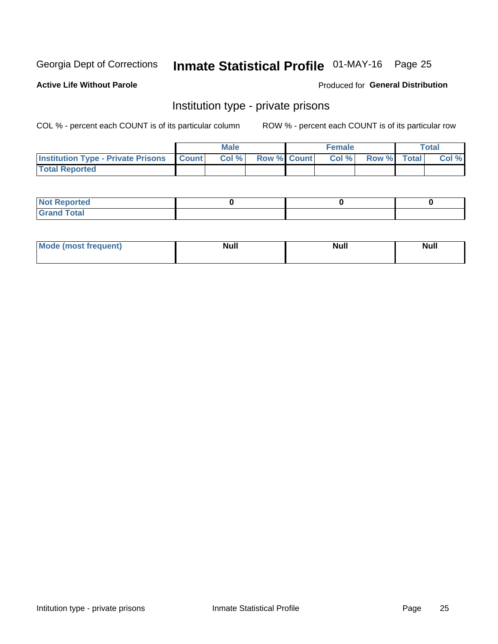## Inmate Statistical Profile 01-MAY-16 Page 25

**Active Life Without Parole** 

#### Produced for General Distribution

### Institution type - private prisons

COL % - percent each COUNT is of its particular column

|                                                     | <b>Male</b> |                    | <b>Female</b> |             | Total |
|-----------------------------------------------------|-------------|--------------------|---------------|-------------|-------|
| <b>Institution Type - Private Prisons   Count  </b> | Col %       | <b>Row % Count</b> | Col%          | Row % Total | Col % |
| <b>Total Reported</b>                               |             |                    |               |             |       |

| Not Reported          |  |  |
|-----------------------|--|--|
| <b>Cotal</b><br>_____ |  |  |

| <b>Mo</b><br>frequent) | <b>Null</b> | <b>Null</b> | . . I *<br><b>IVUII</b> |
|------------------------|-------------|-------------|-------------------------|
|                        |             |             |                         |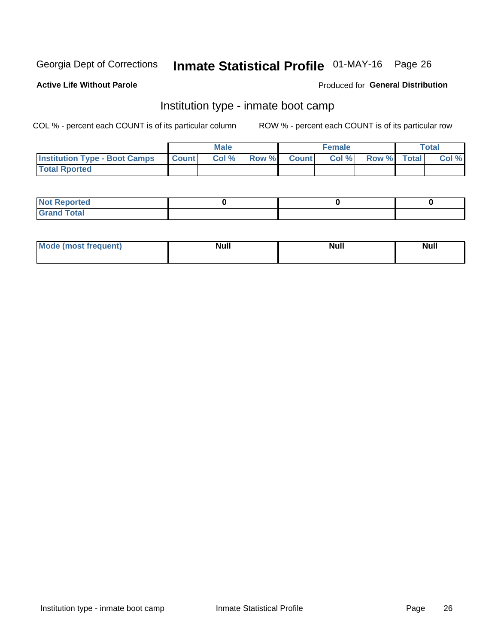## Inmate Statistical Profile 01-MAY-16 Page 26

#### **Active Life Without Parole**

#### Produced for General Distribution

### Institution type - inmate boot camp

COL % - percent each COUNT is of its particular column

|                                            | <b>Male</b> |                    | <b>Female</b> |             | <b>Total</b> |
|--------------------------------------------|-------------|--------------------|---------------|-------------|--------------|
| <b>Institution Type - Boot Camps Count</b> | Col%        | <b>Row % Count</b> | Col%          | Row % Total | Col %        |
| <b>Total Rported</b>                       |             |                    |               |             |              |

| <b>Not Reported</b>            |  |  |
|--------------------------------|--|--|
| <b>Total</b><br>C <sub>r</sub> |  |  |

| Mod<br>uamo | Nul.<br>$- - - - - -$ | <b>Null</b> | . .<br>uu.<br>------ |
|-------------|-----------------------|-------------|----------------------|
|             |                       |             |                      |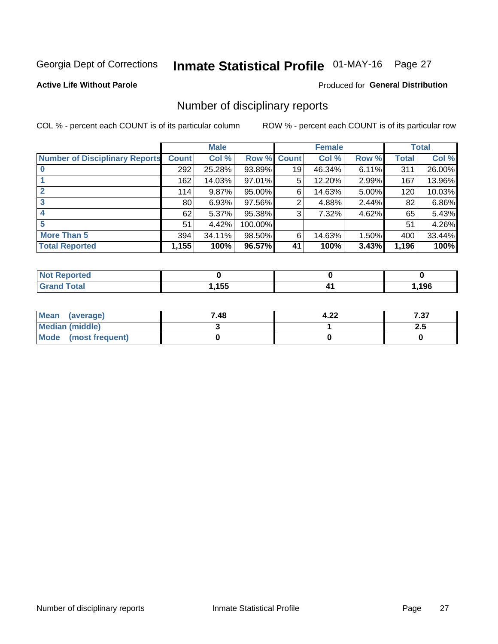## Inmate Statistical Profile 01-MAY-16 Page 27

#### **Active Life Without Parole**

#### **Produced for General Distribution**

### Number of disciplinary reports

COL % - percent each COUNT is of its particular column

|                                       |                 | <b>Male</b> |         |              | <b>Female</b> |       |              | <b>Total</b> |
|---------------------------------------|-----------------|-------------|---------|--------------|---------------|-------|--------------|--------------|
| <b>Number of Disciplinary Reports</b> | <b>Count</b>    | Col %       | Row %   | <b>Count</b> | Col %         | Row % | <b>Total</b> | Col %        |
|                                       | 292             | 25.28%      | 93.89%  | 19           | 46.34%        | 6.11% | 311          | 26.00%       |
|                                       | 162             | 14.03%      | 97.01%  | 5            | 12.20%        | 2.99% | 167          | 13.96%       |
| 2                                     | 114             | 9.87%       | 95.00%  | 6            | 14.63%        | 5.00% | 120          | 10.03%       |
| 3                                     | 80 <sub>1</sub> | 6.93%       | 97.56%  | 2            | 4.88%         | 2.44% | 82           | 6.86%        |
|                                       | 62              | 5.37%       | 95.38%  | 3            | 7.32%         | 4.62% | 65           | 5.43%        |
| 5                                     | 51              | 4.42%       | 100.00% |              |               |       | 51           | 4.26%        |
| <b>More Than 5</b>                    | 394             | 34.11%      | 98.50%  | 6            | 14.63%        | 1.50% | 400          | 33.44%       |
| <b>Total Reported</b>                 | 1,155           | 100%        | 96.57%  | 41           | 100%          | 3.43% | 1,196        | 100%         |

| NO<br>тео |            |     |
|-----------|------------|-----|
| Гоtal     | 455<br>טעו | 196 |

| Mean (average)       | 7.48 | 4.22 | フっフ<br>، د. ۱ |
|----------------------|------|------|---------------|
| Median (middle)      |      |      | 2.J           |
| Mode (most frequent) |      |      |               |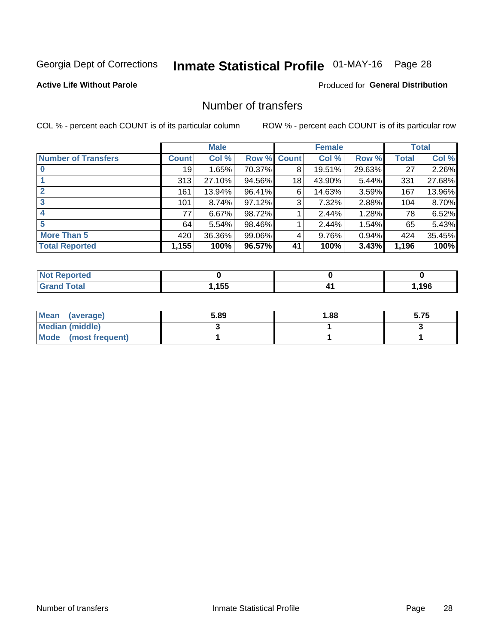## Inmate Statistical Profile 01-MAY-16 Page 28

#### **Active Life Without Parole**

#### **Produced for General Distribution**

### Number of transfers

COL % - percent each COUNT is of its particular column

|                            |              | <b>Male</b> |             |    | <b>Female</b> |        |              | <b>Total</b> |
|----------------------------|--------------|-------------|-------------|----|---------------|--------|--------------|--------------|
| <b>Number of Transfers</b> | <b>Count</b> | Col %       | Row % Count |    | Col %         | Row %  | <b>Total</b> | Col %        |
|                            | 19           | 1.65%       | 70.37%      | 8  | 19.51%        | 29.63% | 27           | 2.26%        |
|                            | 313          | 27.10%      | 94.56%      | 18 | 43.90%        | 5.44%  | 331          | 27.68%       |
| 2                          | 161          | 13.94%      | 96.41%      | 6  | 14.63%        | 3.59%  | 167          | 13.96%       |
| 3                          | 101          | 8.74%       | 97.12%      | 3  | 7.32%         | 2.88%  | 104          | 8.70%        |
|                            | 77           | 6.67%       | 98.72%      |    | 2.44%         | 1.28%  | 78           | 6.52%        |
| 5                          | 64           | 5.54%       | 98.46%      |    | 2.44%         | 1.54%  | 65           | 5.43%        |
| <b>More Than 5</b>         | 420          | 36.36%      | 99.06%      | 4  | 9.76%         | 0.94%  | 424          | 35.45%       |
| <b>Total Reported</b>      | 1,155        | 100%        | 96.57%      | 41 | 100%          | 3.43%  | 1,196        | 100%         |

| NO<br>тео |            |     |
|-----------|------------|-----|
| Гоtal     | 455<br>טעו | 196 |

| Mean (average)       | 5.89 | 1.88 | 5.75 |
|----------------------|------|------|------|
| Median (middle)      |      |      |      |
| Mode (most frequent) |      |      |      |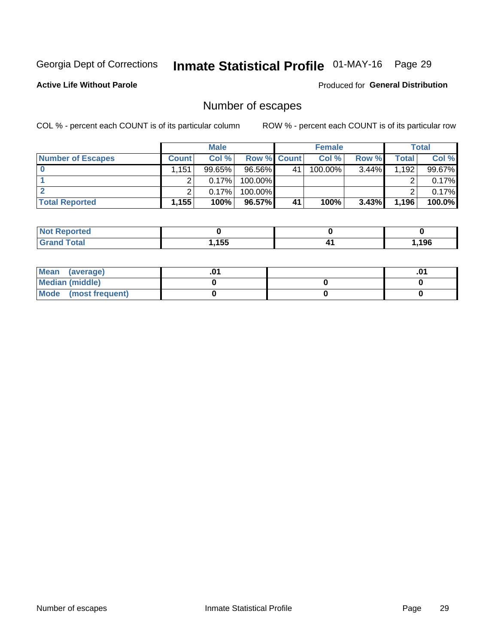## Inmate Statistical Profile 01-MAY-16 Page 29

**Active Life Without Parole** 

**Produced for General Distribution** 

## Number of escapes

COL % - percent each COUNT is of its particular column

|                          |              | <b>Male</b> |                    |    | <b>Female</b> |          |       | Total  |
|--------------------------|--------------|-------------|--------------------|----|---------------|----------|-------|--------|
| <b>Number of Escapes</b> | <b>Count</b> | Col %       | <b>Row % Count</b> |    | Col %         | Row %    | Total | Col %  |
|                          | .151'        | $99.65\%$   | 96.56%             | 41 | 100.00%       | $3.44\%$ | 1,192 | 99.67% |
|                          |              | 0.17%       | $100.00\%$         |    |               |          |       | 0.17%  |
|                          |              | 0.17%       | $100.00\%$         |    |               |          |       | 0.17%  |
| <b>Total Reported</b>    | 1,155        | 100%        | 96.57%             | 41 | 100%          | $3.43\%$ | 1,196 | 100.0% |

| <b>Not Reported</b> |     |      |
|---------------------|-----|------|
| Total               | 155 | ,196 |

| Mean (average)       |  | י ש |
|----------------------|--|-----|
| Median (middle)      |  |     |
| Mode (most frequent) |  |     |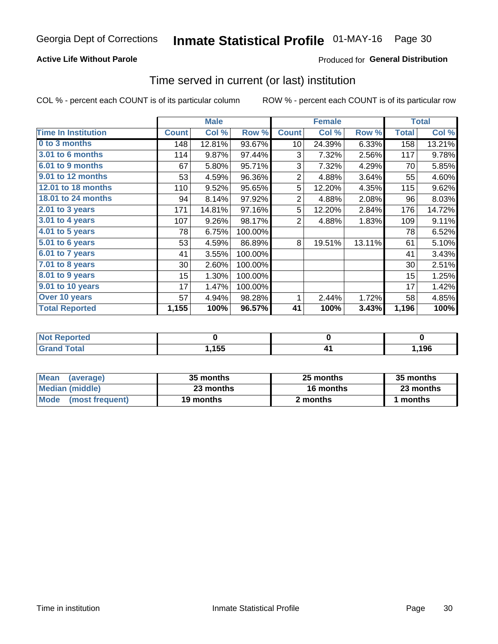#### **Active Life Without Parole**

### **Produced for General Distribution**

### Time served in current (or last) institution

COL % - percent each COUNT is of its particular column

|                            |              | <b>Male</b> |         |                | <b>Female</b> |        |              | <b>Total</b> |
|----------------------------|--------------|-------------|---------|----------------|---------------|--------|--------------|--------------|
| <b>Time In Institution</b> | <b>Count</b> | Col %       | Row %   | <b>Count</b>   | Col %         | Row %  | <b>Total</b> | Col %        |
| 0 to 3 months              | 148          | 12.81%      | 93.67%  | 10             | 24.39%        | 6.33%  | 158          | 13.21%       |
| <b>3.01 to 6 months</b>    | 114          | 9.87%       | 97.44%  | 3              | 7.32%         | 2.56%  | 117          | 9.78%        |
| 6.01 to 9 months           | 67           | 5.80%       | 95.71%  | 3              | 7.32%         | 4.29%  | 70           | 5.85%        |
| 9.01 to 12 months          | 53           | 4.59%       | 96.36%  | $\overline{2}$ | 4.88%         | 3.64%  | 55           | 4.60%        |
| 12.01 to 18 months         | 110          | 9.52%       | 95.65%  | 5              | 12.20%        | 4.35%  | 115          | 9.62%        |
| <b>18.01 to 24 months</b>  | 94           | 8.14%       | 97.92%  | $\overline{2}$ | 4.88%         | 2.08%  | 96           | 8.03%        |
| 2.01 to 3 years            | 171          | 14.81%      | 97.16%  | 5              | 12.20%        | 2.84%  | 176          | 14.72%       |
| 3.01 to 4 years            | 107          | 9.26%       | 98.17%  | $\overline{2}$ | 4.88%         | 1.83%  | 109          | 9.11%        |
| 4.01 to 5 years            | 78           | 6.75%       | 100.00% |                |               |        | 78           | 6.52%        |
| 5.01 to 6 years            | 53           | 4.59%       | 86.89%  | 8              | 19.51%        | 13.11% | 61           | 5.10%        |
| 6.01 to 7 years            | 41           | 3.55%       | 100.00% |                |               |        | 41           | 3.43%        |
| 7.01 to 8 years            | 30           | 2.60%       | 100.00% |                |               |        | 30           | 2.51%        |
| 8.01 to 9 years            | 15           | 1.30%       | 100.00% |                |               |        | 15           | 1.25%        |
| 9.01 to 10 years           | 17           | 1.47%       | 100.00% |                |               |        | 17           | 1.42%        |
| Over 10 years              | 57           | 4.94%       | 98.28%  | 1              | 2.44%         | 1.72%  | 58           | 4.85%        |
| <b>Total Reported</b>      | 1,155        | 100%        | 96.57%  | 41             | 100%          | 3.43%  | 1,196        | 100%         |

| <b>Not Reported</b>  |       |               |            |
|----------------------|-------|---------------|------------|
| <b>Total</b><br>Gran | .155، | $\sim$ $\sim$ | <b>196</b> |

| <b>Mean</b><br>(average) | 35 months | 25 months | 35 months |
|--------------------------|-----------|-----------|-----------|
| Median (middle)          | 23 months | 16 months | 23 months |
| Mode (most frequent)     | 19 months | 2 months  | ∣ months  |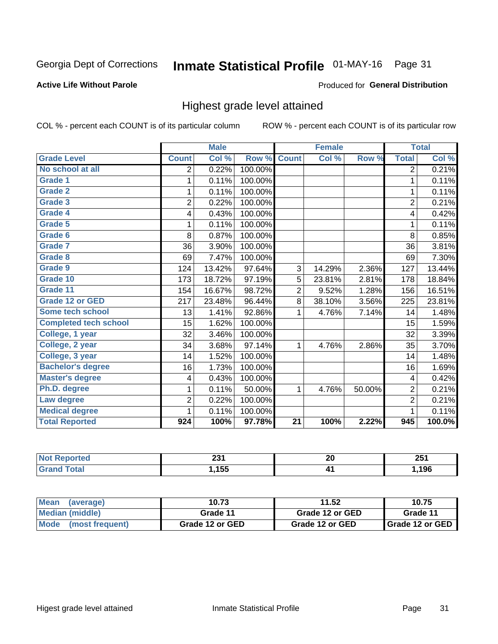## Inmate Statistical Profile 01-MAY-16 Page 31

#### **Active Life Without Parole**

#### Produced for General Distribution

### Highest grade level attained

COL % - percent each COUNT is of its particular column

|                              |                | <b>Male</b> |         |                 | <b>Female</b> |        |                | <b>Total</b> |
|------------------------------|----------------|-------------|---------|-----------------|---------------|--------|----------------|--------------|
| <b>Grade Level</b>           | <b>Count</b>   | Col %       | Row %   | <b>Count</b>    | Col %         | Row %  | <b>Total</b>   | Col %        |
| No school at all             | $\overline{2}$ | 0.22%       | 100.00% |                 |               |        | $\overline{2}$ | 0.21%        |
| Grade 1                      | 1              | 0.11%       | 100.00% |                 |               |        | 1              | 0.11%        |
| <b>Grade 2</b>               | 1              | 0.11%       | 100.00% |                 |               |        | 1              | 0.11%        |
| Grade 3                      | $\overline{2}$ | 0.22%       | 100.00% |                 |               |        | $\overline{2}$ | 0.21%        |
| Grade 4                      | 4              | 0.43%       | 100.00% |                 |               |        | 4              | 0.42%        |
| Grade 5                      | 1              | 0.11%       | 100.00% |                 |               |        | 1              | 0.11%        |
| Grade 6                      | 8              | 0.87%       | 100.00% |                 |               |        | 8              | 0.85%        |
| Grade 7                      | 36             | 3.90%       | 100.00% |                 |               |        | 36             | 3.81%        |
| Grade 8                      | 69             | 7.47%       | 100.00% |                 |               |        | 69             | 7.30%        |
| Grade 9                      | 124            | 13.42%      | 97.64%  | 3               | 14.29%        | 2.36%  | 127            | 13.44%       |
| Grade 10                     | 173            | 18.72%      | 97.19%  | 5               | 23.81%        | 2.81%  | 178            | 18.84%       |
| Grade 11                     | 154            | 16.67%      | 98.72%  | $\overline{2}$  | 9.52%         | 1.28%  | 156            | 16.51%       |
| <b>Grade 12 or GED</b>       | 217            | 23.48%      | 96.44%  | 8               | 38.10%        | 3.56%  | 225            | 23.81%       |
| Some tech school             | 13             | 1.41%       | 92.86%  | 1               | 4.76%         | 7.14%  | 14             | 1.48%        |
| <b>Completed tech school</b> | 15             | 1.62%       | 100.00% |                 |               |        | 15             | 1.59%        |
| College, 1 year              | 32             | 3.46%       | 100.00% |                 |               |        | 32             | 3.39%        |
| College, 2 year              | 34             | 3.68%       | 97.14%  | 1               | 4.76%         | 2.86%  | 35             | 3.70%        |
| College, 3 year              | 14             | 1.52%       | 100.00% |                 |               |        | 14             | 1.48%        |
| <b>Bachelor's degree</b>     | 16             | 1.73%       | 100.00% |                 |               |        | 16             | 1.69%        |
| <b>Master's degree</b>       | 4              | 0.43%       | 100.00% |                 |               |        | 4              | 0.42%        |
| Ph.D. degree                 | 1              | 0.11%       | 50.00%  | 1               | 4.76%         | 50.00% | $\overline{2}$ | 0.21%        |
| Law degree                   | $\overline{2}$ | 0.22%       | 100.00% |                 |               |        | $\overline{2}$ | 0.21%        |
| <b>Medical degree</b>        | 1              | 0.11%       | 100.00% |                 |               |        | 1              | 0.11%        |
| <b>Total Reported</b>        | 924            | 100%        | 97.78%  | $\overline{21}$ | 100%          | 2.22%  | 945            | 100.0%       |

| тео | ີ<br>2J I<br>$  -$ | <u>nr</u><br>ZU | クロイ<br>ZJ I |
|-----|--------------------|-----------------|-------------|
|     | 155                |                 | .196        |

| <b>Mean</b><br>(average)       | 10.73           | 11.52           | 10.75             |
|--------------------------------|-----------------|-----------------|-------------------|
| Median (middle)                | Grade 11        | Grade 12 or GED | Grade 11          |
| <b>Mode</b><br>(most frequent) | Grade 12 or GED | Grade 12 or GED | I Grade 12 or GED |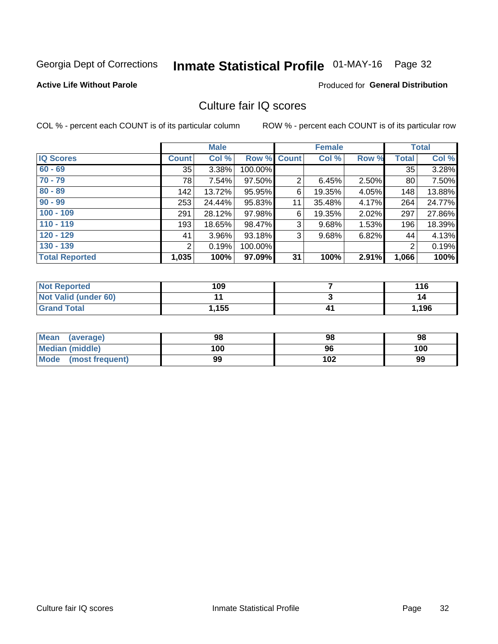## Inmate Statistical Profile 01-MAY-16 Page 32

#### **Active Life Without Parole**

#### **Produced for General Distribution**

### Culture fair IQ scores

COL % - percent each COUNT is of its particular column

|                       |              | <b>Male</b> |                    |                | <b>Female</b> |       |              | <b>Total</b> |
|-----------------------|--------------|-------------|--------------------|----------------|---------------|-------|--------------|--------------|
| <b>IQ Scores</b>      | <b>Count</b> | Col %       | <b>Row % Count</b> |                | Col %         | Row % | <b>Total</b> | Col %        |
| $60 - 69$             | 35           | 3.38%       | 100.00%            |                |               |       | 35           | 3.28%        |
| $70 - 79$             | 78           | 7.54%       | 97.50%             | $\overline{2}$ | 6.45%         | 2.50% | 80           | 7.50%        |
| $80 - 89$             | 142          | 13.72%      | 95.95%             | 6              | 19.35%        | 4.05% | 148          | 13.88%       |
| $90 - 99$             | 253          | 24.44%      | 95.83%             | 11             | 35.48%        | 4.17% | 264          | 24.77%       |
| $100 - 109$           | 291          | 28.12%      | 97.98%             | 6              | 19.35%        | 2.02% | 297          | 27.86%       |
| $110 - 119$           | 193          | 18.65%      | 98.47%             | 3              | 9.68%         | 1.53% | 196          | 18.39%       |
| $120 - 129$           | 41           | 3.96%       | 93.18%             | 3              | 9.68%         | 6.82% | 44           | 4.13%        |
| $130 - 139$           | 2            | 0.19%       | 100.00%            |                |               |       | 2            | 0.19%        |
| <b>Total Reported</b> | 1,035        | 100%        | 97.09%             | 31             | 100%          | 2.91% | 1,066        | 100%         |

| <b>Not Reported</b>         | 109   | 116   |
|-----------------------------|-------|-------|
| <b>Not Valid (under 60)</b> |       | 14    |
| <b>Grand Total</b>          | 1,155 | 1,196 |

| <b>Mean</b><br>(average) | 98  | 98  | 98  |
|--------------------------|-----|-----|-----|
| Median (middle)          | 100 | 96  | 100 |
| Mode (most frequent)     | 99  | 102 | 99  |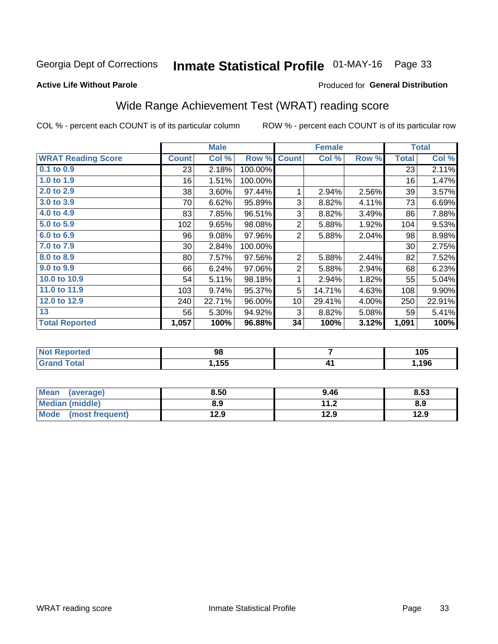## Inmate Statistical Profile 01-MAY-16 Page 33

#### **Active Life Without Parole**

#### **Produced for General Distribution**

## Wide Range Achievement Test (WRAT) reading score

COL % - percent each COUNT is of its particular column

|                           |              | <b>Male</b> |         |                | <b>Female</b> |       |              | <b>Total</b> |
|---------------------------|--------------|-------------|---------|----------------|---------------|-------|--------------|--------------|
| <b>WRAT Reading Score</b> | <b>Count</b> | Col %       | Row %   | <b>Count</b>   | Col %         | Row % | <b>Total</b> | Col %        |
| $0.1$ to $0.9$            | 23           | 2.18%       | 100.00% |                |               |       | 23           | 2.11%        |
| 1.0 to 1.9                | 16           | 1.51%       | 100.00% |                |               |       | 16           | 1.47%        |
| 2.0 to 2.9                | 38           | 3.60%       | 97.44%  | 1              | 2.94%         | 2.56% | 39           | 3.57%        |
| 3.0 to 3.9                | 70           | 6.62%       | 95.89%  | 3              | 8.82%         | 4.11% | 73           | 6.69%        |
| 4.0 to 4.9                | 83           | 7.85%       | 96.51%  | 3              | 8.82%         | 3.49% | 86           | 7.88%        |
| 5.0 to 5.9                | 102          | 9.65%       | 98.08%  | $\overline{2}$ | 5.88%         | 1.92% | 104          | 9.53%        |
| 6.0 to 6.9                | 96           | 9.08%       | 97.96%  | $\overline{2}$ | 5.88%         | 2.04% | 98           | 8.98%        |
| 7.0 to 7.9                | $30$         | 2.84%       | 100.00% |                |               |       | 30           | 2.75%        |
| 8.0 to 8.9                | 80           | 7.57%       | 97.56%  | 2              | 5.88%         | 2.44% | 82           | 7.52%        |
| 9.0 to 9.9                | 66           | 6.24%       | 97.06%  | $\overline{2}$ | 5.88%         | 2.94% | 68           | 6.23%        |
| 10.0 to 10.9              | 54           | 5.11%       | 98.18%  | 1              | 2.94%         | 1.82% | 55           | 5.04%        |
| 11.0 to 11.9              | 103          | 9.74%       | 95.37%  | 5              | 14.71%        | 4.63% | 108          | $9.90\%$     |
| 12.0 to 12.9              | 240          | 22.71%      | 96.00%  | 10             | 29.41%        | 4.00% | 250          | 22.91%       |
| 13                        | 56           | 5.30%       | 94.92%  | 3              | 8.82%         | 5.08% | 59           | 5.41%        |
| <b>Total Reported</b>     | 1,057        | 100%        | 96.88%  | 34             | 100%          | 3.12% | 1,091        | 100%         |

| <b>NOT</b><br>Reported          | 98   | 105  |
|---------------------------------|------|------|
| <b>otal</b><br>$\mathbf{v}$ and | ,155 | ,196 |

| <b>Mean</b><br>(average)       | 8.50 | 9.46                 | 8.53 |
|--------------------------------|------|----------------------|------|
| <b>Median (middle)</b>         | 8.9  | 11 J<br>. <i>. .</i> | 8.9  |
| <b>Mode</b><br>(most frequent) | l2.9 | 12.9                 | 12.9 |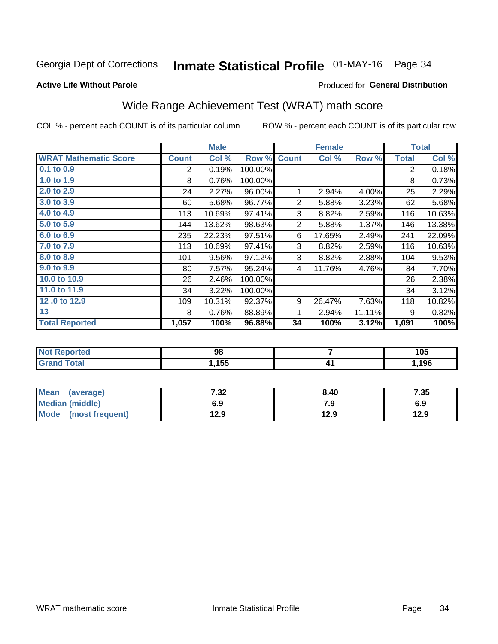## Inmate Statistical Profile 01-MAY-16 Page 34

#### **Active Life Without Parole**

#### Produced for General Distribution

## Wide Range Achievement Test (WRAT) math score

COL % - percent each COUNT is of its particular column

|                              |              | <b>Male</b> |         |                | <b>Female</b> |        |              | <b>Total</b> |
|------------------------------|--------------|-------------|---------|----------------|---------------|--------|--------------|--------------|
| <b>WRAT Mathematic Score</b> | <b>Count</b> | Col %       | Row %   | <b>Count</b>   | Col %         | Row %  | <b>Total</b> | Col %        |
| $0.1$ to $0.9$               | 2            | 0.19%       | 100.00% |                |               |        | 2            | 0.18%        |
| 1.0 to 1.9                   | 8            | 0.76%       | 100.00% |                |               |        | 8            | 0.73%        |
| 2.0 to 2.9                   | 24           | 2.27%       | 96.00%  | 1              | 2.94%         | 4.00%  | 25           | 2.29%        |
| 3.0 to 3.9                   | 60           | 5.68%       | 96.77%  | 2              | 5.88%         | 3.23%  | 62           | 5.68%        |
| 4.0 to 4.9                   | 113          | 10.69%      | 97.41%  | 3              | 8.82%         | 2.59%  | 116          | 10.63%       |
| 5.0 to 5.9                   | 144          | 13.62%      | 98.63%  | $\overline{2}$ | 5.88%         | 1.37%  | 146          | 13.38%       |
| 6.0 to 6.9                   | 235          | 22.23%      | 97.51%  | 6              | 17.65%        | 2.49%  | 241          | 22.09%       |
| 7.0 to 7.9                   | 113          | 10.69%      | 97.41%  | 3              | 8.82%         | 2.59%  | 116          | 10.63%       |
| 8.0 to 8.9                   | 101          | 9.56%       | 97.12%  | 3              | 8.82%         | 2.88%  | 104          | 9.53%        |
| 9.0 to 9.9                   | 80           | 7.57%       | 95.24%  | 4              | 11.76%        | 4.76%  | 84           | 7.70%        |
| 10.0 to 10.9                 | 26           | 2.46%       | 100.00% |                |               |        | 26           | 2.38%        |
| 11.0 to 11.9                 | 34           | 3.22%       | 100.00% |                |               |        | 34           | 3.12%        |
| 12.0 to 12.9                 | 109          | 10.31%      | 92.37%  | 9              | 26.47%        | 7.63%  | 118          | 10.82%       |
| 13                           | 8            | 0.76%       | 88.89%  | 1              | 2.94%         | 11.11% | 9            | 0.82%        |
| <b>Total Reported</b>        | 1,057        | 100%        | 96.88%  | 34             | 100%          | 3.12%  | 1,091        | 100%         |
|                              |              |             |         |                |               |        |              |              |

| <b>Not Reported</b>   | 98   | 105  |
|-----------------------|------|------|
| <b>Total</b><br>Grand | ,155 | ,196 |

| Mean (average)       | 7.32 | 8.40 | 7.35 |
|----------------------|------|------|------|
| Median (middle)      | 6.9  | 7.9  | 6.9  |
| Mode (most frequent) | 12.9 | 12.9 | 12.9 |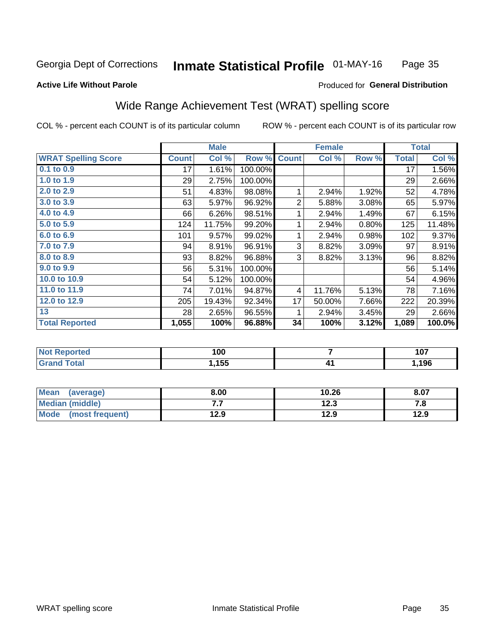#### **Inmate Statistical Profile 01-MAY-16** Page 35

#### **Active Life Without Parole**

#### Produced for General Distribution

### Wide Range Achievement Test (WRAT) spelling score

COL % - percent each COUNT is of its particular column

|                            |              | <b>Male</b> |         |                | <b>Female</b> |       |              | <b>Total</b> |
|----------------------------|--------------|-------------|---------|----------------|---------------|-------|--------------|--------------|
| <b>WRAT Spelling Score</b> | <b>Count</b> | Col %       | Row %   | <b>Count</b>   | Col %         | Row % | <b>Total</b> | Col %        |
| 0.1 to 0.9                 | 17           | 1.61%       | 100.00% |                |               |       | 17           | 1.56%        |
| 1.0 to 1.9                 | 29           | 2.75%       | 100.00% |                |               |       | 29           | 2.66%        |
| 2.0 to 2.9                 | 51           | 4.83%       | 98.08%  | 1              | 2.94%         | 1.92% | 52           | 4.78%        |
| 3.0 to 3.9                 | 63           | 5.97%       | 96.92%  | $\overline{2}$ | 5.88%         | 3.08% | 65           | 5.97%        |
| 4.0 to 4.9                 | 66           | 6.26%       | 98.51%  | 1              | 2.94%         | 1.49% | 67           | 6.15%        |
| 5.0 to 5.9                 | 124          | 11.75%      | 99.20%  | 1              | 2.94%         | 0.80% | 125          | 11.48%       |
| 6.0 to 6.9                 | 101          | 9.57%       | 99.02%  | 1              | 2.94%         | 0.98% | 102          | 9.37%        |
| 7.0 to 7.9                 | 94           | 8.91%       | 96.91%  | 3              | 8.82%         | 3.09% | 97           | 8.91%        |
| 8.0 to 8.9                 | 93           | 8.82%       | 96.88%  | 3              | 8.82%         | 3.13% | 96           | 8.82%        |
| 9.0 to 9.9                 | 56           | 5.31%       | 100.00% |                |               |       | 56           | 5.14%        |
| 10.0 to 10.9               | 54           | 5.12%       | 100.00% |                |               |       | 54           | 4.96%        |
| 11.0 to 11.9               | 74           | 7.01%       | 94.87%  | 4              | 11.76%        | 5.13% | 78           | 7.16%        |
| 12.0 to 12.9               | 205          | 19.43%      | 92.34%  | 17             | 50.00%        | 7.66% | 222          | 20.39%       |
| 13                         | 28           | 2.65%       | 96.55%  | 1              | 2.94%         | 3.45% | 29           | 2.66%        |
| <b>Total Reported</b>      | 1,055        | 100%        | 96.88%  | 34             | 100%          | 3.12% | 1,089        | 100.0%       |

| <b>NOT</b><br>Reported      | 100  | 107  |
|-----------------------------|------|------|
| <b>otal</b><br>$\mathbf{v}$ | ,155 | ,196 |

| <b>Mean</b><br>(average) | 8.00 | 10.26 | 8.07 |
|--------------------------|------|-------|------|
| Median (middle)          | .    | 12.3  |      |
| Mode (most frequent)     | 12.9 | 12.9  | 12.9 |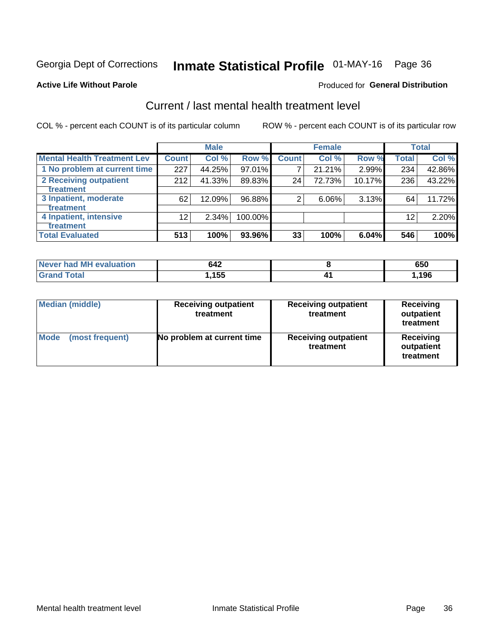## Inmate Statistical Profile 01-MAY-16 Page 36

#### **Active Life Without Parole**

#### **Produced for General Distribution**

## Current / last mental health treatment level

COL % - percent each COUNT is of its particular column

|                                    |                 | <b>Male</b> |           |              | <b>Female</b> |        |                 | <b>Total</b> |
|------------------------------------|-----------------|-------------|-----------|--------------|---------------|--------|-----------------|--------------|
| <b>Mental Health Treatment Lev</b> | <b>Count</b>    | Col%        | Row %     | <b>Count</b> | Col %         | Row %  | Total           | Col %        |
| 1 No problem at current time       | 227             | 44.25%      | $97.01\%$ | 7            | 21.21%        | 2.99%  | 234             | 42.86%       |
| 2 Receiving outpatient             | 212             | 41.33%      | 89.83%    | 24           | 72.73%        | 10.17% | 236             | 43.22%       |
| <b>Treatment</b>                   |                 |             |           |              |               |        |                 |              |
| 3 Inpatient, moderate              | 62              | 12.09%      | 96.88%    | 2            | 6.06%         | 3.13%  | 64              | 11.72%       |
| Treatment                          |                 |             |           |              |               |        |                 |              |
| 4 Inpatient, intensive             | 12 <sub>2</sub> | $2.34\%$    | 100.00%   |              |               |        | 12 <sub>1</sub> | 2.20%        |
| <b>Treatment</b>                   |                 |             |           |              |               |        |                 |              |
| <b>Total Evaluated</b>             | 513             | 100%        | 93.96%    | 33           | 100%          | 6.04%  | 546             | 100%         |

| Never had MH evaluation | 642   | 650  |
|-------------------------|-------|------|
| Total                   | 1,155 | ,196 |

| <b>Median (middle)</b>         | <b>Receiving outpatient</b><br>treatment | <b>Receiving outpatient</b><br>treatment | <b>Receiving</b><br>outpatient<br>treatment |  |
|--------------------------------|------------------------------------------|------------------------------------------|---------------------------------------------|--|
| <b>Mode</b><br>(most frequent) | No problem at current time               | <b>Receiving outpatient</b><br>treatment | <b>Receiving</b><br>outpatient<br>treatment |  |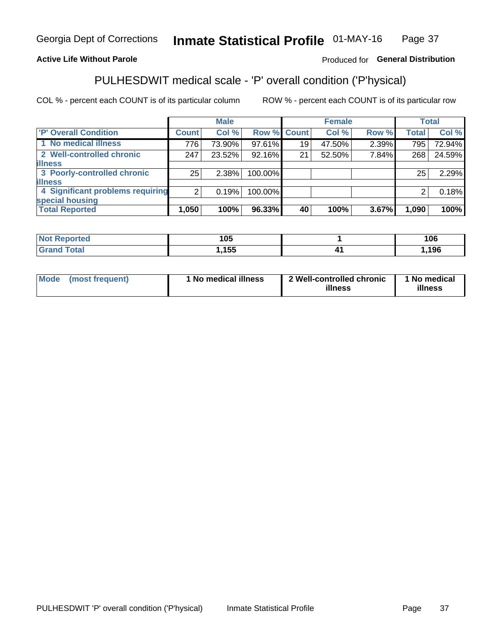#### Inmate Statistical Profile 01-MAY-16 Page 37

#### **Active Life Without Parole**

#### Produced for General Distribution

## PULHESDWIT medical scale - 'P' overall condition ('P'hysical)

COL % - percent each COUNT is of its particular column

|                                  |         | <b>Male</b> |         |             | <b>Female</b> |       |              | <b>Total</b> |
|----------------------------------|---------|-------------|---------|-------------|---------------|-------|--------------|--------------|
| 'P' Overall Condition            | Count l | Col %       |         | Row % Count | Col %         | Row % | <b>Total</b> | Col %        |
| 1 No medical illness             | 776     | 73.90%      | 97.61%  | 19          | 47.50%        | 2.39% | 795          | 72.94%       |
| 2 Well-controlled chronic        | 247     | 23.52%      | 92.16%  | 21          | 52.50%        | 7.84% | 268          | 24.59%       |
| <b>illness</b>                   |         |             |         |             |               |       |              |              |
| 3 Poorly-controlled chronic      | 25      | $2.38\%$    | 100.00% |             |               |       | 25           | 2.29%        |
| <b>illness</b>                   |         |             |         |             |               |       |              |              |
| 4 Significant problems requiring | ົ       | 0.19%       | 100.00% |             |               |       | 2            | 0.18%        |
| special housing                  |         |             |         |             |               |       |              |              |
| <b>Total Reported</b>            | 1,050   | 100%        | 96.33%  | 40          | 100%          | 3.67% | 1,090        | 100%         |

| .<br>. | $\overline{1}$<br>ט ו | 106 |
|--------|-----------------------|-----|
| ______ | <b>155</b><br>ູ       | 196 |

| <b>Mode</b> | (most frequent) | 1 No medical illness | 2 Well-controlled chronic<br>illness | 1 No medical<br>illness |
|-------------|-----------------|----------------------|--------------------------------------|-------------------------|
|-------------|-----------------|----------------------|--------------------------------------|-------------------------|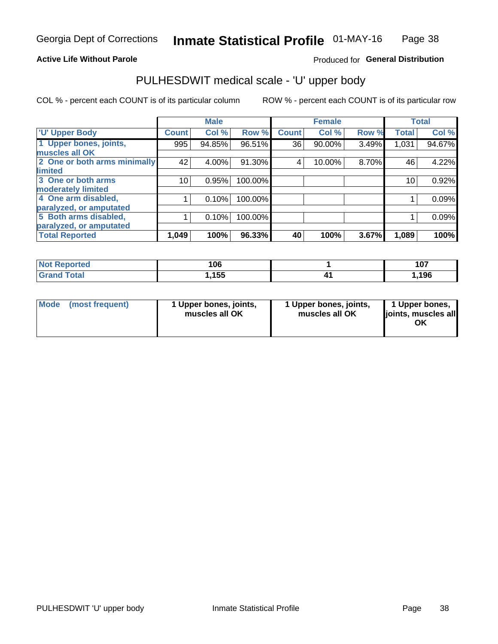#### **Active Life Without Parole**

### Produced for General Distribution

## PULHESDWIT medical scale - 'U' upper body

COL % - percent each COUNT is of its particular column

|                              |              | <b>Male</b> |         |              | <b>Female</b> |       |              | <b>Total</b> |
|------------------------------|--------------|-------------|---------|--------------|---------------|-------|--------------|--------------|
| <b>U' Upper Body</b>         | <b>Count</b> | Col %       | Row %   | <b>Count</b> | Col %         | Row % | <b>Total</b> | Col %        |
| 1 Upper bones, joints,       | 995          | 94.85%      | 96.51%  | 36           | 90.00%        | 3.49% | 1,031        | 94.67%       |
| muscles all OK               |              |             |         |              |               |       |              |              |
| 2 One or both arms minimally | 42           | 4.00%       | 91.30%  | 4            | 10.00%        | 8.70% | 46           | 4.22%        |
| limited                      |              |             |         |              |               |       |              |              |
| 3 One or both arms           | 10           | 0.95%       | 100.00% |              |               |       | 10           | 0.92%        |
| <b>moderately limited</b>    |              |             |         |              |               |       |              |              |
| 4 One arm disabled,          |              | 0.10%       | 100.00% |              |               |       |              | 0.09%        |
| paralyzed, or amputated      |              |             |         |              |               |       |              |              |
| 5 Both arms disabled,        |              | 0.10%       | 100.00% |              |               |       |              | 0.09%        |
| paralyzed, or amputated      |              |             |         |              |               |       |              |              |
| <b>Total Reported</b>        | 1,049        | 100%        | 96.33%  | 40           | 100%          | 3.67% | 1,089        | 100%         |

| <b>Not Reported</b> | 106   | 107<br>1 V 1 |
|---------------------|-------|--------------|
| <b>Grand Total</b>  | 1,155 | 196          |

| Mode (most frequent) | 1 Upper bones, joints,<br>muscles all OK | 1 Upper bones, joints,<br>muscles all OK | 1 Upper bones,<br>joints, muscles all<br>ΟK |
|----------------------|------------------------------------------|------------------------------------------|---------------------------------------------|
|----------------------|------------------------------------------|------------------------------------------|---------------------------------------------|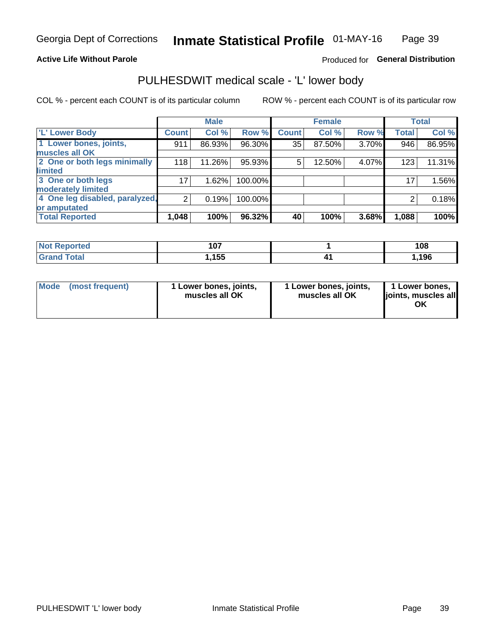#### **Active Life Without Parole**

#### Produced for General Distribution

### PULHESDWIT medical scale - 'L' lower body

COL % - percent each COUNT is of its particular column

|                                |                 | <b>Male</b> |           |              | <b>Female</b> |       |              | <b>Total</b> |
|--------------------------------|-----------------|-------------|-----------|--------------|---------------|-------|--------------|--------------|
| 'L' Lower Body                 | <b>Count</b>    | Col %       | Row %     | <b>Count</b> | Col %         | Row % | <b>Total</b> | Col %        |
| 1 Lower bones, joints,         | 911             | 86.93%      | $96.30\%$ | 35           | 87.50%        | 3.70% | 946          | 86.95%       |
| muscles all OK                 |                 |             |           |              |               |       |              |              |
| 2 One or both legs minimally   | 118             | 11.26%      | 95.93%    | 5            | 12.50%        | 4.07% | 123          | 11.31%       |
| limited                        |                 |             |           |              |               |       |              |              |
| 3 One or both legs             | 17 <sub>1</sub> | 1.62%       | 100.00%   |              |               |       | 17           | 1.56%        |
| moderately limited             |                 |             |           |              |               |       |              |              |
| 4 One leg disabled, paralyzed, | $\overline{2}$  | 0.19%       | 100.00%   |              |               |       | 2            | 0.18%        |
| or amputated                   |                 |             |           |              |               |       |              |              |
| <b>Total Reported</b>          | 1,048           | 100%        | 96.32%    | 40           | 100%          | 3.68% | 1,088        | 100%         |

| <b>Not Reported</b> | 107<br>, ט | 108  |
|---------------------|------------|------|
| <b>Total</b>        | ,155       | ,196 |

| Mode | (most frequent) | 1 Lower bones, joints,<br>muscles all OK | 1 Lower bones, joints,<br>muscles all OK | 1 Lower bones,<br>ljoints, muscles all<br>OK |
|------|-----------------|------------------------------------------|------------------------------------------|----------------------------------------------|
|------|-----------------|------------------------------------------|------------------------------------------|----------------------------------------------|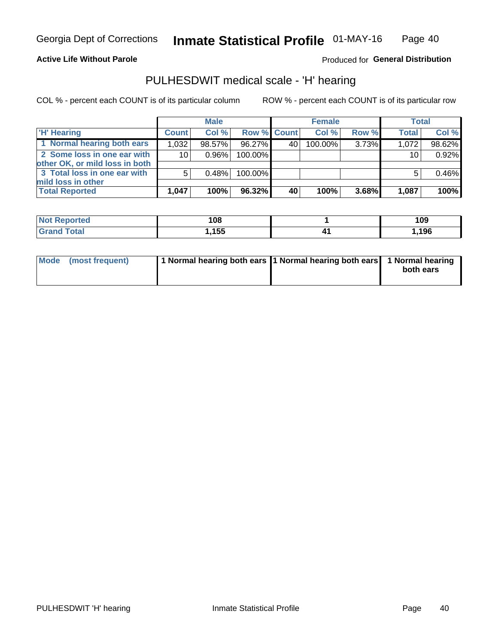#### **Active Life Without Parole**

Produced for General Distribution

### PULHESDWIT medical scale - 'H' hearing

COL % - percent each COUNT is of its particular column

|                                                               |                 | <b>Male</b> |             |    | <b>Female</b> |       | <b>Total</b> |        |
|---------------------------------------------------------------|-----------------|-------------|-------------|----|---------------|-------|--------------|--------|
| <b>H'</b> Hearing                                             | <b>Count</b>    | Col %       | Row % Count |    | Col%          | Row % | <b>Total</b> | Col %  |
| 1 Normal hearing both ears                                    | 1,032           | 98.57%      | 96.27%      | 40 | 100.00%       | 3.73% | 1,072        | 98.62% |
| 2 Some loss in one ear with<br>other OK, or mild loss in both | 10 <sup>1</sup> | 0.96%       | 100.00%     |    |               |       | 10           | 0.92%  |
| 3 Total loss in one ear with<br>mild loss in other            | 5               | 0.48%       | 100.00%     |    |               |       | 5            | 0.46%  |
| <b>Total Reported</b>                                         | 1,047           | 100%        | 96.32%      | 40 | 100%          | 3.68% | 1,087        | 100%   |

| <b>Not</b><br>Reported | 108                 | 109   |
|------------------------|---------------------|-------|
| <b>Total</b>           | <b>455</b><br>טטו,ו | 1,196 |

| Mode (most frequent) | 1 Normal hearing both ears 1 Normal hearing both ears 1 Normal hearing | both ears |
|----------------------|------------------------------------------------------------------------|-----------|
|                      |                                                                        |           |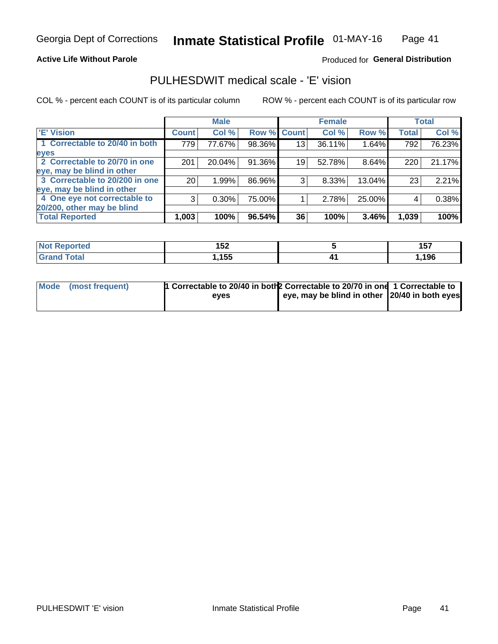#### **Active Life Without Parole**

#### Produced for General Distribution

### PULHESDWIT medical scale - 'E' vision

COL % - percent each COUNT is of its particular column

|                                |                 | <b>Male</b> |             |    | <b>Female</b> |        |              | <b>Total</b> |
|--------------------------------|-----------------|-------------|-------------|----|---------------|--------|--------------|--------------|
| <b>E' Vision</b>               | <b>Count</b>    | Col %       | Row % Count |    | Col %         | Row %  | <b>Total</b> | Col %        |
| 1 Correctable to 20/40 in both | 779             | 77.67%      | 98.36%      | 13 | 36.11%        | 1.64%  | 792          | 76.23%       |
| eyes                           |                 |             |             |    |               |        |              |              |
| 2 Correctable to 20/70 in one  | 201             | 20.04%      | 91.36%      | 19 | 52.78%        | 8.64%  | 220          | 21.17%       |
| eye, may be blind in other     |                 |             |             |    |               |        |              |              |
| 3 Correctable to 20/200 in one | 20 <sub>1</sub> | 1.99%       | 86.96%      | 3  | 8.33%         | 13.04% | 23           | 2.21%        |
| eye, may be blind in other     |                 |             |             |    |               |        |              |              |
| 4 One eye not correctable to   | 3               | $0.30\%$    | 75.00%      |    | 2.78%         | 25.00% | 4            | 0.38%        |
| 20/200, other may be blind     |                 |             |             |    |               |        |              |              |
| <b>Total Reported</b>          | 1,003           | 100%        | 96.54%      | 36 | 100%          | 3.46%  | 1,039        | 100%         |

| <b>Not Reported</b>   | 1 F A<br>1 J L | <b>457</b><br>ישו |
|-----------------------|----------------|-------------------|
| <b>Total</b><br>Grand | ,155           | 196,              |

| Mode (most frequent) | 1 Correctable to 20/40 in both 2 Correctable to 20/70 in one 1 Correctable to<br>eves | eye, may be blind in other 20/40 in both eyes |  |
|----------------------|---------------------------------------------------------------------------------------|-----------------------------------------------|--|
|                      |                                                                                       |                                               |  |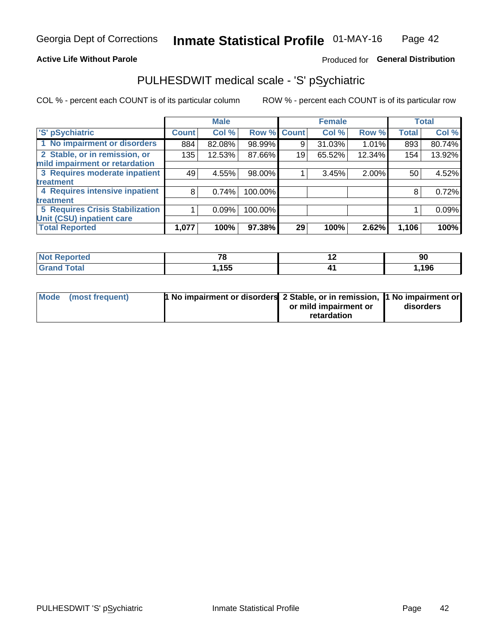#### **Active Life Without Parole**

#### Produced for General Distribution

## PULHESDWIT medical scale - 'S' pSychiatric

COL % - percent each COUNT is of its particular column

|                                        |              | <b>Male</b> |         |             | <b>Female</b> |        |              | <b>Total</b> |
|----------------------------------------|--------------|-------------|---------|-------------|---------------|--------|--------------|--------------|
| 'S' pSychiatric                        | <b>Count</b> | Col %       |         | Row % Count | Col %         | Row %  | <b>Total</b> | Col %        |
| 1 No impairment or disorders           | 884          | 82.08%      | 98.99%  | 9           | 31.03%        | 1.01%  | 893          | 80.74%       |
| 2 Stable, or in remission, or          | 135          | 12.53%      | 87.66%  | 19          | 65.52%        | 12.34% | 154          | 13.92%       |
| mild impairment or retardation         |              |             |         |             |               |        |              |              |
| 3 Requires moderate inpatient          | 49           | 4.55%       | 98.00%  |             | 3.45%         | 2.00%  | 50           | 4.52%        |
| <b>treatment</b>                       |              |             |         |             |               |        |              |              |
| 4 Requires intensive inpatient         | 8            | 0.74%       | 100.00% |             |               |        | 8            | 0.72%        |
| treatment                              |              |             |         |             |               |        |              |              |
| <b>5 Requires Crisis Stabilization</b> |              | 0.09%       | 100.00% |             |               |        |              | 0.09%        |
| Unit (CSU) inpatient care              |              |             |         |             |               |        |              |              |
| <b>Total Reported</b>                  | 1,077        | 100%        | 97.38%  | 29          | 100%          | 2.62%  | 1,106        | 100%         |

| <b>Not Reported</b>          | 70    | $\overline{\phantom{0}}$ | 90   |
|------------------------------|-------|--------------------------|------|
| <b>Total</b><br><b>C E E</b> | .155, |                          | ,196 |

| Mode (most frequent) | <b>1 No impairment or disorders</b> 2 Stable, or in remission, 11 No impairment or |                       |           |
|----------------------|------------------------------------------------------------------------------------|-----------------------|-----------|
|                      |                                                                                    | or mild impairment or | disorders |
|                      |                                                                                    | retardation           |           |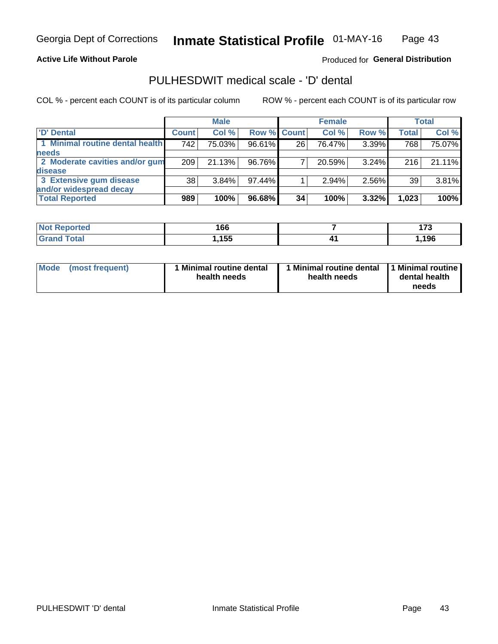**Active Life Without Parole** 

Produced for General Distribution

### PULHESDWIT medical scale - 'D' dental

COL % - percent each COUNT is of its particular column

|                                 |              | <b>Male</b> |                    |    | <b>Female</b> |       |              | Total  |
|---------------------------------|--------------|-------------|--------------------|----|---------------|-------|--------------|--------|
| D' Dental                       | <b>Count</b> | Col %       | <b>Row % Count</b> |    | Col %         | Row % | <b>Total</b> | Col %  |
| 1 Minimal routine dental health | 742          | 75.03%      | 96.61%             | 26 | 76.47%        | 3.39% | 768          | 75.07% |
| <b>needs</b>                    |              |             |                    |    |               |       |              |        |
| 2 Moderate cavities and/or gum  | 209          | 21.13%      | 96.76%             |    | 20.59%        | 3.24% | 216          | 21.11% |
| disease                         |              |             |                    |    |               |       |              |        |
| 3 Extensive gum disease         | 38           | $3.84\%$    | 97.44%             |    | 2.94%         | 2.56% | 39           | 3.81%  |
| and/or widespread decay         |              |             |                    |    |               |       |              |        |
| <b>Total Reported</b>           | 989          | 100%        | 96.68%             | 34 | 100%          | 3.32% | 1,023        | 100%   |

| <b>NOT REDOLTED</b><br>. | 166  |     | .    |
|--------------------------|------|-----|------|
| <b>Total</b>             | ,155 | . . | ,196 |

| <b>Mode</b><br><b>Minimal routine dental</b><br>(most frequent)<br>health needs | Minimal routine dental<br>health needs | 1 Minimal routine<br>dental health<br>needs |
|---------------------------------------------------------------------------------|----------------------------------------|---------------------------------------------|
|---------------------------------------------------------------------------------|----------------------------------------|---------------------------------------------|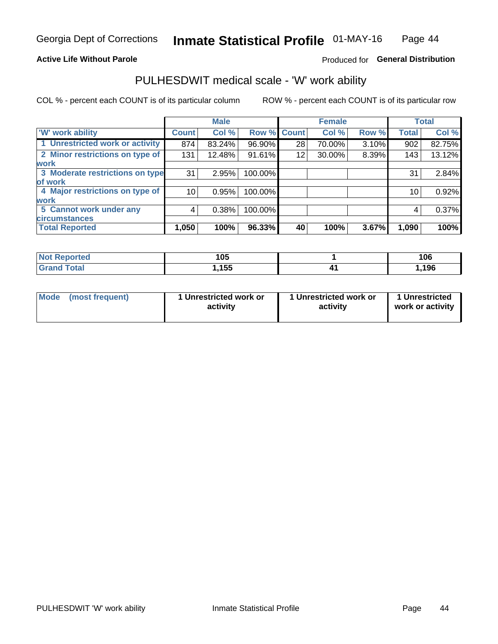#### **Active Life Without Parole**

#### Produced for General Distribution

### PULHESDWIT medical scale - 'W' work ability

COL % - percent each COUNT is of its particular column

|                                 |              | <b>Male</b> |         |             | <b>Female</b> |       |              | <b>Total</b> |
|---------------------------------|--------------|-------------|---------|-------------|---------------|-------|--------------|--------------|
| <b>W' work ability</b>          | <b>Count</b> | Col %       |         | Row % Count | Col %         | Row % | <b>Total</b> | Col %        |
| 1 Unrestricted work or activity | 874          | 83.24%      | 96.90%  | 28          | 70.00%        | 3.10% | 902          | 82.75%       |
| 2 Minor restrictions on type of | 131          | 12.48%      | 91.61%  | 12          | 30.00%        | 8.39% | 143          | 13.12%       |
| <b>work</b>                     |              |             |         |             |               |       |              |              |
| 3 Moderate restrictions on type | 31           | 2.95%       | 100.00% |             |               |       | 31           | 2.84%        |
| lof work                        |              |             |         |             |               |       |              |              |
| 4 Major restrictions on type of | 10           | 0.95%       | 100.00% |             |               |       | 10           | 0.92%        |
| <b>work</b>                     |              |             |         |             |               |       |              |              |
| 5 Cannot work under any         | 4            | 0.38%       | 100.00% |             |               |       | 4            | 0.37%        |
| <b>circumstances</b>            |              |             |         |             |               |       |              |              |
| <b>Total Reported</b>           | 1,050        | 100%        | 96.33%  | 40          | 100%          | 3.67% | 1,090        | 100%         |

| <b>Not Reported</b>         | 105   | 106  |
|-----------------------------|-------|------|
| <b>Total</b><br><b>Cron</b> | .155، | ,196 |

| Mode (most frequent) | 1 Unrestricted work or | 1 Unrestricted work or | 1 Unrestricted   |
|----------------------|------------------------|------------------------|------------------|
|                      | activity               | activity               | work or activity |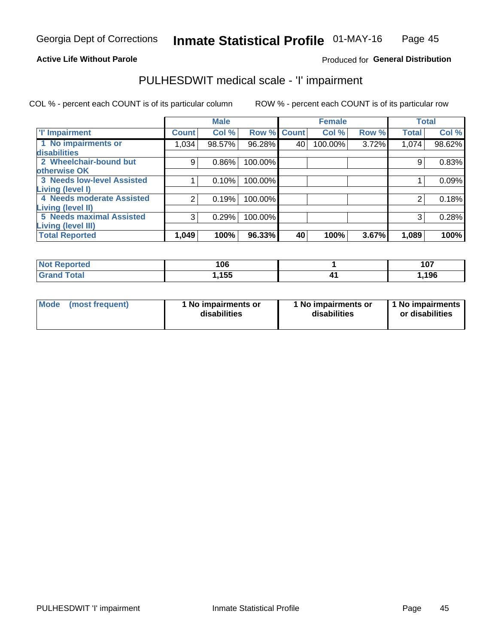#### **Active Life Without Parole**

#### Produced for General Distribution

## PULHESDWIT medical scale - 'I' impairment

|                                   |              | <b>Male</b> |             |    | <b>Female</b> |       |              | <b>Total</b> |
|-----------------------------------|--------------|-------------|-------------|----|---------------|-------|--------------|--------------|
| <b>T' Impairment</b>              | <b>Count</b> | Col %       | Row % Count |    | Col %         | Row % | <b>Total</b> | Col %        |
| 1 No impairments or               | 1,034        | 98.57%      | 96.28%      | 40 | 100.00%       | 3.72% | 1,074        | 98.62%       |
| <b>disabilities</b>               |              |             |             |    |               |       |              |              |
| 2 Wheelchair-bound but            | 9            | $0.86\%$    | 100.00%     |    |               |       | 9            | 0.83%        |
| otherwise OK                      |              |             |             |    |               |       |              |              |
| <b>3 Needs low-level Assisted</b> |              | 0.10%       | 100.00%     |    |               |       |              | 0.09%        |
| Living (level I)                  |              |             |             |    |               |       |              |              |
| 4 Needs moderate Assisted         | 2            | 0.19%       | 100.00%     |    |               |       |              | 0.18%        |
| Living (level II)                 |              |             |             |    |               |       |              |              |
| <b>5 Needs maximal Assisted</b>   | 3            | 0.29%       | 100.00%     |    |               |       | 3            | 0.28%        |
| Living (level III)                |              |             |             |    |               |       |              |              |
| <b>Total Reported</b>             | 1,049        | 100%        | 96.33%      | 40 | 100%          | 3.67% | 1,089        | 100%         |

| <b>ported</b><br>NO1 | 106  | 107  |
|----------------------|------|------|
| <b>Total</b>         | ,155 | ,196 |

| <b>Mode</b> | (most frequent) | <b>No impairments or</b><br>disabilities | 1 No impairments or<br>disabilities | 1 No impairments<br>or disabilities |
|-------------|-----------------|------------------------------------------|-------------------------------------|-------------------------------------|
|-------------|-----------------|------------------------------------------|-------------------------------------|-------------------------------------|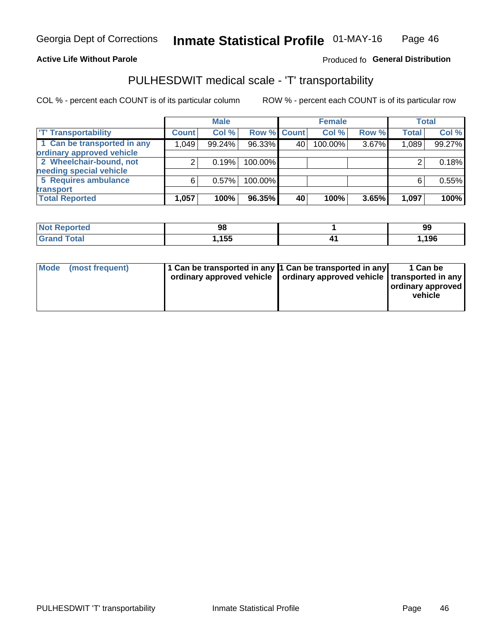#### **Active Life Without Parole**

#### Produced fo General Distribution

## PULHESDWIT medical scale - 'T' transportability

COL % - percent each COUNT is of its particular column

|                             |              | <b>Male</b> |             |    | <b>Female</b> |       |              | <b>Total</b> |
|-----------------------------|--------------|-------------|-------------|----|---------------|-------|--------------|--------------|
| <b>T' Transportability</b>  | <b>Count</b> | Col %       | Row % Count |    | Col %         | Row % | <b>Total</b> | Col %        |
| 1 Can be transported in any | 1,049        | 99.24%      | 96.33%      | 40 | 100.00%       | 3.67% | 1,089        | 99.27%       |
| ordinary approved vehicle   |              |             |             |    |               |       |              |              |
| 2 Wheelchair-bound, not     |              | 0.19%       | 100.00%     |    |               |       |              | 0.18%        |
| needing special vehicle     |              |             |             |    |               |       |              |              |
| 5 Requires ambulance        | 6            | 0.57%       | 100.00%     |    |               |       |              | 0.55%        |
| transport                   |              |             |             |    |               |       |              |              |
| <b>Total Reported</b>       | 1,057        | 100%        | 96.35%      | 40 | 100%          | 3.65% | 1,097        | 100%         |

| - 131<br>тео | 98   | 99   |
|--------------|------|------|
|              | ,155 | ,196 |

| Mode | (most frequent) | 1 Can be transported in any 1 Can be transported in any | ordinary approved vehicle   ordinary approved vehicle   transported in any | 1 Can be<br>  ordinary approved<br>vehicle |
|------|-----------------|---------------------------------------------------------|----------------------------------------------------------------------------|--------------------------------------------|
|      |                 |                                                         |                                                                            |                                            |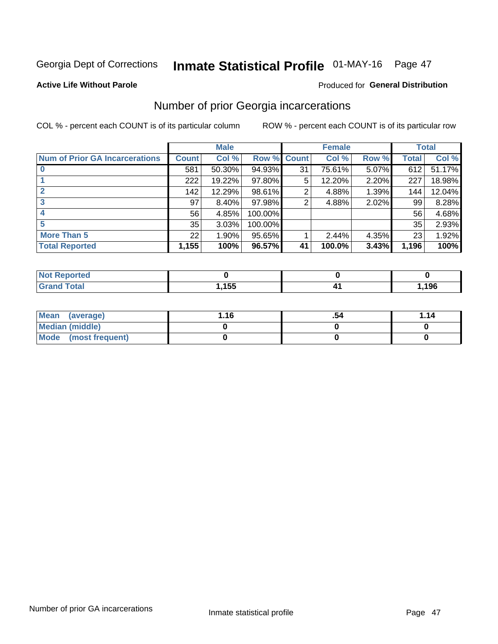## Inmate Statistical Profile 01-MAY-16 Page 47

#### **Active Life Without Parole**

#### **Produced for General Distribution**

### Number of prior Georgia incarcerations

COL % - percent each COUNT is of its particular column

|                                       |              | <b>Male</b> |                    |    | <b>Female</b> |       |       | <b>Total</b> |
|---------------------------------------|--------------|-------------|--------------------|----|---------------|-------|-------|--------------|
| <b>Num of Prior GA Incarcerations</b> | <b>Count</b> | Col %       | <b>Row % Count</b> |    | Col %         | Row % | Total | Col %        |
|                                       | 581          | 50.30%      | 94.93%             | 31 | 75.61%        | 5.07% | 612   | 51.17%       |
|                                       | 222          | 19.22%      | 97.80%             | 5  | 12.20%        | 2.20% | 227   | 18.98%       |
|                                       | 142          | 12.29%      | 98.61%             | 2  | 4.88%         | 1.39% | 144   | 12.04%       |
| 3                                     | 97           | 8.40%       | 97.98%             | 2  | 4.88%         | 2.02% | 99    | 8.28%        |
|                                       | 56           | 4.85%       | 100.00%            |    |               |       | 56    | 4.68%        |
| 5                                     | 35           | 3.03%       | 100.00%            |    |               |       | 35    | 2.93%        |
| <b>More Than 5</b>                    | 22           | 1.90%       | 95.65%             |    | 2.44%         | 4.35% | 23    | 1.92%        |
| <b>Total Reported</b>                 | 1,155        | 100%        | 96.57%             | 41 | 100.0%        | 3.43% | 1,196 | 100%         |

| orted<br>NI 6                   |                     |     |
|---------------------------------|---------------------|-----|
| <b>otal</b><br>$\mathbf{v}$ and | <i>ACC</i><br>,,,JJ | 10C |

| Mean (average)       | 1.16 | .54 | 1.14 |
|----------------------|------|-----|------|
| Median (middle)      |      |     |      |
| Mode (most frequent) |      |     |      |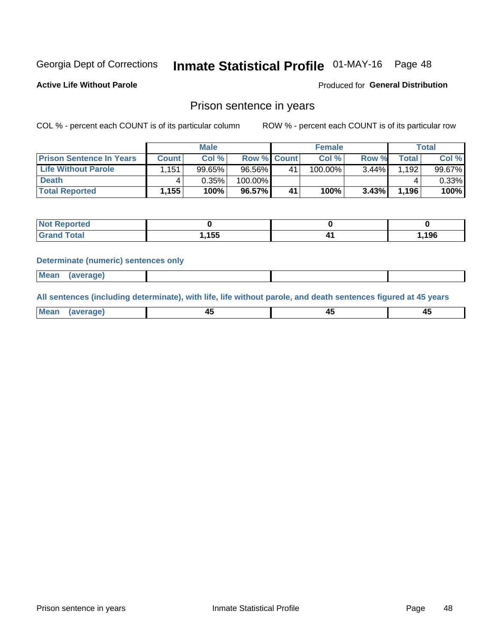## Inmate Statistical Profile 01-MAY-16 Page 48

**Active Life Without Parole** 

Produced for General Distribution

### Prison sentence in years

COL % - percent each COUNT is of its particular column

ROW % - percent each COUNT is of its particular row

|                                 |              | <b>Male</b> |                    |                | <b>Female</b> |          |       | Total  |
|---------------------------------|--------------|-------------|--------------------|----------------|---------------|----------|-------|--------|
| <b>Prison Sentence In Years</b> | <b>Count</b> | Col %       | <b>Row % Count</b> |                | Col %         | Row %    | Total | Col %  |
| <b>Life Without Parole</b>      | 1.151        | 99.65%      | 96.56%             | 4 <sup>1</sup> | $100.00\%$    | $3.44\%$ | .192  | 99.67% |
| <b>Death</b>                    |              | 0.35%       | 100.00%            |                |               |          |       | 0.33%  |
| <b>Total Reported</b>           | 1,155        | 100%        | 96.57%             | 41             | 100%          | $3.43\%$ | 1,196 | 100%   |

| Reported<br>NOT. |      |      |
|------------------|------|------|
| <b>Total</b>     | .155 | .196 |

#### **Determinate (numeric) sentences only**

| 1112211 | <b>Mean</b> | Ane <sup>*</sup> |  |  |
|---------|-------------|------------------|--|--|

All sentences (including determinate), with life, life without parole, and death sentences figured at 45 years

| 'nе<br>- 1<br>$\sim$<br>_ | ้ Mea |  |  |
|---------------------------|-------|--|--|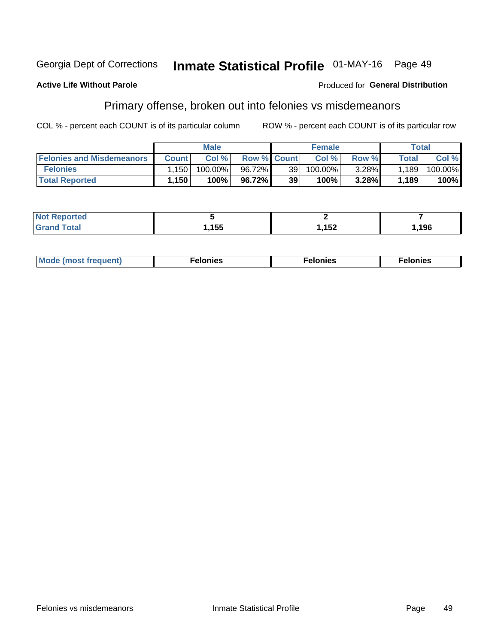#### Georgia Dept of Corrections Inmate Statistical Profile 01-MAY-16 Page 49

#### **Active Life Without Parole**

#### Produced for General Distribution

### Primary offense, broken out into felonies vs misdemeanors

COL % - percent each COUNT is of its particular column

|                                  |              | <b>Male</b> |                    |    | <b>Female</b> |          |                    | Total   |
|----------------------------------|--------------|-------------|--------------------|----|---------------|----------|--------------------|---------|
| <b>Felonies and Misdemeanors</b> | <b>Count</b> | Col%        | <b>Row % Count</b> |    | Col%          | Row %    | Total <sub>1</sub> | Col %   |
| <b>Felonies</b>                  | .150         | 100.00%     | 96.72%1            | 39 | 100.00%       | $3.28\%$ | 1,189              | 100.00% |
| <b>Total Reported</b>            | .150         | $100\%$     | 96.72%             | 39 | 100%          | 3.28%    | 1,189              | 100%    |

| <b>Not Reported</b>          |       |      |       |
|------------------------------|-------|------|-------|
| <b>Total</b><br><b>Grand</b> | 1,155 | ,152 | 1,196 |

| <b>Mode</b><br>frequent)<br>nies<br>≧ (most tr.<br>. | onies<br>. | lonies<br>ею<br>____ |
|------------------------------------------------------|------------|----------------------|
|------------------------------------------------------|------------|----------------------|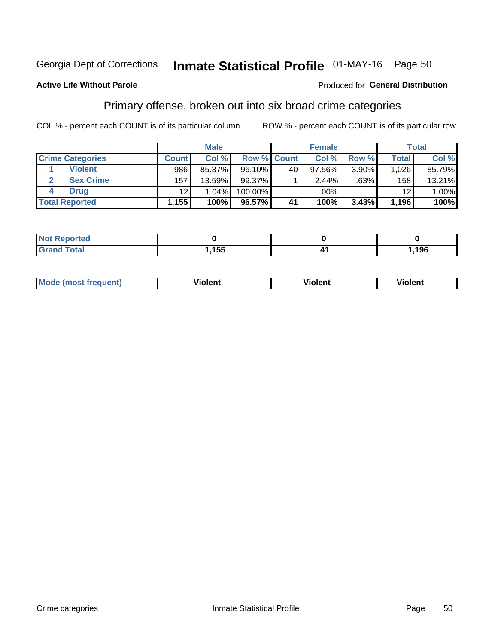#### Inmate Statistical Profile 01-MAY-16 Page 50 Georgia Dept of Corrections

#### **Active Life Without Parole**

#### Produced for General Distribution

### Primary offense, broken out into six broad crime categories

COL % - percent each COUNT is of its particular column

|                         |              | <b>Male</b> |             |    | <b>Female</b> |       |                 | Total  |
|-------------------------|--------------|-------------|-------------|----|---------------|-------|-----------------|--------|
| <b>Crime Categories</b> | <b>Count</b> | Col%        | Row % Count |    | Col%          | Row % | <b>Total</b>    | Col %  |
| <b>Violent</b>          | 986          | 85.37%      | 96.10%      | 40 | 97.56%        | 3.90% | 1,026           | 85.79% |
| <b>Sex Crime</b>        | 157          | 13.59%      | 99.37%      |    | 2.44%         | .63%  | 158             | 13.21% |
| <b>Drug</b>             | 12           | 1.04%       | 100.00%     |    | .00%          |       | 12 <sup>2</sup> | 1.00%  |
| <b>Total Reported</b>   | 1,155        | 100%        | 96.57%      | 41 | 100%          | 3.43% | 1,196           | 100%   |

| .           |       |                        |
|-------------|-------|------------------------|
| -<br>______ | I,155 | 10 <sub>c</sub><br>190 |

| Mo<br>quenti | .<br>iolent<br>ΊΙ. | --<br>olent | .<br>'ent |
|--------------|--------------------|-------------|-----------|
|              |                    |             |           |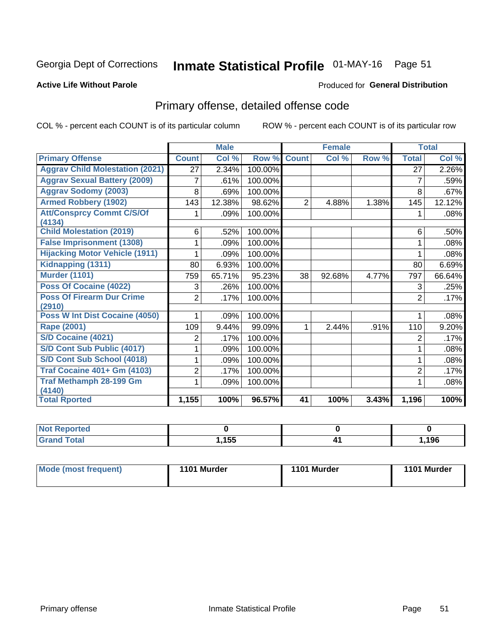## Inmate Statistical Profile 01-MAY-16 Page 51

#### **Active Life Without Parole**

#### Produced for General Distribution

## Primary offense, detailed offense code

COL % - percent each COUNT is of its particular column

|                                            |                | <b>Male</b> |         |                | <b>Female</b> |       |                | <b>Total</b> |
|--------------------------------------------|----------------|-------------|---------|----------------|---------------|-------|----------------|--------------|
| <b>Primary Offense</b>                     | <b>Count</b>   | Col %       | Row %   | <b>Count</b>   | Col %         | Row % | <b>Total</b>   | Col %        |
| <b>Aggrav Child Molestation (2021)</b>     | 27             | 2.34%       | 100.00% |                |               |       | 27             | 2.26%        |
| <b>Aggrav Sexual Battery (2009)</b>        | 7              | .61%        | 100.00% |                |               |       | $\overline{7}$ | .59%         |
| <b>Aggrav Sodomy (2003)</b>                | 8              | .69%        | 100.00% |                |               |       | 8              | .67%         |
| <b>Armed Robbery (1902)</b>                | 143            | 12.38%      | 98.62%  | $\overline{2}$ | 4.88%         | 1.38% | 145            | 12.12%       |
| <b>Att/Consprcy Commt C/S/Of</b>           |                | .09%        | 100.00% |                |               |       |                | .08%         |
| (4134)                                     |                |             |         |                |               |       |                |              |
| <b>Child Molestation (2019)</b>            | 6              | .52%        | 100.00% |                |               |       | 6              | .50%         |
| <b>False Imprisonment (1308)</b>           |                | .09%        | 100.00% |                |               |       |                | .08%         |
| <b>Hijacking Motor Vehicle (1911)</b>      |                | .09%        | 100.00% |                |               |       |                | .08%         |
| Kidnapping (1311)                          | 80             | 6.93%       | 100.00% |                |               |       | 80             | 6.69%        |
| <b>Murder (1101)</b>                       | 759            | 65.71%      | 95.23%  | 38             | 92.68%        | 4.77% | 797            | 66.64%       |
| <b>Poss Of Cocaine (4022)</b>              | 3              | .26%        | 100.00% |                |               |       | 3              | .25%         |
| <b>Poss Of Firearm Dur Crime</b><br>(2910) | $\overline{2}$ | .17%        | 100.00% |                |               |       | $\overline{2}$ | .17%         |
| Poss W Int Dist Cocaine (4050)             |                | .09%        | 100.00% |                |               |       |                | .08%         |
| Rape (2001)                                | 109            | 9.44%       | 99.09%  | 1.             | 2.44%         | .91%  | 110            | 9.20%        |
| <b>S/D Cocaine (4021)</b>                  | 2              | .17%        | 100.00% |                |               |       | 2              | .17%         |
| S/D Cont Sub Public (4017)                 |                | .09%        | 100.00% |                |               |       | 1              | .08%         |
| S/D Cont Sub School (4018)                 |                | .09%        | 100.00% |                |               |       |                | .08%         |
| <b>Traf Cocaine 401+ Gm (4103)</b>         | 2              | .17%        | 100.00% |                |               |       | $\overline{2}$ | .17%         |
| <b>Traf Methamph 28-199 Gm</b>             |                | .09%        | 100.00% |                |               |       |                | .08%         |
| (4140)<br><b>Total Rported</b>             | 1,155          | 100%        | 96.57%  | 41             | 100%          | 3.43% | 1,196          | 100%         |

| . . |     |      |
|-----|-----|------|
|     | 155 | .196 |

| 1101 Murder<br>Mode (most frequent)<br>1101 Murder | 1101 Murder |
|----------------------------------------------------|-------------|
|----------------------------------------------------|-------------|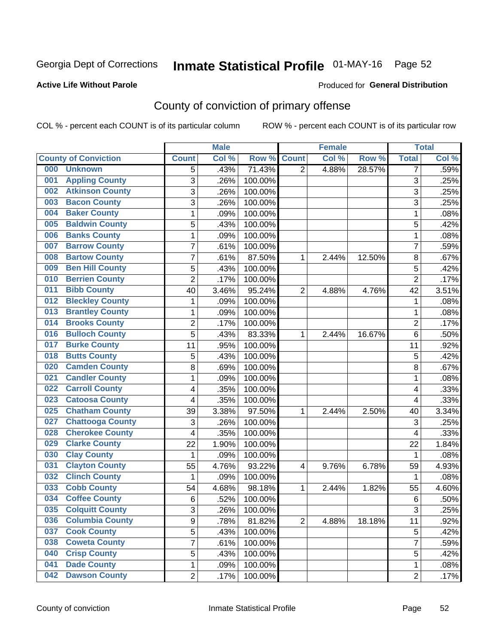## Inmate Statistical Profile 01-MAY-16 Page 52

#### **Active Life Without Parole**

#### Produced for General Distribution

## County of conviction of primary offense

COL % - percent each COUNT is of its particular column

|     |                             |                | <b>Male</b> |         |                | <b>Female</b> |        | <b>Total</b>            |       |
|-----|-----------------------------|----------------|-------------|---------|----------------|---------------|--------|-------------------------|-------|
|     | <b>County of Conviction</b> | <b>Count</b>   | Col %       | Row %   | <b>Count</b>   | Col %         | Row %  | <b>Total</b>            | Col % |
| 000 | <b>Unknown</b>              | 5              | .43%        | 71.43%  | $\overline{2}$ | 4.88%         | 28.57% | 7                       | .59%  |
| 001 | <b>Appling County</b>       | 3              | .26%        | 100.00% |                |               |        | 3                       | .25%  |
| 002 | <b>Atkinson County</b>      | 3              | .26%        | 100.00% |                |               |        | 3                       | .25%  |
| 003 | <b>Bacon County</b>         | $\overline{3}$ | .26%        | 100.00% |                |               |        | $\overline{3}$          | .25%  |
| 004 | <b>Baker County</b>         | 1              | .09%        | 100.00% |                |               |        | 1                       | .08%  |
| 005 | <b>Baldwin County</b>       | 5              | .43%        | 100.00% |                |               |        | $\overline{5}$          | .42%  |
| 006 | <b>Banks County</b>         | 1              | .09%        | 100.00% |                |               |        | $\mathbf 1$             | .08%  |
| 007 | <b>Barrow County</b>        | 7              | .61%        | 100.00% |                |               |        | $\overline{7}$          | .59%  |
| 008 | <b>Bartow County</b>        | $\overline{7}$ | .61%        | 87.50%  | 1              | 2.44%         | 12.50% | 8                       | .67%  |
| 009 | <b>Ben Hill County</b>      | 5              | .43%        | 100.00% |                |               |        | 5                       | .42%  |
| 010 | <b>Berrien County</b>       | $\overline{2}$ | .17%        | 100.00% |                |               |        | $\overline{2}$          | .17%  |
| 011 | <b>Bibb County</b>          | 40             | 3.46%       | 95.24%  | $\overline{2}$ | 4.88%         | 4.76%  | 42                      | 3.51% |
| 012 | <b>Bleckley County</b>      | 1              | .09%        | 100.00% |                |               |        | $\mathbf 1$             | .08%  |
| 013 | <b>Brantley County</b>      | $\mathbf 1$    | .09%        | 100.00% |                |               |        | $\mathbf{1}$            | .08%  |
| 014 | <b>Brooks County</b>        | $\overline{c}$ | .17%        | 100.00% |                |               |        | $\overline{2}$          | .17%  |
| 016 | <b>Bulloch County</b>       | $\overline{5}$ | .43%        | 83.33%  | 1              | 2.44%         | 16.67% | 6                       | .50%  |
| 017 | <b>Burke County</b>         | 11             | .95%        | 100.00% |                |               |        | 11                      | .92%  |
| 018 | <b>Butts County</b>         | 5              | .43%        | 100.00% |                |               |        | 5                       | .42%  |
| 020 | <b>Camden County</b>        | $\overline{8}$ | .69%        | 100.00% |                |               |        | 8                       | .67%  |
| 021 | <b>Candler County</b>       | 1              | .09%        | 100.00% |                |               |        | 1                       | .08%  |
| 022 | <b>Carroll County</b>       | 4              | .35%        | 100.00% |                |               |        | 4                       | .33%  |
| 023 | <b>Catoosa County</b>       | 4              | .35%        | 100.00% |                |               |        | $\overline{\mathbf{4}}$ | .33%  |
| 025 | <b>Chatham County</b>       | 39             | 3.38%       | 97.50%  | 1              | 2.44%         | 2.50%  | 40                      | 3.34% |
| 027 | <b>Chattooga County</b>     | 3              | .26%        | 100.00% |                |               |        | 3                       | .25%  |
| 028 | <b>Cherokee County</b>      | 4              | .35%        | 100.00% |                |               |        | $\overline{\mathbf{4}}$ | .33%  |
| 029 | <b>Clarke County</b>        | 22             | 1.90%       | 100.00% |                |               |        | 22                      | 1.84% |
| 030 | <b>Clay County</b>          | 1              | .09%        | 100.00% |                |               |        | 1                       | .08%  |
| 031 | <b>Clayton County</b>       | 55             | 4.76%       | 93.22%  | 4              | 9.76%         | 6.78%  | 59                      | 4.93% |
| 032 | <b>Clinch County</b>        | 1              | .09%        | 100.00% |                |               |        | $\mathbf 1$             | .08%  |
| 033 | <b>Cobb County</b>          | 54             | 4.68%       | 98.18%  | 1              | 2.44%         | 1.82%  | 55                      | 4.60% |
| 034 | <b>Coffee County</b>        | $\,6$          | .52%        | 100.00% |                |               |        | $6\phantom{1}$          | .50%  |
| 035 | <b>Colquitt County</b>      | 3              | .26%        | 100.00% |                |               |        | 3                       | .25%  |
| 036 | <b>Columbia County</b>      | 9              | .78%        | 81.82%  | $\overline{2}$ | 4.88%         | 18.18% | 11                      | .92%  |
| 037 | <b>Cook County</b>          | $\overline{5}$ | .43%        | 100.00% |                |               |        | 5                       | .42%  |
| 038 | <b>Coweta County</b>        | 7              | .61%        | 100.00% |                |               |        | $\overline{7}$          | .59%  |
| 040 | <b>Crisp County</b>         | 5              | .43%        | 100.00% |                |               |        | 5                       | .42%  |
| 041 | <b>Dade County</b>          | $\mathbf 1$    | .09%        | 100.00% |                |               |        | 1                       | .08%  |
| 042 | <b>Dawson County</b>        | $\overline{2}$ | .17%        | 100.00% |                |               |        | $\overline{2}$          | .17%  |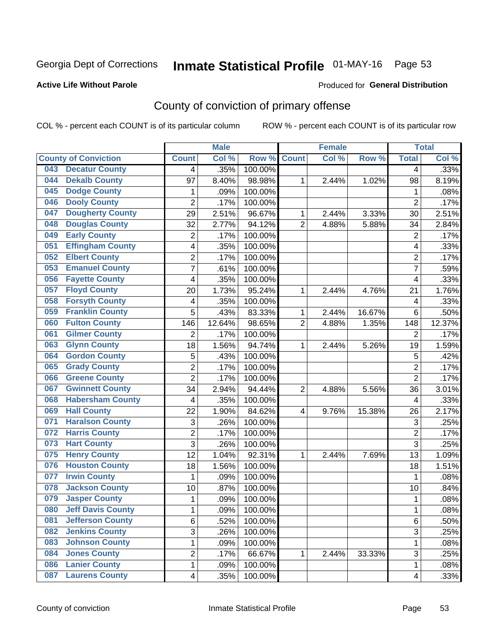## Inmate Statistical Profile 01-MAY-16 Page 53

#### **Active Life Without Parole**

#### Produced for General Distribution

## County of conviction of primary offense

COL % - percent each COUNT is of its particular column

|     |                             |                 | <b>Male</b> |                  |                | <b>Female</b> |        | <b>Total</b>   |        |
|-----|-----------------------------|-----------------|-------------|------------------|----------------|---------------|--------|----------------|--------|
|     | <b>County of Conviction</b> | <b>Count</b>    | Col %       | Row <sup>%</sup> | <b>Count</b>   | Col %         | Row %  | <b>Total</b>   | Col %  |
| 043 | <b>Decatur County</b>       | 4               | .35%        | 100.00%          |                |               |        | 4              | .33%   |
| 044 | <b>Dekalb County</b>        | 97              | 8.40%       | 98.98%           | 1              | 2.44%         | 1.02%  | 98             | 8.19%  |
| 045 | <b>Dodge County</b>         | 1               | .09%        | 100.00%          |                |               |        | 1              | .08%   |
| 046 | <b>Dooly County</b>         | $\overline{2}$  | .17%        | 100.00%          |                |               |        | $\overline{2}$ | .17%   |
| 047 | <b>Dougherty County</b>     | 29              | 2.51%       | 96.67%           | 1              | 2.44%         | 3.33%  | 30             | 2.51%  |
| 048 | <b>Douglas County</b>       | 32              | 2.77%       | 94.12%           | $\overline{2}$ | 4.88%         | 5.88%  | 34             | 2.84%  |
| 049 | <b>Early County</b>         | $\overline{c}$  | .17%        | 100.00%          |                |               |        | $\overline{2}$ | .17%   |
| 051 | <b>Effingham County</b>     | 4               | .35%        | 100.00%          |                |               |        | 4              | .33%   |
| 052 | <b>Elbert County</b>        | 2               | .17%        | 100.00%          |                |               |        | $\overline{2}$ | .17%   |
| 053 | <b>Emanuel County</b>       | $\overline{7}$  | .61%        | 100.00%          |                |               |        | 7              | .59%   |
| 056 | <b>Fayette County</b>       | 4               | .35%        | 100.00%          |                |               |        | 4              | .33%   |
| 057 | <b>Floyd County</b>         | 20              | 1.73%       | 95.24%           | 1              | 2.44%         | 4.76%  | 21             | 1.76%  |
| 058 | <b>Forsyth County</b>       | 4               | .35%        | 100.00%          |                |               |        | 4              | .33%   |
| 059 | <b>Franklin County</b>      | 5               | .43%        | 83.33%           | 1              | 2.44%         | 16.67% | 6              | .50%   |
| 060 | <b>Fulton County</b>        | 146             | 12.64%      | 98.65%           | $\overline{2}$ | 4.88%         | 1.35%  | 148            | 12.37% |
| 061 | <b>Gilmer County</b>        | $\overline{2}$  | .17%        | 100.00%          |                |               |        | $\overline{2}$ | .17%   |
| 063 | <b>Glynn County</b>         | 18              | 1.56%       | 94.74%           | 1              | 2.44%         | 5.26%  | 19             | 1.59%  |
| 064 | <b>Gordon County</b>        | 5               | .43%        | 100.00%          |                |               |        | 5              | .42%   |
| 065 | <b>Grady County</b>         | $\overline{c}$  | .17%        | 100.00%          |                |               |        | $\overline{2}$ | .17%   |
| 066 | <b>Greene County</b>        | $\overline{2}$  | .17%        | 100.00%          |                |               |        | $\overline{2}$ | .17%   |
| 067 | <b>Gwinnett County</b>      | 34              | 2.94%       | 94.44%           | $\overline{2}$ | 4.88%         | 5.56%  | 36             | 3.01%  |
| 068 | <b>Habersham County</b>     | $\overline{4}$  | .35%        | 100.00%          |                |               |        | 4              | .33%   |
| 069 | <b>Hall County</b>          | 22              | 1.90%       | 84.62%           | 4              | 9.76%         | 15.38% | 26             | 2.17%  |
| 071 | <b>Haralson County</b>      | 3               | .26%        | 100.00%          |                |               |        | 3              | .25%   |
| 072 | <b>Harris County</b>        | 2               | .17%        | 100.00%          |                |               |        | $\overline{2}$ | .17%   |
| 073 | <b>Hart County</b>          | 3               | .26%        | 100.00%          |                |               |        | 3              | .25%   |
| 075 | <b>Henry County</b>         | $\overline{12}$ | 1.04%       | 92.31%           | 1              | 2.44%         | 7.69%  | 13             | 1.09%  |
| 076 | <b>Houston County</b>       | 18              | 1.56%       | 100.00%          |                |               |        | 18             | 1.51%  |
| 077 | <b>Irwin County</b>         | $\mathbf{1}$    | .09%        | 100.00%          |                |               |        | $\mathbf{1}$   | .08%   |
| 078 | <b>Jackson County</b>       | 10              | .87%        | 100.00%          |                |               |        | 10             | .84%   |
| 079 | <b>Jasper County</b>        | $\mathbf{1}$    | .09%        | 100.00%          |                |               |        | 1              | .08%   |
| 080 | <b>Jeff Davis County</b>    | 1               | .09%        | 100.00%          |                |               |        | 1              | .08%   |
| 081 | <b>Jefferson County</b>     | 6               | .52%        | 100.00%          |                |               |        | 6              | .50%   |
| 082 | <b>Jenkins County</b>       | 3               | .26%        | 100.00%          |                |               |        | 3              | .25%   |
| 083 | <b>Johnson County</b>       | $\mathbf 1$     | .09%        | 100.00%          |                |               |        | $\mathbf{1}$   | .08%   |
| 084 | <b>Jones County</b>         | 2               | .17%        | 66.67%           | 1              | 2.44%         | 33.33% | 3              | .25%   |
| 086 | <b>Lanier County</b>        | $\mathbf 1$     | .09%        | 100.00%          |                |               |        | $\mathbf 1$    | .08%   |
| 087 | <b>Laurens County</b>       | 4               | .35%        | 100.00%          |                |               |        | 4              | .33%   |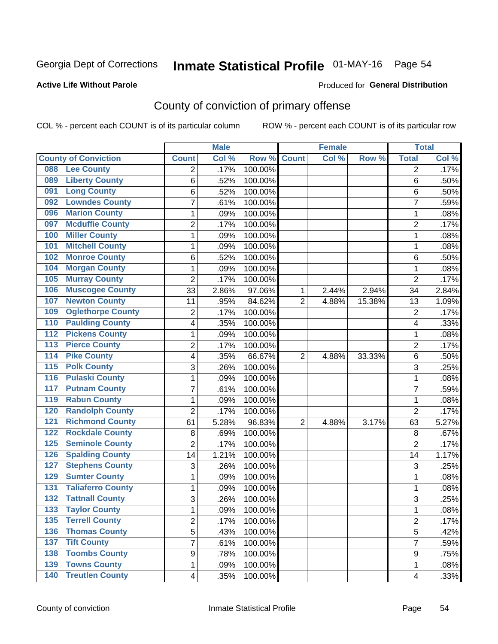## Inmate Statistical Profile 01-MAY-16 Page 54

#### **Active Life Without Parole**

#### **Produced for General Distribution**

## County of conviction of primary offense

COL % - percent each COUNT is of its particular column

|                                            |                           | <b>Male</b> |         |                | <b>Female</b> |        | <b>Total</b>   |       |
|--------------------------------------------|---------------------------|-------------|---------|----------------|---------------|--------|----------------|-------|
| <b>County of Conviction</b>                | <b>Count</b>              | Col %       | Row %   | <b>Count</b>   | Col %         | Row %  | <b>Total</b>   | Col % |
| <b>Lee County</b><br>088                   | 2                         | .17%        | 100.00% |                |               |        | 2              | .17%  |
| <b>Liberty County</b><br>089               | 6                         | .52%        | 100.00% |                |               |        | 6              | .50%  |
| <b>Long County</b><br>091                  | 6                         | .52%        | 100.00% |                |               |        | 6              | .50%  |
| <b>Lowndes County</b><br>092               | 7                         | .61%        | 100.00% |                |               |        | 7              | .59%  |
| <b>Marion County</b><br>096                | 1                         | .09%        | 100.00% |                |               |        | $\mathbf{1}$   | .08%  |
| <b>Mcduffie County</b><br>097              | $\overline{2}$            | .17%        | 100.00% |                |               |        | $\overline{2}$ | .17%  |
| <b>Miller County</b><br>100                | 1                         | .09%        | 100.00% |                |               |        | $\mathbf{1}$   | .08%  |
| <b>Mitchell County</b><br>101              | 1                         | .09%        | 100.00% |                |               |        | 1              | .08%  |
| <b>Monroe County</b><br>102                | 6                         | .52%        | 100.00% |                |               |        | 6              | .50%  |
| <b>Morgan County</b><br>104                | 1                         | .09%        | 100.00% |                |               |        | $\mathbf{1}$   | .08%  |
| <b>Murray County</b><br>105                | $\overline{c}$            | .17%        | 100.00% |                |               |        | $\overline{2}$ | .17%  |
| <b>Muscogee County</b><br>106              | 33                        | 2.86%       | 97.06%  | 1              | 2.44%         | 2.94%  | 34             | 2.84% |
| <b>Newton County</b><br>107                | 11                        | .95%        | 84.62%  | $\overline{2}$ | 4.88%         | 15.38% | 13             | 1.09% |
| <b>Oglethorpe County</b><br>109            | $\boldsymbol{2}$          | .17%        | 100.00% |                |               |        | $\overline{2}$ | .17%  |
| <b>Paulding County</b><br>110              | 4                         | .35%        | 100.00% |                |               |        | 4              | .33%  |
| <b>Pickens County</b><br>$\overline{112}$  | 1                         | .09%        | 100.00% |                |               |        | 1              | .08%  |
| <b>Pierce County</b><br>113                | 2                         | .17%        | 100.00% |                |               |        | $\overline{2}$ | .17%  |
| <b>Pike County</b><br>$\overline{114}$     | 4                         | .35%        | 66.67%  | $\overline{2}$ | 4.88%         | 33.33% | 6              | .50%  |
| <b>Polk County</b><br>$\overline{115}$     | 3                         | .26%        | 100.00% |                |               |        | 3              | .25%  |
| <b>Pulaski County</b><br>116               | 1                         | .09%        | 100.00% |                |               |        | $\mathbf{1}$   | .08%  |
| <b>Putnam County</b><br>117                | 7                         | .61%        | 100.00% |                |               |        | 7              | .59%  |
| <b>Rabun County</b><br>119                 | 1                         | .09%        | 100.00% |                |               |        | $\mathbf{1}$   | .08%  |
| <b>Randolph County</b><br>120              | $\overline{2}$            | .17%        | 100.00% |                |               |        | $\overline{2}$ | .17%  |
| <b>Richmond County</b><br>121              | 61                        | 5.28%       | 96.83%  | $\overline{2}$ | 4.88%         | 3.17%  | 63             | 5.27% |
| <b>Rockdale County</b><br>122              | 8                         | .69%        | 100.00% |                |               |        | $\, 8$         | .67%  |
| <b>Seminole County</b><br>125              | $\overline{2}$            | .17%        | 100.00% |                |               |        | $\overline{2}$ | .17%  |
| <b>Spalding County</b><br>126              | 14                        | 1.21%       | 100.00% |                |               |        | 14             | 1.17% |
| <b>Stephens County</b><br>127              | $\ensuremath{\mathsf{3}}$ | .26%        | 100.00% |                |               |        | $\sqrt{3}$     | .25%  |
| <b>Sumter County</b><br>129                | 1                         | .09%        | 100.00% |                |               |        | $\mathbf{1}$   | .08%  |
| <b>Taliaferro County</b><br>131            | 1                         | .09%        | 100.00% |                |               |        | $\mathbf{1}$   | .08%  |
| <b>Tattnall County</b><br>$\overline{132}$ | 3                         | .26%        | 100.00% |                |               |        | 3              | .25%  |
| <b>Taylor County</b><br>133                | 1                         | .09%        | 100.00% |                |               |        | 1              | .08%  |
| <b>Terrell County</b><br>135               | 2                         | .17%        | 100.00% |                |               |        | $\overline{2}$ | .17%  |
| <b>Thomas County</b><br>136                | 5                         | .43%        | 100.00% |                |               |        | 5              | .42%  |
| <b>Tift County</b><br>137                  | $\overline{7}$            | .61%        | 100.00% |                |               |        | $\overline{7}$ | .59%  |
| <b>Toombs County</b><br>138                | 9                         | .78%        | 100.00% |                |               |        | 9              | .75%  |
| <b>Towns County</b><br>139                 | 1                         | .09%        | 100.00% |                |               |        | $\mathbf{1}$   | .08%  |
| <b>140 Treutlen County</b>                 | $\overline{\mathbf{4}}$   | .35%        | 100.00% |                |               |        | 4              | .33%  |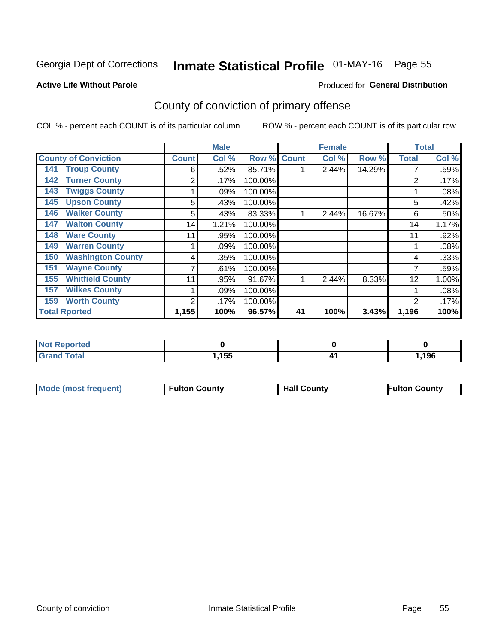## Inmate Statistical Profile 01-MAY-16 Page 55

#### **Active Life Without Parole**

#### Produced for General Distribution

## County of conviction of primary offense

COL % - percent each COUNT is of its particular column

|                                 |                | <b>Male</b> |         |              | <b>Female</b> |        |              | <b>Total</b> |
|---------------------------------|----------------|-------------|---------|--------------|---------------|--------|--------------|--------------|
| <b>County of Conviction</b>     | <b>Count</b>   | Col %       | Row %   | <b>Count</b> | Col %         | Row %  | <b>Total</b> | Col %        |
| <b>Troup County</b><br>141      | 6              | .52%        | 85.71%  |              | 2.44%         | 14.29% |              | .59%         |
| <b>Turner County</b><br>142     | 2              | .17%        | 100.00% |              |               |        | 2            | .17%         |
| <b>Twiggs County</b><br>143     |                | .09%        | 100.00% |              |               |        |              | .08%         |
| <b>Upson County</b><br>145      | 5              | .43%        | 100.00% |              |               |        | 5            | .42%         |
| <b>Walker County</b><br>146     | 5              | .43%        | 83.33%  |              | 2.44%         | 16.67% | 6            | .50%         |
| <b>Walton County</b><br>147     | 14             | 1.21%       | 100.00% |              |               |        | 14           | 1.17%        |
| <b>Ware County</b><br>148       | 11             | .95%        | 100.00% |              |               |        | 11           | .92%         |
| <b>Warren County</b><br>149     |                | .09%        | 100.00% |              |               |        |              | .08%         |
| <b>Washington County</b><br>150 | 4              | .35%        | 100.00% |              |               |        | 4            | .33%         |
| <b>Wayne County</b><br>151      | 7              | .61%        | 100.00% |              |               |        | 7            | .59%         |
| <b>Whitfield County</b><br>155  | 11             | .95%        | 91.67%  |              | 2.44%         | 8.33%  | 12           | 1.00%        |
| <b>Wilkes County</b><br>157     |                | .09%        | 100.00% |              |               |        |              | .08%         |
| <b>Worth County</b><br>159      | $\overline{2}$ | .17%        | 100.00% |              |               |        | 2            | .17%         |
| <b>Total Rported</b>            | 1,155          | 100%        | 96.57%  | 41           | 100%          | 3.43%  | 1,196        | 100%         |

| 'No<br><b>rtea</b>              |      |        |            |
|---------------------------------|------|--------|------------|
| <b>otal</b><br>Gra<br>$- \cdot$ | ,155 | $\sim$ | 10c<br>טיט |

|  | <b>Mode (most frequent)</b> | <b>Fulton County</b> | <b>Hall County</b> | <b>Fulton County</b> |
|--|-----------------------------|----------------------|--------------------|----------------------|
|--|-----------------------------|----------------------|--------------------|----------------------|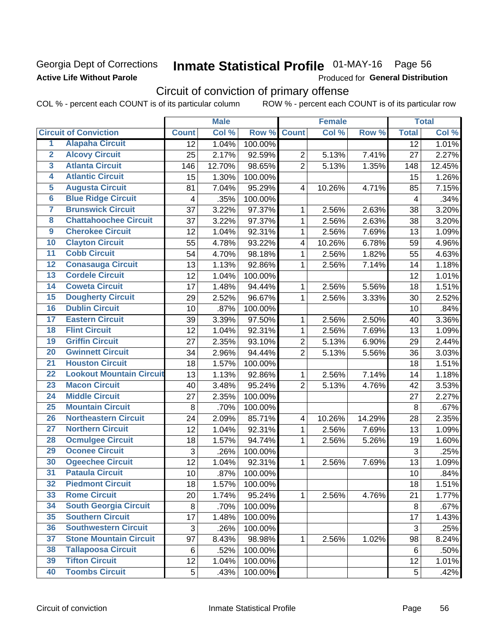### Georgia Dept of Corrections **Active Life Without Parole**

## Inmate Statistical Profile 01-MAY-16 Page 56

Produced for General Distribution

## Circuit of conviction of primary offense

|                         |                                 |                           | <b>Male</b> |         |                         | <b>Female</b> |        |                | <b>Total</b> |
|-------------------------|---------------------------------|---------------------------|-------------|---------|-------------------------|---------------|--------|----------------|--------------|
|                         | <b>Circuit of Conviction</b>    | <b>Count</b>              | Col %       | Row %   | <b>Count</b>            | Col %         | Row %  | <b>Total</b>   | Col %        |
| 1                       | <b>Alapaha Circuit</b>          | 12                        | 1.04%       | 100.00% |                         |               |        | 12             | 1.01%        |
| $\overline{2}$          | <b>Alcovy Circuit</b>           | 25                        | 2.17%       | 92.59%  | $\overline{2}$          | 5.13%         | 7.41%  | 27             | 2.27%        |
| $\overline{\mathbf{3}}$ | <b>Atlanta Circuit</b>          | 146                       | 12.70%      | 98.65%  | $\overline{2}$          | 5.13%         | 1.35%  | 148            | 12.45%       |
| 4                       | <b>Atlantic Circuit</b>         | 15                        | 1.30%       | 100.00% |                         |               |        | 15             | 1.26%        |
| $\overline{5}$          | <b>Augusta Circuit</b>          | 81                        | 7.04%       | 95.29%  | $\overline{4}$          | 10.26%        | 4.71%  | 85             | 7.15%        |
| $\overline{6}$          | <b>Blue Ridge Circuit</b>       | $\overline{\mathbf{4}}$   | .35%        | 100.00% |                         |               |        | 4              | .34%         |
| 7                       | <b>Brunswick Circuit</b>        | 37                        | 3.22%       | 97.37%  | 1                       | 2.56%         | 2.63%  | 38             | 3.20%        |
| 8                       | <b>Chattahoochee Circuit</b>    | 37                        | 3.22%       | 97.37%  | 1                       | 2.56%         | 2.63%  | 38             | 3.20%        |
| $\overline{9}$          | <b>Cherokee Circuit</b>         | 12                        | 1.04%       | 92.31%  | 1                       | 2.56%         | 7.69%  | 13             | 1.09%        |
| 10                      | <b>Clayton Circuit</b>          | 55                        | 4.78%       | 93.22%  | $\overline{\mathbf{4}}$ | 10.26%        | 6.78%  | 59             | 4.96%        |
| $\overline{11}$         | <b>Cobb Circuit</b>             | 54                        | 4.70%       | 98.18%  | 1                       | 2.56%         | 1.82%  | 55             | 4.63%        |
| $\overline{12}$         | <b>Conasauga Circuit</b>        | 13                        | 1.13%       | 92.86%  | 1                       | 2.56%         | 7.14%  | 14             | 1.18%        |
| $\overline{13}$         | <b>Cordele Circuit</b>          | 12                        | 1.04%       | 100.00% |                         |               |        | 12             | 1.01%        |
| $\overline{14}$         | <b>Coweta Circuit</b>           | 17                        | 1.48%       | 94.44%  | $\mathbf{1}$            | 2.56%         | 5.56%  | 18             | 1.51%        |
| $\overline{15}$         | <b>Dougherty Circuit</b>        | 29                        | 2.52%       | 96.67%  | $\mathbf 1$             | 2.56%         | 3.33%  | 30             | 2.52%        |
| 16                      | <b>Dublin Circuit</b>           | 10                        | .87%        | 100.00% |                         |               |        | 10             | .84%         |
| $\overline{17}$         | <b>Eastern Circuit</b>          | 39                        | 3.39%       | 97.50%  | 1                       | 2.56%         | 2.50%  | 40             | 3.36%        |
| $\overline{18}$         | <b>Flint Circuit</b>            | 12                        | 1.04%       | 92.31%  | $\mathbf{1}$            | 2.56%         | 7.69%  | 13             | 1.09%        |
| 19                      | <b>Griffin Circuit</b>          | 27                        | 2.35%       | 93.10%  | $\overline{2}$          | 5.13%         | 6.90%  | 29             | 2.44%        |
| 20                      | <b>Gwinnett Circuit</b>         | 34                        | 2.96%       | 94.44%  | $\overline{2}$          | 5.13%         | 5.56%  | 36             | 3.03%        |
| $\overline{21}$         | <b>Houston Circuit</b>          | 18                        | 1.57%       | 100.00% |                         |               |        | 18             | 1.51%        |
| $\overline{22}$         | <b>Lookout Mountain Circuit</b> | 13                        | 1.13%       | 92.86%  | $\mathbf{1}$            | 2.56%         | 7.14%  | 14             | 1.18%        |
| 23                      | <b>Macon Circuit</b>            | 40                        | 3.48%       | 95.24%  | $\overline{2}$          | 5.13%         | 4.76%  | 42             | 3.53%        |
| 24                      | <b>Middle Circuit</b>           | 27                        | 2.35%       | 100.00% |                         |               |        | 27             | 2.27%        |
| $\overline{25}$         | <b>Mountain Circuit</b>         | 8                         | .70%        | 100.00% |                         |               |        | 8              | .67%         |
| 26                      | <b>Northeastern Circuit</b>     | 24                        | 2.09%       | 85.71%  | $\overline{4}$          | 10.26%        | 14.29% | 28             | 2.35%        |
| $\overline{27}$         | <b>Northern Circuit</b>         | 12                        | 1.04%       | 92.31%  | 1                       | 2.56%         | 7.69%  | 13             | 1.09%        |
| 28                      | <b>Ocmulgee Circuit</b>         | 18                        | 1.57%       | 94.74%  | 1                       | 2.56%         | 5.26%  | 19             | 1.60%        |
| 29                      | <b>Oconee Circuit</b>           | 3                         | .26%        | 100.00% |                         |               |        | $\mathfrak{S}$ | .25%         |
| 30                      | <b>Ogeechee Circuit</b>         | 12                        | 1.04%       | 92.31%  | 1                       | 2.56%         | 7.69%  | 13             | 1.09%        |
| $\overline{31}$         | <b>Pataula Circuit</b>          | 10                        | .87%        | 100.00% |                         |               |        | 10             | .84%         |
| 32                      | <b>Piedmont Circuit</b>         | 18                        | 1.57%       | 100.00% |                         |               |        | 18             | 1.51%        |
| 33                      | <b>Rome Circuit</b>             | 20                        | 1.74%       | 95.24%  | $\mathbf 1$             | 2.56%         | 4.76%  | 21             | 1.77%        |
| 34                      | <b>South Georgia Circuit</b>    | 8                         | .70%        | 100.00% |                         |               |        | 8              | .67%         |
| 35                      | <b>Southern Circuit</b>         | 17                        | 1.48%       | 100.00% |                         |               |        | 17             | 1.43%        |
| 36                      | <b>Southwestern Circuit</b>     | $\ensuremath{\mathsf{3}}$ | .26%        | 100.00% |                         |               |        | 3              | .25%         |
| 37                      | <b>Stone Mountain Circuit</b>   | 97                        | 8.43%       | 98.98%  | 1                       | 2.56%         | 1.02%  | 98             | 8.24%        |
| 38                      | <b>Tallapoosa Circuit</b>       | 6                         | .52%        | 100.00% |                         |               |        | 6              | .50%         |
| 39                      | <b>Tifton Circuit</b>           | 12                        | 1.04%       | 100.00% |                         |               |        | 12             | 1.01%        |
| 40                      | <b>Toombs Circuit</b>           | 5                         | .43%        | 100.00% |                         |               |        | 5              | .42%         |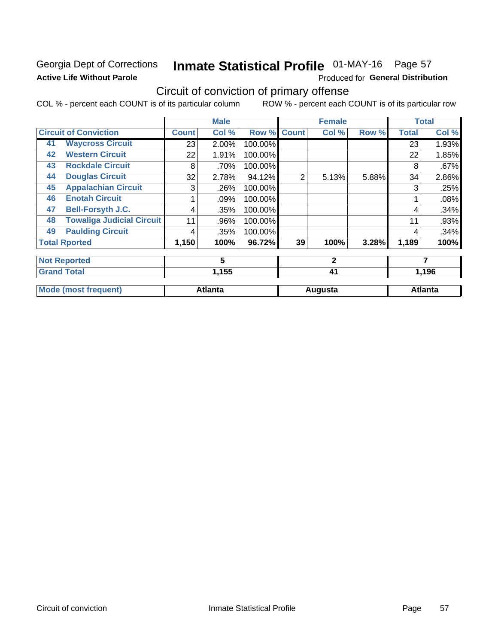### Georgia Dept of Corrections **Active Life Without Parole**

## Inmate Statistical Profile 01-MAY-16 Page 57

Produced for General Distribution

## Circuit of conviction of primary offense

|    |                                  |                | <b>Male</b> |         |                | <b>Female</b> |                | <b>Total</b> |       |
|----|----------------------------------|----------------|-------------|---------|----------------|---------------|----------------|--------------|-------|
|    | <b>Circuit of Conviction</b>     | <b>Count</b>   | Col %       | Row %   | <b>Count</b>   | Col %         | Row %          | <b>Total</b> | Col % |
| 41 | <b>Waycross Circuit</b>          | 23             | 2.00%       | 100.00% |                |               |                | 23           | 1.93% |
| 42 | <b>Western Circuit</b>           | 22             | 1.91%       | 100.00% |                |               |                | 22           | 1.85% |
| 43 | <b>Rockdale Circuit</b>          | 8              | .70%        | 100.00% |                |               |                | 8            | .67%  |
| 44 | <b>Douglas Circuit</b>           | 32             | 2.78%       | 94.12%  | $\overline{2}$ | 5.13%         | 5.88%          | 34           | 2.86% |
| 45 | <b>Appalachian Circuit</b>       | 3              | .26%        | 100.00% |                |               |                | 3            | .25%  |
| 46 | <b>Enotah Circuit</b>            |                | .09%        | 100.00% |                |               |                |              | .08%  |
| 47 | <b>Bell-Forsyth J.C.</b>         | 4              | .35%        | 100.00% |                |               |                | 4            | .34%  |
| 48 | <b>Towaliga Judicial Circuit</b> | 11             | .96%        | 100.00% |                |               |                | 11           | .93%  |
| 49 | <b>Paulding Circuit</b>          | 4              | .35%        | 100.00% |                |               |                | 4            | .34%  |
|    | <b>Total Rported</b>             |                | 100%        | 96.72%  | 39             | 100%          | 3.28%          | 1,189        | 100%  |
|    | <b>Not Reported</b>              |                | 5           |         |                | $\mathbf{2}$  |                | 7            |       |
|    | <b>Grand Total</b>               |                | 1,155       |         |                | 41            |                |              | 1,196 |
|    | <b>Mode (most frequent)</b>      | <b>Atlanta</b> |             | Augusta |                |               | <b>Atlanta</b> |              |       |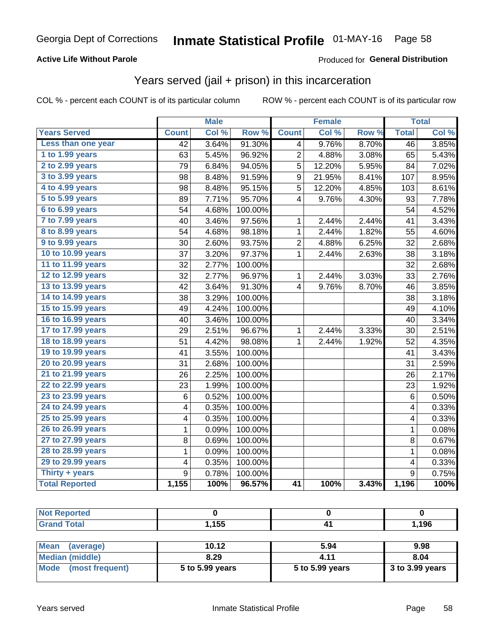#### **Active Life Without Parole**

#### Produced for General Distribution

### Years served (jail + prison) in this incarceration

COL % - percent each COUNT is of its particular column

|                        |                 | <b>Male</b> |         |                 | <b>Female</b> |       |              | <b>Total</b> |
|------------------------|-----------------|-------------|---------|-----------------|---------------|-------|--------------|--------------|
| <b>Years Served</b>    | <b>Count</b>    | Col %       | Row %   | <b>Count</b>    | Col %         | Row % | <b>Total</b> | Col %        |
| Less than one year     | $\overline{42}$ | 3.64%       | 91.30%  | 4               | 9.76%         | 8.70% | 46           | 3.85%        |
| 1 to 1.99 years        | 63              | 5.45%       | 96.92%  | 2               | 4.88%         | 3.08% | 65           | 5.43%        |
| 2 to 2.99 years        | 79              | 6.84%       | 94.05%  | 5               | 12.20%        | 5.95% | 84           | 7.02%        |
| 3 to 3.99 years        | 98              | 8.48%       | 91.59%  | 9               | 21.95%        | 8.41% | 107          | 8.95%        |
| 4 to 4.99 years        | 98              | 8.48%       | 95.15%  | $\overline{5}$  | 12.20%        | 4.85% | 103          | 8.61%        |
| 5 to 5.99 years        | 89              | 7.71%       | 95.70%  | 4               | 9.76%         | 4.30% | 93           | 7.78%        |
| 6 to 6.99 years        | 54              | 4.68%       | 100.00% |                 |               |       | 54           | 4.52%        |
| 7 to 7.99 years        | 40              | 3.46%       | 97.56%  | 1               | 2.44%         | 2.44% | 41           | 3.43%        |
| <b>8 to 8.99 years</b> | 54              | 4.68%       | 98.18%  | $\mathbf 1$     | 2.44%         | 1.82% | 55           | 4.60%        |
| 9 to 9.99 years        | 30              | 2.60%       | 93.75%  | 2               | 4.88%         | 6.25% | 32           | 2.68%        |
| 10 to 10.99 years      | 37              | 3.20%       | 97.37%  | $\mathbf 1$     | 2.44%         | 2.63% | 38           | 3.18%        |
| 11 to 11.99 years      | 32              | 2.77%       | 100.00% |                 |               |       | 32           | 2.68%        |
| 12 to 12.99 years      | 32              | 2.77%       | 96.97%  | 1               | 2.44%         | 3.03% | 33           | 2.76%        |
| 13 to 13.99 years      | 42              | 3.64%       | 91.30%  | 4               | 9.76%         | 8.70% | 46           | 3.85%        |
| 14 to 14.99 years      | 38              | 3.29%       | 100.00% |                 |               |       | 38           | 3.18%        |
| 15 to 15.99 years      | 49              | 4.24%       | 100.00% |                 |               |       | 49           | 4.10%        |
| 16 to 16.99 years      | 40              | 3.46%       | 100.00% |                 |               |       | 40           | 3.34%        |
| 17 to 17.99 years      | 29              | 2.51%       | 96.67%  | 1               | 2.44%         | 3.33% | 30           | 2.51%        |
| 18 to 18.99 years      | 51              | 4.42%       | 98.08%  | 1               | 2.44%         | 1.92% | 52           | 4.35%        |
| 19 to 19.99 years      | 41              | 3.55%       | 100.00% |                 |               |       | 41           | 3.43%        |
| 20 to 20.99 years      | 31              | 2.68%       | 100.00% |                 |               |       | 31           | 2.59%        |
| 21 to 21.99 years      | 26              | 2.25%       | 100.00% |                 |               |       | 26           | 2.17%        |
| 22 to 22.99 years      | 23              | 1.99%       | 100.00% |                 |               |       | 23           | 1.92%        |
| 23 to 23.99 years      | 6               | 0.52%       | 100.00% |                 |               |       | 6            | 0.50%        |
| 24 to 24.99 years      | 4               | 0.35%       | 100.00% |                 |               |       | 4            | 0.33%        |
| 25 to 25.99 years      | 4               | 0.35%       | 100.00% |                 |               |       | 4            | 0.33%        |
| 26 to 26.99 years      | $\mathbf 1$     | 0.09%       | 100.00% |                 |               |       | $\mathbf 1$  | 0.08%        |
| 27 to 27.99 years      | 8               | 0.69%       | 100.00% |                 |               |       | 8            | 0.67%        |
| 28 to 28.99 years      | $\mathbf 1$     | 0.09%       | 100.00% |                 |               |       | $\mathbf 1$  | 0.08%        |
| 29 to 29.99 years      | 4               | 0.35%       | 100.00% |                 |               |       | 4            | 0.33%        |
| Thirty + years         | 9               | 0.78%       | 100.00% |                 |               |       | 9            | 0.75%        |
| <b>Total Reported</b>  | 1,155           | 100%        | 96.57%  | $\overline{41}$ | 100%          | 3.43% | 1,196        | 100%         |

| orted                |      |       |
|----------------------|------|-------|
| <b>Total</b><br>Grai | ,155 | 1,196 |

| <b>Mean</b><br>(average) | 10.12           | 5.94            | 9.98              |
|--------------------------|-----------------|-----------------|-------------------|
| Median (middle)          | 8.29            | 4.11            | 8.04              |
| Mode (most frequent)     | 5 to 5.99 years | 5 to 5.99 years | $3$ to 3.99 years |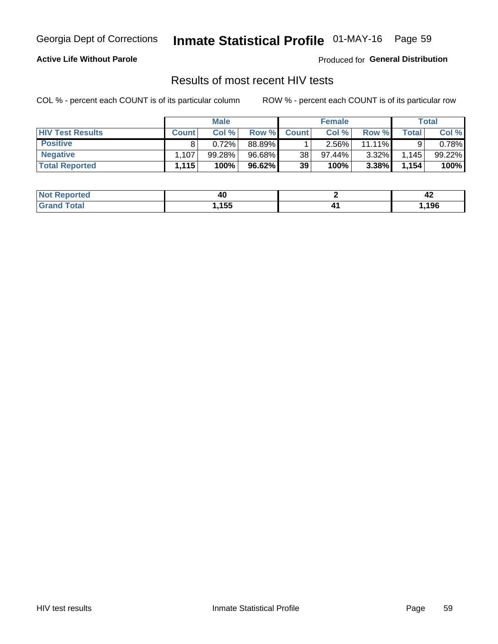## Inmate Statistical Profile 01-MAY-16 Page 59

#### **Active Life Without Parole**

Produced for General Distribution

### Results of most recent HIV tests

COL % - percent each COUNT is of its particular column

|                         |              | <b>Male</b> |        |              | <b>Female</b> |           |       | Total    |
|-------------------------|--------------|-------------|--------|--------------|---------------|-----------|-------|----------|
| <b>HIV Test Results</b> | <b>Count</b> | Col %       | Row %  | <b>Count</b> | Col %         | Row %     | Total | Col %    |
| <b>Positive</b>         | 8            | 0.72%       | 88.89% |              | 2.56%         | $11.11\%$ |       | $0.78\%$ |
| <b>Negative</b>         | .107         | 99.28%      | 96.68% | 38           | 97.44%        | $3.32\%$  | 1,145 | 99.22%   |
| <b>Total Reported</b>   | .115         | 100%        | 96.62% | 39           | 100%          | 3.38%     | 1,154 | 100%     |

| <b>Not Reported</b> | t.         | 44  |
|---------------------|------------|-----|
| Total               | 155<br>טטו | 196 |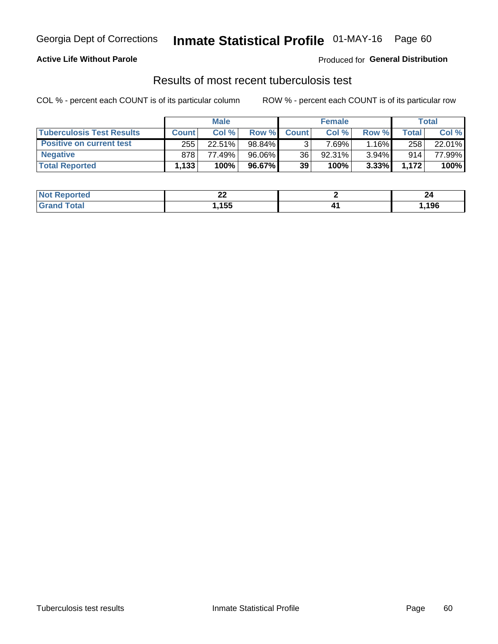## Georgia Dept of Corrections **Inmate Statistical Profile** 01-MAY-16 Page 60

#### **Active Life Without Parole**

Produced for **General Distribution**

### Results of most recent tuberculosis test

|                                  |              | <b>Male</b> |        |              | <b>Female</b> |          |       | Total  |
|----------------------------------|--------------|-------------|--------|--------------|---------------|----------|-------|--------|
| <b>Tuberculosis Test Results</b> | <b>Count</b> | Col%        | Row %I | <b>Count</b> | Col%          | Row %    | Total | Col %  |
| <b>Positive on current test</b>  | 255          | 22.51%      | 98.84% |              | $7.69\%$      | 1.16%    | 258   | 22.01% |
| <b>Negative</b>                  | 878          | 77.49%      | 96.06% | 36           | 92.31%        | $3.94\%$ | 914   | 77.99% |
| <b>Total Reported</b>            | 1,133        | 100%        | 96.67% | 39           | 100%          | 3.33%    | 1.172 | 100%   |

| <b>Not Reported</b> | n,<br>--   | - - |
|---------------------|------------|-----|
| <b>Total</b>        | 155<br>טטו | 196 |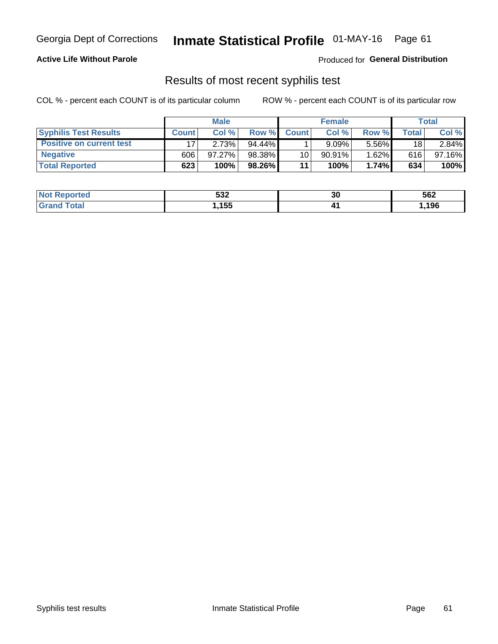## Georgia Dept of Corrections **Inmate Statistical Profile** 01-MAY-16 Page 61

#### **Active Life Without Parole**

Produced for **General Distribution**

### Results of most recent syphilis test

|                                 |              | <b>Male</b> |           |                 | <b>Female</b> |          |       | Total  |
|---------------------------------|--------------|-------------|-----------|-----------------|---------------|----------|-------|--------|
| <b>Syphilis Test Results</b>    | <b>Count</b> | Col%        | Row %I    | <b>Count</b>    | Col %         | Row %    | Total | Col %  |
| <b>Positive on current test</b> |              | 2.73%       | $94.44\%$ |                 | 9.09%         | 5.56%    | 18    | 2.84%  |
| <b>Negative</b>                 | 606          | $97.27\%$   | 98.38%    | 10 <sub>1</sub> | $90.91\%$     | $1.62\%$ | 616   | 97.16% |
| <b>Total Reported</b>           | 623          | 100%        | 98.26%    | 11              | 100%          | 1.74%    | 634   | 100%   |

| <b>Not Reported</b> | につつ<br>ാാ∠ | 30 | 562 |
|---------------------|------------|----|-----|
| <b>Total</b>        | ,155       |    | 196 |